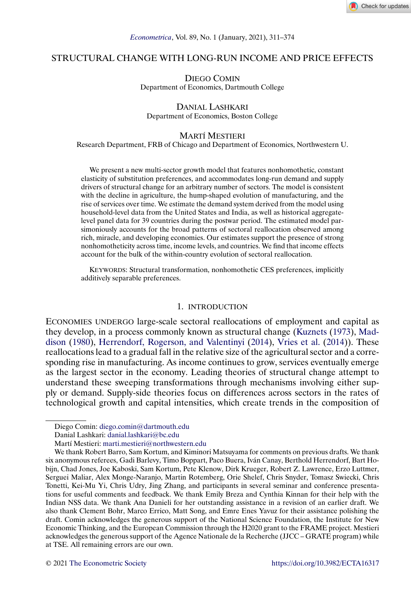# <span id="page-0-0"></span>STRUCTURAL CHANGE WITH LONG-RUN INCOME AND PRICE EFFECTS

DIEGO COMIN Department of Economics, Dartmouth College

### DANIAL LASHKARI Department of Economics, Boston College

### MARTÍ MESTIERI

Research Department, FRB of Chicago and Department of Economics, Northwestern U.

We present a new multi-sector growth model that features nonhomothetic, constant elasticity of substitution preferences, and accommodates long-run demand and supply drivers of structural change for an arbitrary number of sectors. The model is consistent with the decline in agriculture, the hump-shaped evolution of manufacturing, and the rise of services over time. We estimate the demand system derived from the model using household-level data from the United States and India, as well as historical aggregatelevel panel data for 39 countries during the postwar period. The estimated model parsimoniously accounts for the broad patterns of sectoral reallocation observed among rich, miracle, and developing economies. Our estimates support the presence of strong nonhomotheticity across time, income levels, and countries. We find that income effects account for the bulk of the within-country evolution of sectoral reallocation.

KEYWORDS: Structural transformation, nonhomothetic CES preferences, implicitly additively separable preferences.

#### 1. INTRODUCTION

ECONOMIES UNDERGO large-scale sectoral reallocations of employment and capital as they develop, in a process commonly known as structural change [\(Kuznets](#page-63-0) [\(1973\)](#page-63-0), [Mad](#page-63-0)[dison](#page-63-0) [\(1980\)](#page-63-0), [Herrendorf, Rogerson, and Valentinyi](#page-62-0) [\(2014\)](#page-62-0), [Vries et al.](#page-63-0) [\(2014\)](#page-63-0)). These reallocations lead to a gradual fall in the relative size of the agricultural sector and a corresponding rise in manufacturing. As income continues to grow, services eventually emerge as the largest sector in the economy. Leading theories of structural change attempt to understand these sweeping transformations through mechanisms involving either supply or demand. Supply-side theories focus on differences across sectors in the rates of technological growth and capital intensities, which create trends in the composition of

Diego Comin: [diego.comin@dartmouth.edu](mailto:diego.comin@dartmouth.edu)

Danial Lashkari: [danial.lashkari@bc.edu](mailto:danial.lashkari@bc.edu)

Martí Mestieri: [marti.mestieri@northwestern.edu](mailto:marti.mestieri@northwestern.edu)

We thank Robert Barro, Sam Kortum, and Kiminori Matsuyama for comments on previous drafts. We thank six anonymous referees, Gadi Barlevy, Timo Boppart, Paco Buera, Iván Canay, Berthold Herrendorf, Bart Hobijn, Chad Jones, Joe Kaboski, Sam Kortum, Pete Klenow, Dirk Krueger, Robert Z. Lawrence, Erzo Luttmer, Serguei Maliar, Alex Monge-Naranjo, Martin Rotemberg, Orie Shelef, Chris Snyder, Tomasz Swiecki, Chris Tonetti, Kei-Mu Yi, Chris Udry, Jing Zhang, and participants in several seminar and conference presentations for useful comments and feedback. We thank Emily Breza and Cynthia Kinnan for their help with the Indian NSS data. We thank Ana Danieli for her outstanding assistance in a revision of an earlier draft. We also thank Clement Bohr, Marco Errico, Matt Song, and Emre Enes Yavuz for their assistance polishing the draft. Comin acknowledges the generous support of the National Science Foundation, the Institute for New Economic Thinking, and the European Commission through the H2020 grant to the FRAME project. Mestieri acknowledges the generous support of the Agence Nationale de la Recherche (JJCC – GRATE program) while at TSE. All remaining errors are our own.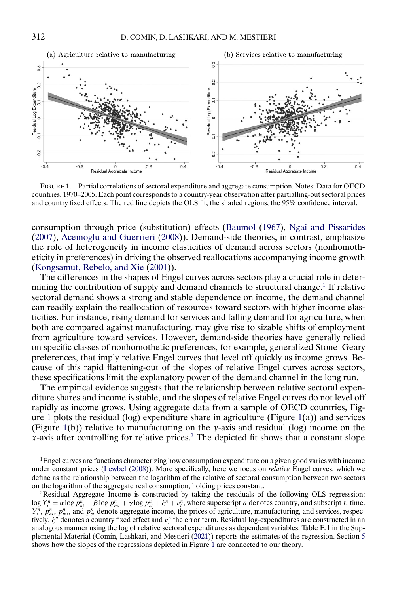<span id="page-1-0"></span>

FIGURE 1.—Partial correlations of sectoral expenditure and aggregate consumption. Notes: Data for OECD countries, 1970–2005. Each point corresponds to a country-year observation after partialling-out sectoral prices and country fixed effects. The red line depicts the OLS fit, the shaded regions, the 95% confidence interval.

consumption through price (substitution) effects [\(Baumol](#page-61-0) [\(1967\)](#page-61-0), [Ngai and Pissarides](#page-63-0) [\(2007\)](#page-63-0), [Acemoglu and Guerrieri](#page-61-0) [\(2008\)](#page-61-0)). Demand-side theories, in contrast, emphasize the role of heterogeneity in income elasticities of demand across sectors (nonhomotheticity in preferences) in driving the observed reallocations accompanying income growth [\(Kongsamut, Rebelo, and Xie](#page-63-0) [\(2001\)](#page-63-0)).

The differences in the shapes of Engel curves across sectors play a crucial role in determining the contribution of supply and demand channels to structural change.<sup>1</sup> If relative sectoral demand shows a strong and stable dependence on income, the demand channel can readily explain the reallocation of resources toward sectors with higher income elasticities. For instance, rising demand for services and falling demand for agriculture, when both are compared against manufacturing, may give rise to sizable shifts of employment from agriculture toward services. However, demand-side theories have generally relied on specific classes of nonhomothetic preferences, for example, generalized Stone–Geary preferences, that imply relative Engel curves that level off quickly as income grows. Because of this rapid flattening-out of the slopes of relative Engel curves across sectors, these specifications limit the explanatory power of the demand channel in the long run.

The empirical evidence suggests that the relationship between relative sectoral expenditure shares and income is stable, and the slopes of relative Engel curves do not level off rapidly as income grows. Using aggregate data from a sample of OECD countries, Figure 1 plots the residual (log) expenditure share in agriculture (Figure 1(a)) and services (Figure 1(b)) relative to manufacturing on the y-axis and residual (log) income on the x-axis after controlling for relative prices.<sup>2</sup> The depicted fit shows that a constant slope

<sup>&</sup>lt;sup>1</sup>Engel curves are functions characterizing how consumption expenditure on a given good varies with income under constant prices [\(Lewbel](#page-63-0) [\(2008\)](#page-63-0)). More specifically, here we focus on *relative* Engel curves, which we define as the relationship between the logarithm of the relative of sectoral consumption between two sectors on the logarithm of the aggregate real consumption, holding prices constant.

<sup>2</sup>Residual Aggregate Income is constructed by taking the residuals of the following OLS regresssion:  $\log Y_t^n = \alpha \log p_{at}^n + \beta \log p_{mt}^n + \gamma \log p_{st}^n + \xi^n + v_t^n$ , where superscript *n* denotes country, and subscript *t*, time.  $Y_t^n$ ,  $p_{at}^n$ ,  $p_{mt}^n$ , and  $p_{st}^n$  denote aggregate income, the prices of agriculture, manufacturing, and services, respectively.  $\xi^n$  denotes a country fixed effect and  $v_t^n$  the error term. Residual log-expenditures are constructed in an analogous manner using the log of relative sectoral expenditures as dependent variables. Table E.1 in the Supplemental Material (Comin, Lashkari, and Mestieri [\(2021\)](#page-62-0)) reports the estimates of the regression. Section [5](#page-28-0) shows how the slopes of the regressions depicted in Figure 1 are connected to our theory.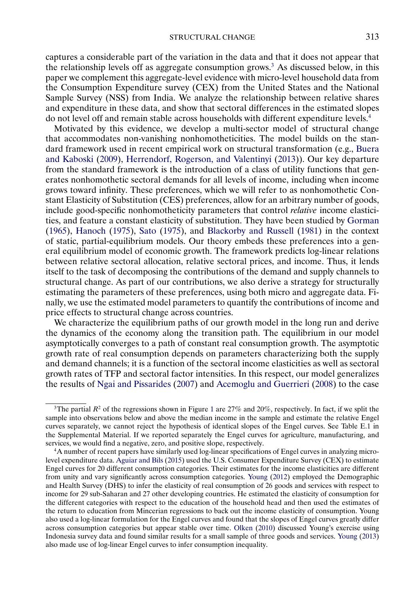<span id="page-2-0"></span>captures a considerable part of the variation in the data and that it does not appear that the relationship levels off as aggregate consumption grows.<sup>3</sup> As discussed below, in this paper we complement this aggregate-level evidence with micro-level household data from the Consumption Expenditure survey (CEX) from the United States and the National Sample Survey (NSS) from India. We analyze the relationship between relative shares and expenditure in these data, and show that sectoral differences in the estimated slopes do not level off and remain stable across households with different expenditure levels.4

Motivated by this evidence, we develop a multi-sector model of structural change that accommodates non-vanishing nonhomotheticities. The model builds on the standard framework used in recent empirical work on structural transformation (e.g., [Buera](#page-62-0) [and Kaboski](#page-62-0) [\(2009\)](#page-62-0), [Herrendorf, Rogerson, and Valentinyi](#page-62-0) [\(2013\)](#page-62-0)). Our key departure from the standard framework is the introduction of a class of utility functions that generates nonhomothetic sectoral demands for all levels of income, including when income grows toward infinity. These preferences, which we will refer to as nonhomothetic Constant Elasticity of Substitution (CES) preferences, allow for an arbitrary number of goods, include good-specific nonhomotheticity parameters that control *relative* income elasticities, and feature a constant elasticity of substitution. They have been studied by [Gorman](#page-62-0) [\(1965\)](#page-62-0), [Hanoch](#page-62-0) [\(1975\)](#page-62-0), [Sato](#page-63-0) [\(1975\)](#page-63-0), and [Blackorby and Russell](#page-61-0) [\(1981\)](#page-61-0) in the context of static, partial-equilibrium models. Our theory embeds these preferences into a general equilibrium model of economic growth. The framework predicts log-linear relations between relative sectoral allocation, relative sectoral prices, and income. Thus, it lends itself to the task of decomposing the contributions of the demand and supply channels to structural change. As part of our contributions, we also derive a strategy for structurally estimating the parameters of these preferences, using both micro and aggregate data. Finally, we use the estimated model parameters to quantify the contributions of income and price effects to structural change across countries.

We characterize the equilibrium paths of our growth model in the long run and derive the dynamics of the economy along the transition path. The equilibrium in our model asymptotically converges to a path of constant real consumption growth. The asymptotic growth rate of real consumption depends on parameters characterizing both the supply and demand channels; it is a function of the sectoral income elasticities as well as sectoral growth rates of TFP and sectoral factor intensities. In this respect, our model generalizes the results of [Ngai and Pissarides](#page-63-0) [\(2007\)](#page-63-0) and [Acemoglu and Guerrieri](#page-61-0) [\(2008\)](#page-61-0) to the case

<sup>&</sup>lt;sup>3</sup>The partial  $R^2$  of the regressions shown in Figure [1](#page-1-0) are 27% and 20%, respectively. In fact, if we split the sample into observations below and above the median income in the sample and estimate the relative Engel curves separately, we cannot reject the hypothesis of identical slopes of the Engel curves. See Table E.1 in the Supplemental Material. If we reported separately the Engel curves for agriculture, manufacturing, and services, we would find a negative, zero, and positive slope, respectively.

<sup>4</sup>A number of recent papers have similarly used log-linear specifications of Engel curves in analyzing microlevel expenditure data. [Aguiar and Bils](#page-61-0) [\(2015\)](#page-61-0) used the U.S. Consumer Expenditure Survey (CEX) to estimate Engel curves for 20 different consumption categories. Their estimates for the income elasticities are different from unity and vary significantly across consumption categories. [Young](#page-63-0) [\(2012\)](#page-63-0) employed the Demographic and Health Survey (DHS) to infer the elasticity of real consumption of 26 goods and services with respect to income for 29 sub-Saharan and 27 other developing countries. He estimated the elasticity of consumption for the different categories with respect to the education of the household head and then used the estimates of the return to education from Mincerian regressions to back out the income elasticity of consumption. Young also used a log-linear formulation for the Engel curves and found that the slopes of Engel curves greatly differ across consumption categories but appear stable over time. [Olken](#page-63-0) [\(2010\)](#page-63-0) discussed Young's exercise using Indonesia survey data and found similar results for a small sample of three goods and services. [Young](#page-63-0) [\(2013\)](#page-63-0) also made use of log-linear Engel curves to infer consumption inequality.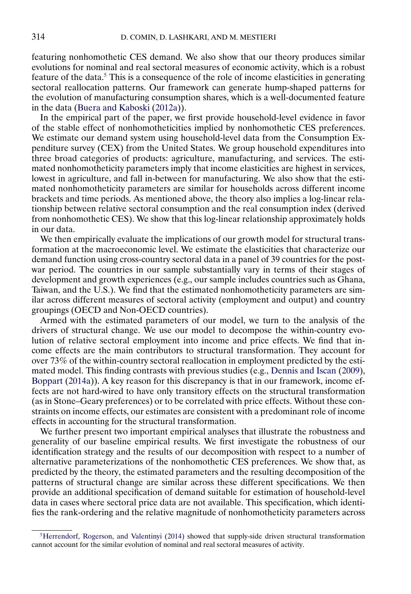<span id="page-3-0"></span>featuring nonhomothetic CES demand. We also show that our theory produces similar evolutions for nominal and real sectoral measures of economic activity, which is a robust feature of the data.<sup>5</sup> This is a consequence of the role of income elasticities in generating sectoral reallocation patterns. Our framework can generate hump-shaped patterns for the evolution of manufacturing consumption shares, which is a well-documented feature in the data [\(Buera and Kaboski](#page-62-0) [\(2012a\)](#page-62-0)).

In the empirical part of the paper, we first provide household-level evidence in favor of the stable effect of nonhomotheticities implied by nonhomothetic CES preferences. We estimate our demand system using household-level data from the Consumption Expenditure survey (CEX) from the United States. We group household expenditures into three broad categories of products: agriculture, manufacturing, and services. The estimated nonhomotheticity parameters imply that income elasticities are highest in services, lowest in agriculture, and fall in-between for manufacturing. We also show that the estimated nonhomotheticity parameters are similar for households across different income brackets and time periods. As mentioned above, the theory also implies a log-linear relationship between relative sectoral consumption and the real consumption index (derived from nonhomothetic CES). We show that this log-linear relationship approximately holds in our data.

We then empirically evaluate the implications of our growth model for structural transformation at the macroeconomic level. We estimate the elasticities that characterize our demand function using cross-country sectoral data in a panel of 39 countries for the postwar period. The countries in our sample substantially vary in terms of their stages of development and growth experiences (e.g., our sample includes countries such as Ghana, Taiwan, and the U.S.). We find that the estimated nonhomotheticity parameters are similar across different measures of sectoral activity (employment and output) and country groupings (OECD and Non-OECD countries).

Armed with the estimated parameters of our model, we turn to the analysis of the drivers of structural change. We use our model to decompose the within-country evolution of relative sectoral employment into income and price effects. We find that income effects are the main contributors to structural transformation. They account for over 73% of the within-country sectoral reallocation in employment predicted by the estimated model. This finding contrasts with previous studies (e.g., [Dennis and Iscan](#page-62-0) [\(2009\)](#page-62-0), [Boppart](#page-61-0) [\(2014a\)](#page-61-0)). A key reason for this discrepancy is that in our framework, income effects are not hard-wired to have only transitory effects on the structural transformation (as in Stone–Geary preferences) or to be correlated with price effects. Without these constraints on income effects, our estimates are consistent with a predominant role of income effects in accounting for the structural transformation.

We further present two important empirical analyses that illustrate the robustness and generality of our baseline empirical results. We first investigate the robustness of our identification strategy and the results of our decomposition with respect to a number of alternative parameterizations of the nonhomothetic CES preferences. We show that, as predicted by the theory, the estimated parameters and the resulting decomposition of the patterns of structural change are similar across these different specifications. We then provide an additional specification of demand suitable for estimation of household-level data in cases where sectoral price data are not available. This specification, which identifies the rank-ordering and the relative magnitude of nonhomotheticity parameters across

[<sup>5</sup>Herrendorf, Rogerson, and Valentinyi](#page-62-0) [\(2014\)](#page-62-0) showed that supply-side driven structural transformation cannot account for the similar evolution of nominal and real sectoral measures of activity.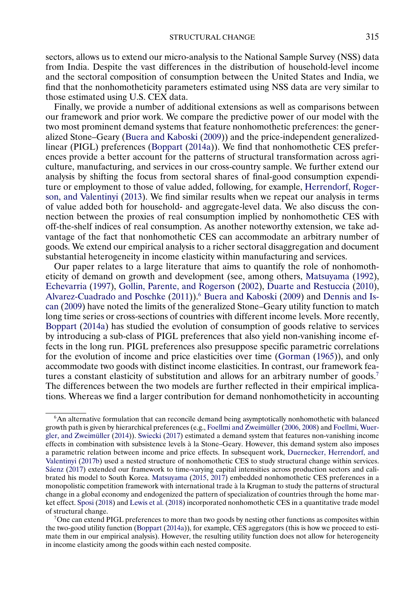<span id="page-4-0"></span>sectors, allows us to extend our micro-analysis to the National Sample Survey (NSS) data from India. Despite the vast differences in the distribution of household-level income and the sectoral composition of consumption between the United States and India, we find that the nonhomotheticity parameters estimated using NSS data are very similar to those estimated using U.S. CEX data.

Finally, we provide a number of additional extensions as well as comparisons between our framework and prior work. We compare the predictive power of our model with the two most prominent demand systems that feature nonhomothetic preferences: the generalized Stone–Geary [\(Buera and Kaboski](#page-62-0) [\(2009\)](#page-62-0)) and the price-independent generalizedlinear (PIGL) preferences [\(Boppart](#page-61-0) [\(2014a\)](#page-61-0)). We find that nonhomothetic CES preferences provide a better account for the patterns of structural transformation across agriculture, manufacturing, and services in our cross-country sample. We further extend our analysis by shifting the focus from sectoral shares of final-good consumption expenditure or employment to those of value added, following, for example, [Herrendorf, Roger](#page-62-0)[son, and Valentinyi](#page-62-0) [\(2013\)](#page-62-0). We find similar results when we repeat our analysis in terms of value added both for household- and aggregate-level data. We also discuss the connection between the proxies of real consumption implied by nonhomothetic CES with off-the-shelf indices of real consumption. As another noteworthy extension, we take advantage of the fact that nonhomothetic CES can accommodate an arbitrary number of goods. We extend our empirical analysis to a richer sectoral disaggregation and document substantial heterogeneity in income elasticity within manufacturing and services.

Our paper relates to a large literature that aims to quantify the role of nonhomotheticity of demand on growth and development (see, among others, [Matsuyama](#page-63-0) [\(1992\)](#page-63-0), [Echevarria](#page-62-0) [\(1997\)](#page-62-0), [Gollin, Parente, and Rogerson](#page-62-0) [\(2002\)](#page-62-0), [Duarte and Restuccia](#page-62-0) [\(2010\)](#page-62-0), [Alvarez-Cuadrado and Poschke](#page-61-0) [\(2011\)](#page-61-0)).6 [Buera and Kaboski](#page-62-0) [\(2009\)](#page-62-0) and [Dennis and Is](#page-62-0)[can](#page-62-0) [\(2009\)](#page-62-0) have noted the limits of the generalized Stone–Geary utility function to match long time series or cross-sections of countries with different income levels. More recently, [Boppart](#page-61-0) [\(2014a\)](#page-61-0) has studied the evolution of consumption of goods relative to services by introducing a sub-class of PIGL preferences that also yield non-vanishing income effects in the long run. PIGL preferences also presuppose specific parametric correlations for the evolution of income and price elasticities over time [\(Gorman](#page-62-0) [\(1965\)](#page-62-0)), and only accommodate two goods with distinct income elasticities. In contrast, our framework features a constant elasticity of substitution and allows for an arbitrary number of goods.<sup>7</sup> The differences between the two models are further reflected in their empirical implications. Whereas we find a larger contribution for demand nonhomotheticity in accounting

<sup>6</sup>An alternative formulation that can reconcile demand being asymptotically nonhomothetic with balanced growth path is given by hierarchical preferences (e.g., [Foellmi and Zweimüller](#page-62-0) [\(2006,](#page-62-0) [2008\)](#page-62-0) and [Foellmi, Wuer](#page-62-0)[gler, and Zweimüller](#page-62-0) [\(2014\)](#page-62-0)). [Swiecki](#page-63-0) [\(2017\)](#page-63-0) estimated a demand system that features non-vanishing income effects in combination with subsistence levels à la Stone–Geary. However, this demand system also imposes a parametric relation between income and price effects. In subsequent work, [Duernecker, Herrendorf, and](#page-62-0) [Valentinyi](#page-62-0) [\(2017b\)](#page-62-0) used a nested structure of nonhomothetic CES to study structural change within services. [Sáenz](#page-63-0) [\(2017\)](#page-63-0) extended our framework to time-varying capital intensities across production sectors and calibrated his model to South Korea. [Matsuyama](#page-63-0) [\(2015,](#page-63-0) [2017\)](#page-63-0) embedded nonhomothetic CES preferences in a monopolistic competition framework with international trade à la Krugman to study the patterns of structural change in a global economy and endogenized the pattern of specialization of countries through the home market effect. [Sposi](#page-63-0) [\(2018\)](#page-63-0) and [Lewis et al.](#page-63-0) [\(2018\)](#page-63-0) incorporated nonhomothetic CES in a quantitative trade model of structural change.

<sup>7</sup>One can extend PIGL preferences to more than two goods by nesting other functions as composites within the two-good utility function [\(Boppart](#page-61-0) [\(2014a\)](#page-61-0)), for example, CES aggregators (this is how we proceed to estimate them in our empirical analysis). However, the resulting utility function does not allow for heterogeneity in income elasticity among the goods within each nested composite.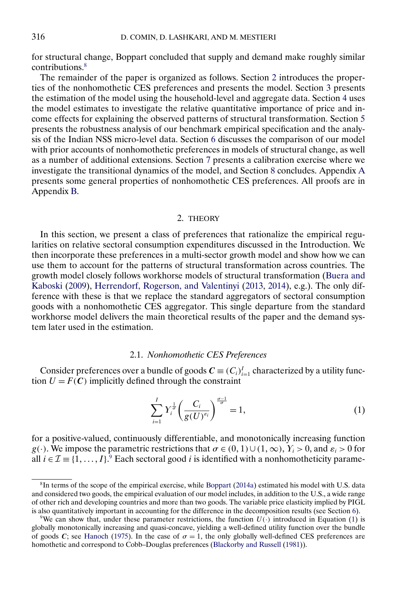<span id="page-5-0"></span>for structural change, Boppart concluded that supply and demand make roughly similar contributions.8

The remainder of the paper is organized as follows. Section 2 introduces the properties of the nonhomothetic CES preferences and presents the model. Section [3](#page-18-0) presents the estimation of the model using the household-level and aggregate data. Section [4](#page-26-0) uses the model estimates to investigate the relative quantitative importance of price and income effects for explaining the observed patterns of structural transformation. Section [5](#page-28-0) presents the robustness analysis of our benchmark empirical specification and the analysis of the Indian NSS micro-level data. Section [6](#page-32-0) discusses the comparison of our model with prior accounts of nonhomothetic preferences in models of structural change, as well as a number of additional extensions. Section [7](#page-38-0) presents a calibration exercise where we investigate the transitional dynamics of the model, and Section [8](#page-41-0) concludes. Appendix [A](#page-42-0) presents some general properties of nonhomothetic CES preferences. All proofs are in Appendix [B.](#page-48-0)

## 2. THEORY

In this section, we present a class of preferences that rationalize the empirical regularities on relative sectoral consumption expenditures discussed in the Introduction. We then incorporate these preferences in a multi-sector growth model and show how we can use them to account for the patterns of structural transformation across countries. The growth model closely follows workhorse models of structural transformation [\(Buera and](#page-62-0) [Kaboski](#page-62-0) [\(2009\)](#page-62-0), [Herrendorf, Rogerson, and Valentinyi](#page-62-0) [\(2013,](#page-62-0) [2014\)](#page-62-0), e.g.). The only difference with these is that we replace the standard aggregators of sectoral consumption goods with a nonhomothetic CES aggregator. This single departure from the standard workhorse model delivers the main theoretical results of the paper and the demand system later used in the estimation.

### 2.1. *Nonhomothetic CES Preferences*

Consider preferences over a bundle of goods  $C \equiv (C_i)_{i=1}^I$  characterized by a utility function  $U = F(C)$  implicitly defined through the constraint

$$
\sum_{i=1}^{I} Y_i^{\frac{1}{\sigma}} \left( \frac{C_i}{g(U)^{s_i}} \right)^{\frac{\sigma-1}{\sigma}} = 1, \tag{1}
$$

for a positive-valued, continuously differentiable, and monotonically increasing function g(·). We impose the parametric restrictions that  $\sigma \in (0, 1) \cup (1, \infty)$ ,  $Y_i > 0$ , and  $\varepsilon_i > 0$  for all  $i \in \mathcal{I}$  ≡ {1, ..., *I*}.<sup>9</sup> Each sectoral good *i* is identified with a nonhomotheticity parame-

<sup>8</sup>In terms of the scope of the empirical exercise, while [Boppart](#page-61-0) [\(2014a\)](#page-61-0) estimated his model with U.S. data and considered two goods, the empirical evaluation of our model includes, in addition to the U.S., a wide range of other rich and developing countries and more than two goods. The variable price elasticity implied by PIGL is also quantitatively important in accounting for the difference in the decomposition results (see Section [6\)](#page-32-0).

<sup>&</sup>lt;sup>9</sup>We can show that, under these parameter restrictions, the function  $U(\cdot)$  introduced in Equation (1) is globally monotonically increasing and quasi-concave, yielding a well-defined utility function over the bundle of goods C; see [Hanoch](#page-62-0) [\(1975\)](#page-62-0). In the case of  $\sigma = 1$ , the only globally well-defined CES preferences are homothetic and correspond to Cobb–Douglas preferences [\(Blackorby and Russell](#page-61-0) [\(1981\)](#page-61-0)).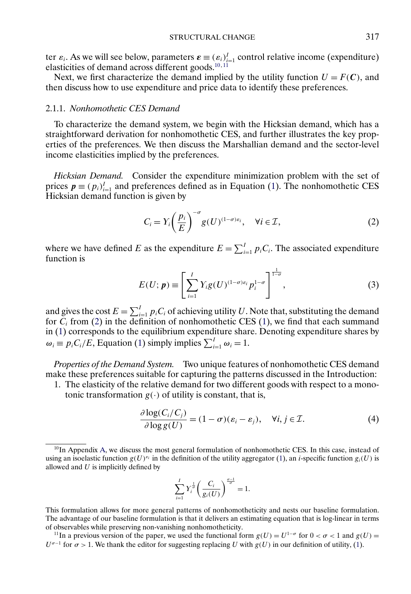<span id="page-6-0"></span>ter  $\varepsilon_i$ . As we will see below, parameters  $\varepsilon = (\varepsilon_i)_{i=1}^I$  control relative income (expenditure) elasticities of demand across different goods. $10,11$ 

Next, we first characterize the demand implied by the utility function  $U = F(C)$ , and then discuss how to use expenditure and price data to identify these preferences.

## 2.1.1. *Nonhomothetic CES Demand*

To characterize the demand system, we begin with the Hicksian demand, which has a straightforward derivation for nonhomothetic CES, and further illustrates the key properties of the preferences. We then discuss the Marshallian demand and the sector-level income elasticities implied by the preferences.

*Hicksian Demand.* Consider the expenditure minimization problem with the set of prices  $p \equiv (p_i)_{i=1}^I$  and preferences defined as in Equation [\(1\)](#page-5-0). The nonhomothetic CES Hicksian demand function is given by

$$
C_i = Y_i \left(\frac{p_i}{E}\right)^{-\sigma} g(U)^{(1-\sigma)\varepsilon_i}, \quad \forall i \in \mathcal{I}, \tag{2}
$$

where we have defined E as the expenditure  $E = \sum_{i=1}^{I} p_i C_i$ . The associated expenditure function is

$$
E(U; p) \equiv \left[ \sum_{i=1}^{I} Y_i g(U)^{(1-\sigma)\varepsilon_i} p_i^{1-\sigma} \right]^{\frac{1}{1-\sigma}}, \tag{3}
$$

and gives the cost  $E = \sum_{i=1}^{I} p_i C_i$  of achieving utility U. Note that, substituting the demand for  $C_i$  from (2) in the definition of nonhomothetic CES [\(1\)](#page-5-0), we find that each summand in [\(1\)](#page-5-0) corresponds to the equilibrium expenditure share. Denoting expenditure shares by  $\omega_i \equiv p_i C_i / E$ , Equation [\(1\)](#page-5-0) simply implies  $\sum_{i=1}^{I} \omega_i = 1$ .

*Properties of the Demand System.* Two unique features of nonhomothetic CES demand make these preferences suitable for capturing the patterns discussed in the Introduction:

1. The elasticity of the relative demand for two different goods with respect to a monotonic transformation  $g(\cdot)$  of utility is constant, that is,

$$
\frac{\partial \log(C_i/C_j)}{\partial \log g(U)} = (1 - \sigma)(\varepsilon_i - \varepsilon_j), \quad \forall i, j \in \mathcal{I}.
$$
 (4)

$$
\sum_{i=1}^{I} Y_i^{\frac{1}{\sigma}} \left( \frac{C_i}{g_i(U)} \right)^{\frac{\sigma-1}{\sigma}} = 1.
$$

<sup>&</sup>lt;sup>10</sup>In Appendix [A,](#page-42-0) we discuss the most general formulation of nonhomothetic CES. In this case, instead of using an isoelastic function  $g(U)^{s_i}$  in the definition of the utility aggregator [\(1\)](#page-5-0), an *i*-specific function  $g_i(U)$  is allowed and  $U$  is implicitly defined by

This formulation allows for more general patterns of nonhomotheticity and nests our baseline formulation. The advantage of our baseline formulation is that it delivers an estimating equation that is log-linear in terms of observables while preserving non-vanishing nonhomotheticity.

<sup>&</sup>lt;sup>11</sup>In a previous version of the paper, we used the functional form  $g(U) = U^{1-\sigma}$  for  $0 < \sigma < 1$  and  $g(U) =$  $U^{\sigma-1}$  for  $\sigma > 1$ . We thank the editor for suggesting replacing U with  $g(U)$  in our definition of utility, [\(1\)](#page-5-0).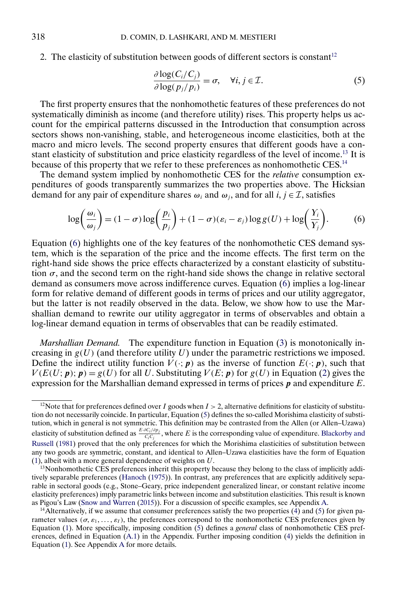<span id="page-7-0"></span>2. The elasticity of substitution between goods of different sectors is constant<sup>12</sup>

$$
\frac{\partial \log(C_i/C_j)}{\partial \log(p_j/p_i)} = \sigma, \quad \forall i, j \in \mathcal{I}.
$$
\n(5)

The first property ensures that the nonhomothetic features of these preferences do not systematically diminish as income (and therefore utility) rises. This property helps us account for the empirical patterns discussed in the Introduction that consumption across sectors shows non-vanishing, stable, and heterogeneous income elasticities, both at the macro and micro levels. The second property ensures that different goods have a constant elasticity of substitution and price elasticity regardless of the level of income.<sup>13</sup> It is because of this property that we refer to these preferences as nonhomothetic CES.<sup>14</sup>

The demand system implied by nonhomothetic CES for the *relative* consumption expenditures of goods transparently summarizes the two properties above. The Hicksian demand for any pair of expenditure shares  $\omega_i$  and  $\omega_j$ , and for all  $i, j \in \mathcal{I}$ , satisfies

$$
\log\left(\frac{\omega_i}{\omega_j}\right) = (1 - \sigma)\log\left(\frac{p_i}{p_j}\right) + (1 - \sigma)(\varepsilon_i - \varepsilon_j)\log g(U) + \log\left(\frac{Y_i}{Y_j}\right). \tag{6}
$$

Equation (6) highlights one of the key features of the nonhomothetic CES demand system, which is the separation of the price and the income effects. The first term on the right-hand side shows the price effects characterized by a constant elasticity of substitution  $\sigma$ , and the second term on the right-hand side shows the change in relative sectoral demand as consumers move across indifference curves. Equation (6) implies a log-linear form for relative demand of different goods in terms of prices and our utility aggregator, but the latter is not readily observed in the data. Below, we show how to use the Marshallian demand to rewrite our utility aggregator in terms of observables and obtain a log-linear demand equation in terms of observables that can be readily estimated.

*Marshallian Demand.* The expenditure function in Equation [\(3\)](#page-6-0) is monotonically increasing in  $g(U)$  (and therefore utility U) under the parametric restrictions we imposed. Define the indirect utility function  $V(\cdot; p)$  as the inverse of function  $E(\cdot; p)$ , such that  $V(E(U; p); p) = g(U)$  for all U. Substituting  $V(E; p)$  for  $g(U)$  in Equation [\(2\)](#page-6-0) gives the expression for the Marshallian demand expressed in terms of prices  $\vec{p}$  and expenditure E.

<sup>&</sup>lt;sup>12</sup>Note that for preferences defined over I goods when  $I > 2$ , alternative definitions for elasticity of substitution do not necessarily coincide. In particular, Equation (5) defines the so-called Morishima elasticity of substitution, which in general is not symmetric. This definition may be contrasted from the Allen (or Allen–Uzawa) elasticity of substitution defined as  $\frac{E \cdot \partial C_i/\partial p_j}{C_iC_j}$ , where E is the corresponding value of expenditure. [Blackorby and](#page-61-0) [Russell](#page-61-0) [\(1981\)](#page-61-0) proved that the only preferences for which the Morishima elasticities of substitution between any two goods are symmetric, constant, and identical to Allen–Uzawa elasticities have the form of Equation [\(1\)](#page-5-0), albeit with a more general dependence of weights on U.

<sup>&</sup>lt;sup>13</sup>Nonhomothetic CES preferences inherit this property because they belong to the class of implicitly additively separable preferences [\(Hanoch](#page-62-0) [\(1975\)](#page-62-0)). In contrast, any preferences that are explicitly additively separable in sectoral goods (e.g., Stone–Geary, price independent generalized linear, or constant relative income elasticity preferences) imply parametric links between income and substitution elasticities. This result is known as Pigou's Law [\(Snow and Warren](#page-63-0) [\(2015\)](#page-63-0)). For a discussion of specific examples, see Appendix [A.](#page-42-0)

 $14$ Alternatively, if we assume that consumer preferences satisfy the two properties [\(4\)](#page-6-0) and (5) for given parameter values  $(\sigma, \varepsilon_1, \ldots, \varepsilon_l)$ , the preferences correspond to the nonhomothetic CES preferences given by Equation [\(1\)](#page-5-0). More specifically, imposing condition (5) defines a *general* class of nonhomothetic CES preferences, defined in Equation [\(A.1\)](#page-42-0) in the Appendix. Further imposing condition [\(4\)](#page-6-0) yields the definition in Equation [\(1\)](#page-5-0). See Appendix [A](#page-42-0) for more details.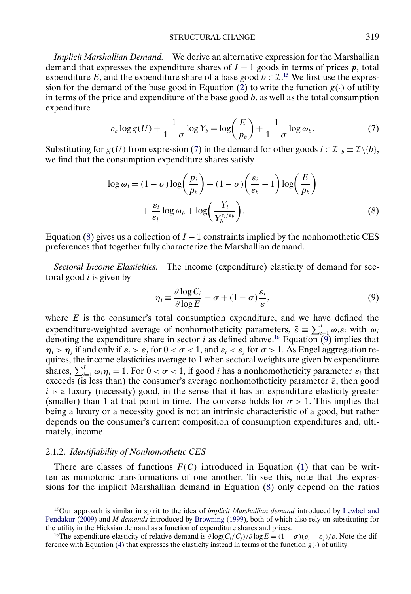STRUCTURAL CHANGE 319

<span id="page-8-0"></span>*Implicit Marshallian Demand.* We derive an alternative expression for the Marshallian demand that expresses the expenditure shares of  $I - 1$  goods in terms of prices p, total expenditure E, and the expenditure share of a base good  $b \in \mathcal{I}$ .<sup>15</sup> We first use the expres-sion for the demand of the base good in Equation [\(2\)](#page-6-0) to write the function  $g(\cdot)$  of utility in terms of the price and expenditure of the base good  $b$ , as well as the total consumption expenditure

$$
\varepsilon_b \log g(U) + \frac{1}{1-\sigma} \log Y_b = \log \left(\frac{E}{p_b}\right) + \frac{1}{1-\sigma} \log \omega_b. \tag{7}
$$

Substituting for  $g(U)$  from expression (7) in the demand for other goods  $i \in \mathcal{I}_{-b} \equiv \mathcal{I}\setminus\{b\},$ we find that the consumption expenditure shares satisfy

$$
\log \omega_i = (1 - \sigma) \log \left( \frac{p_i}{p_b} \right) + (1 - \sigma) \left( \frac{\varepsilon_i}{\varepsilon_b} - 1 \right) \log \left( \frac{E}{p_b} \right)
$$

$$
+ \frac{\varepsilon_i}{\varepsilon_b} \log \omega_b + \log \left( \frac{Y_i}{Y_b^{\varepsilon_i/\varepsilon_b}} \right). \tag{8}
$$

Equation (8) gives us a collection of  $I - 1$  constraints implied by the nonhomothetic CES preferences that together fully characterize the Marshallian demand.

*Sectoral Income Elasticities.* The income (expenditure) elasticity of demand for sectoral good  $i$  is given by

$$
\eta_i \equiv \frac{\partial \log C_i}{\partial \log E} = \sigma + (1 - \sigma) \frac{\varepsilon_i}{\bar{\varepsilon}},\tag{9}
$$

where  $E$  is the consumer's total consumption expenditure, and we have defined the expenditure-weighted average of nonhomotheticity parameters,  $\bar{\varepsilon} = \sum_{i=1}^{I} \omega_i \varepsilon_i$  with  $\omega_i$ denoting the expenditure share in sector *i* as defined above.<sup>16</sup> Equation  $\overline{9}$  implies that  $\eta_i > \eta_j$  if and only if  $\varepsilon_i > \varepsilon_j$  for  $0 < \sigma < 1$ , and  $\varepsilon_i < \varepsilon_j$  for  $\sigma > 1$ . As Engel aggregation requires, the income elasticities average to 1 when sectoral weights are given by expenditure shares,  $\sum_{i=1}^{I} \omega_i \eta_i = 1$ . For  $0 < \sigma < 1$ , if good *i* has a nonhomotheticity parameter  $\varepsilon_i$  that exceeds (is less than) the consumer's average nonhomotheticity parameter  $\bar{\epsilon}$ , then good  $i$  is a luxury (necessity) good, in the sense that it has an expenditure elasticity greater (smaller) than 1 at that point in time. The converse holds for  $\sigma > 1$ . This implies that being a luxury or a necessity good is not an intrinsic characteristic of a good, but rather depends on the consumer's current composition of consumption expenditures and, ultimately, income.

## 2.1.2. *Identifiability of Nonhomothetic CES*

There are classes of functions  $F(C)$  introduced in Equation [\(1\)](#page-5-0) that can be written as monotonic transformations of one another. To see this, note that the expressions for the implicit Marshallian demand in Equation (8) only depend on the ratios

<sup>15</sup>Our approach is similar in spirit to the idea of *implicit Marshallian demand* introduced by [Lewbel and](#page-63-0) [Pendakur](#page-63-0) [\(2009\)](#page-63-0) and *M-demands* introduced by [Browning](#page-61-0) [\(1999\)](#page-61-0), both of which also rely on substituting for the utility in the Hicksian demand as a function of expenditure shares and prices.

<sup>&</sup>lt;sup>16</sup>The expenditure elasticity of relative demand is  $\partial \log(C_i/C_i)/\partial \log E = (1 - \sigma)(\varepsilon_i - \varepsilon_i)/\bar{\varepsilon}$ . Note the dif-ference with Equation [\(4\)](#page-6-0) that expresses the elasticity instead in terms of the function  $g(\cdot)$  of utility.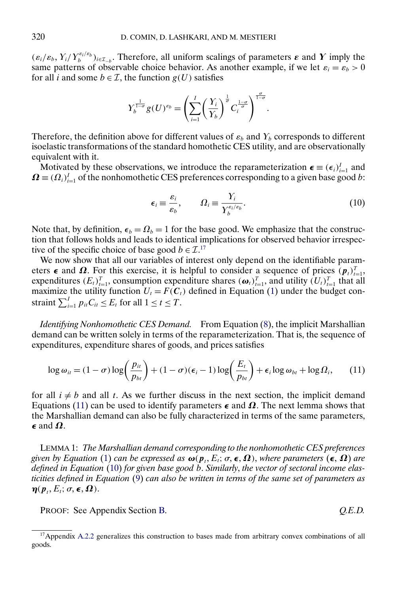<span id="page-9-0"></span> $(\varepsilon_i/\varepsilon_b, Y_i/Y_b^{\varepsilon_i/\varepsilon_b})_{i\in\mathcal{I}_{-b}}$ . Therefore, all uniform scalings of parameters  $\varepsilon$  and  $Y$  imply the same patterns of observable choice behavior. As another example, if we let  $\varepsilon_i = \varepsilon_b > 0$ for all *i* and some  $b \in \mathcal{I}$ , the function  $g(U)$  satisfies

$$
Y_b^{\frac{1}{1-\sigma}} g(U)^{\varepsilon_b} = \left(\sum_{i=1}^I \left(\frac{Y_i}{Y_b}\right)^{\frac{1}{\sigma}} C_i^{\frac{1-\sigma}{\sigma}}\right)^{\frac{\sigma}{1-\sigma}}.
$$

Therefore, the definition above for different values of  $\varepsilon_b$  and  $Y_b$  corresponds to different isoelastic transformations of the standard homothetic CES utility, and are observationally equivalent with it.

Motivated by these observations, we introduce the reparameterization  $\boldsymbol{\epsilon} \equiv (\epsilon_i)_{i=1}^I$  and  $\mathbf{\Omega} \equiv (\Omega_i)_{i=1}^I$  of the nonhomothetic CES preferences corresponding to a given base good b:

$$
\epsilon_i \equiv \frac{\varepsilon_i}{\varepsilon_b}, \qquad \Omega_i \equiv \frac{Y_i}{Y_b^{\varepsilon_i/\varepsilon_b}}.
$$
\n(10)

Note that, by definition,  $\epsilon_b = \Omega_b = 1$  for the base good. We emphasize that the construction that follows holds and leads to identical implications for observed behavior irrespective of the specific choice of base good  $b \in \mathcal{I}^{17}$ .

We now show that all our variables of interest only depend on the identifiable parameters  $\epsilon$  and  $\Omega$ . For this exercise, it is helpful to consider a sequence of prices  $(p_t)_{t=1}^T$ , expenditures  $(E_t)_{t=1}^T$ , consumption expenditure shares  $(\boldsymbol{\omega}_t)_{t=1}^T$ , and utility  $(U_t)_{t=1}^T$  that all maximize the utility function  $U_t = F(C_t)$  defined in Equation [\(1\)](#page-5-0) under the budget constraint  $\sum_{i=1}^{I} p_{it} C_{it} \leq E_t$  for all  $1 \leq t \leq T$ .

*Identifying Nonhomothetic CES Demand.* From Equation [\(8\)](#page-8-0), the implicit Marshallian demand can be written solely in terms of the reparameterization. That is, the sequence of expenditures, expenditure shares of goods, and prices satisfies

$$
\log \omega_{it} = (1 - \sigma) \log \left( \frac{p_{it}}{p_{bt}} \right) + (1 - \sigma) (\epsilon_i - 1) \log \left( \frac{E_t}{p_{bt}} \right) + \epsilon_i \log \omega_{bt} + \log \Omega_i, \tag{11}
$$

for all  $i \neq b$  and all t. As we further discuss in the next section, the implicit demand Equations (11) can be used to identify parameters  $\epsilon$  and  $\Omega$ . The next lemma shows that the Marshallian demand can also be fully characterized in terms of the same parameters,  $\epsilon$  and  $\Omega$ .

LEMMA 1: *The Marshallian demand corresponding to the nonhomothetic CES preferences given by Equation* [\(1\)](#page-5-0) *can be expressed as*  $\omega(p_t, E_t; \sigma, \epsilon, \Omega)$ , *where parameters*  $(\epsilon, \Omega)$  *are defined in Equation* (10) *for given base good* b. *Similarly*, *the vector of sectoral income elasticities defined in Equation* [\(9\)](#page-8-0) *can also be written in terms of the same set of parameters as*  $\boldsymbol{\eta}(\boldsymbol{p}_t, E_t; \sigma, \boldsymbol{\epsilon}, \boldsymbol{\Omega}).$ 

PROOF: See Appendix Section [B.](#page-48-0) *Q.E.D.*

<sup>&</sup>lt;sup>17</sup>Appendix [A.2.2](#page-46-0) generalizes this construction to bases made from arbitrary convex combinations of all goods.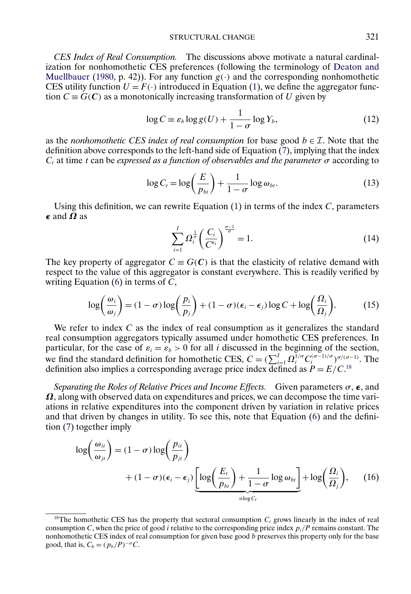### STRUCTURAL CHANGE 321

<span id="page-10-0"></span>*CES Index of Real Consumption.* The discussions above motivate a natural cardinalization for nonhomothetic CES preferences (following the terminology of [Deaton and](#page-62-0) [Muellbauer](#page-62-0) [\(1980,](#page-62-0) p. 42)). For any function  $g(\cdot)$  and the corresponding nonhomothetic CES utility function  $U = F(\cdot)$  introduced in Equation [\(1\)](#page-5-0), we define the aggregator function  $C \equiv G(C)$  as a monotonically increasing transformation of U given by

$$
\log C \equiv \varepsilon_b \log g(U) + \frac{1}{1 - \sigma} \log Y_b,
$$
\n(12)

as the *nonhomothetic CES index of real consumption* for base good  $b \in \mathcal{I}$ . Note that the definition above corresponds to the left-hand side of Equation  $(7)$ , implying that the index  $C_t$ , at time t can be *expressed as a function of observables and the parameter*  $\sigma$  according to

$$
\log C_t = \log\left(\frac{E}{p_{bt}}\right) + \frac{1}{1-\sigma}\log\omega_{bt}.\tag{13}
$$

Using this definition, we can rewrite Equation  $(1)$  in terms of the index C, parameters  $\epsilon$  and  $\Omega$  as

$$
\sum_{i=1}^{I} \Omega_i^{\frac{1}{\sigma}} \left( \frac{C_i}{C^{\epsilon_i}} \right)^{\frac{\sigma-1}{\sigma}} = 1. \tag{14}
$$

The key property of aggregator  $C \equiv G(C)$  is that the elasticity of relative demand with respect to the value of this aggregator is constant everywhere. This is readily verified by writing Equation  $(6)$  in terms of C,

$$
\log\left(\frac{\omega_i}{\omega_j}\right) = (1 - \sigma)\log\left(\frac{p_i}{p_j}\right) + (1 - \sigma)(\epsilon_i - \epsilon_j)\log C + \log\left(\frac{\Omega_i}{\Omega_j}\right). \tag{15}
$$

We refer to index  $C$  as the index of real consumption as it generalizes the standard real consumption aggregators typically assumed under homothetic CES preferences. In particular, for the case of  $\varepsilon_i = \varepsilon_b > 0$  for all *i* discussed in the beginning of the section, we find the standard definition for homothetic CES,  $C = (\sum_{i=1}^{I} \Omega_i^{1/\sigma} C_i^{(\sigma-1)/\sigma})^{\sigma/(\sigma-1)}$ . The definition also implies a corresponding average price index defined as  $P = E/C$ .<sup>18</sup>

*Separating the Roles of Relative Prices and Income Effects.* Given parameters  $\sigma$ ,  $\epsilon$ , and  $\Omega$ , along with observed data on expenditures and prices, we can decompose the time variations in relative expenditures into the component driven by variation in relative prices and that driven by changes in utility. To see this, note that Equation [\(6\)](#page-7-0) and the definition [\(7\)](#page-8-0) together imply

$$
\log\left(\frac{\omega_{it}}{\omega_{jt}}\right) = (1 - \sigma) \log\left(\frac{p_{it}}{p_{jt}}\right) + (1 - \sigma)(\epsilon_i - \epsilon_j) \underbrace{\left[\log\left(\frac{E_t}{p_{bt}}\right) + \frac{1}{1 - \sigma} \log \omega_{bt}\right]}_{\equiv \log C_t} + \log\left(\frac{\Omega_i}{\Omega_j}\right), \quad (16)
$$

<sup>&</sup>lt;sup>18</sup>The homothetic CES has the property that sectoral consumption  $C_i$  grows linearly in the index of real consumption C, when the price of good *i* relative to the corresponding price index  $p_i/P$  remains constant. The nonhomothetic CES index of real consumption for given base good b preserves this property only for the base good, that is,  $C_b = (p_b/P)^{-\sigma}C$ .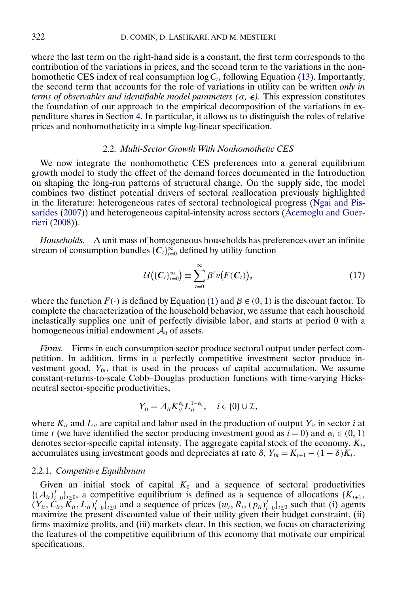<span id="page-11-0"></span>where the last term on the right-hand side is a constant, the first term corresponds to the contribution of the variations in prices, and the second term to the variations in the nonhomothetic CES index of real consumption  $log C_t$ , following Equation [\(13\)](#page-10-0). Importantly, the second term that accounts for the role of variations in utility can be written *only in terms of observables and identifiable model parameters (* $\sigma$ *,*  $\epsilon$ *). This expression constitutes* the foundation of our approach to the empirical decomposition of the variations in expenditure shares in Section [4.](#page-26-0) In particular, it allows us to distinguish the roles of relative prices and nonhomotheticity in a simple log-linear specification.

### 2.2. *Multi-Sector Growth With Nonhomothetic CES*

We now integrate the nonhomothetic CES preferences into a general equilibrium growth model to study the effect of the demand forces documented in the Introduction on shaping the long-run patterns of structural change. On the supply side, the model combines two distinct potential drivers of sectoral reallocation previously highlighted in the literature: heterogeneous rates of sectoral technological progress [\(Ngai and Pis](#page-63-0)[sarides](#page-63-0) [\(2007\)](#page-63-0)) and heterogeneous capital-intensity across sectors [\(Acemoglu and Guer](#page-61-0)[rieri](#page-61-0) [\(2008\)](#page-61-0)).

*Households.* A unit mass of homogeneous households has preferences over an infinite stream of consumption bundles  $\{C_t\}_{t=0}^{\infty}$  defined by utility function

$$
\mathcal{U}(\{C_t\}_{t=0}^{\infty}) \equiv \sum_{t=0}^{\infty} \beta^t v(F(C_t)), \qquad (17)
$$

where the function  $F(\cdot)$  is defined by Equation [\(1\)](#page-5-0) and  $\beta \in (0, 1)$  is the discount factor. To complete the characterization of the household behavior, we assume that each household inelastically supplies one unit of perfectly divisible labor, and starts at period 0 with a homogeneous initial endowment  $A_0$  of assets.

*Firms.* Firms in each consumption sector produce sectoral output under perfect competition. In addition, firms in a perfectly competitive investment sector produce investment good,  $Y_{0t}$ , that is used in the process of capital accumulation. We assume constant-returns-to-scale Cobb–Douglas production functions with time-varying Hicksneutral sector-specific productivities,

$$
Y_{it} = A_{it} K_{it}^{\alpha_i} L_{it}^{1-\alpha_i}, \quad i \in \{0\} \cup \mathcal{I},
$$

where  $K_{it}$  and  $L_{it}$  are capital and labor used in the production of output  $Y_{it}$  in sector i at time t (we have identified the sector producing investment good as  $i = 0$ ) and  $\alpha_i \in (0, 1)$ denotes sector-specific capital intensity. The aggregate capital stock of the economy,  $K_t$ , accumulates using investment goods and depreciates at rate  $\delta$ ,  $Y_{0t} = K_{t+1} - (1 - \delta)K_t$ .

### 2.2.1. *Competitive Equilibrium*

Given an initial stock of capital  $K_0$  and a sequence of sectoral productivities  $\{(A_{it})_{i=0}^I\}_{t\geq0}$ , a competitive equilibrium is defined as a sequence of allocations  $\{K_{t+1},$  $(Y_{it}, C_{it}, K_{it}, L_{it})_{i=0}^I$ <sub>t≥0</sub> and a sequence of prices  $\{w_t, R_t, (p_{it})_{i=0}^I\}_{t\geq0}$  such that (i) agents maximize the present discounted value of their utility given their budget constraint, (ii) firms maximize profits, and (iii) markets clear. In this section, we focus on characterizing the features of the competitive equilibrium of this economy that motivate our empirical specifications.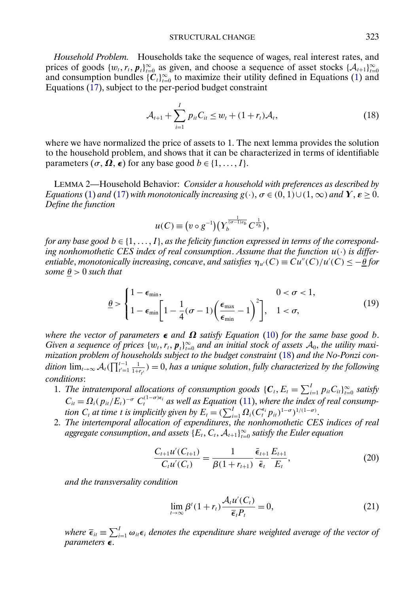STRUCTURAL CHANGE 323

<span id="page-12-0"></span>*Household Problem.* Households take the sequence of wages, real interest rates, and prices of goods  $\{w_t, r_t, p_t\}_{t=0}^{\infty}$  as given, and choose a sequence of asset stocks  $\{\mathcal{A}_{t+1}\}_{t=0}^{\infty}$ and consumption bundles  $\{C_t\}_{t=0}^{\infty}$  to maximize their utility defined in Equations [\(1\)](#page-5-0) and Equations [\(17\)](#page-11-0), subject to the per-period budget constraint

$$
\mathcal{A}_{t+1} + \sum_{i=1}^{I} p_{it} C_{it} \le w_t + (1 + r_t) \mathcal{A}_t,
$$
\n(18)

where we have normalized the price of assets to 1. The next lemma provides the solution to the household problem, and shows that it can be characterized in terms of identifiable parameters  $(\sigma, \Omega, \epsilon)$  for any base good  $b \in \{1, ..., I\}$ .

LEMMA 2—Household Behavior: *Consider a household with preferences as described by Equations* [\(1\)](#page-5-0) and [\(17\)](#page-11-0) with monotonically increasing  $g(\cdot), \sigma \in (0, 1) \cup (1, \infty)$  and  $\bm{Y}, \bm{\varepsilon} \geq 0$ . *Define the function*

$$
u(C) \equiv (v \circ g^{-1})(Y_b^{\frac{1}{(\sigma-1)\epsilon_b}} C^{\frac{1}{\epsilon_b}}),
$$

for any base good  $b \in \{1, \ldots, I\}$ , as the felicity function expressed in terms of the correspond*ing nonhomothetic CES index of real consumption*. *Assume that the function* u(·) *is differentiable, monotonically increasing, concave, and satisfies*  $\eta_{u'}(C) \equiv Cu''(C)/u'(C) \leq -\frac{\theta}{2}$  *for some*  $\theta > 0$  *such that* 

$$
\underline{\theta} > \begin{cases} 1 - \epsilon_{\min}, & 0 < \sigma < 1, \\ 1 - \epsilon_{\min} \left[ 1 - \frac{1}{4} (\sigma - 1) \left( \frac{\epsilon_{\max}}{\epsilon_{\min}} - 1 \right)^2 \right], & 1 < \sigma, \end{cases} \tag{19}
$$

*where the vector of parameters*  $\epsilon$  *and*  $\Omega$  *satisfy Equation* [\(10\)](#page-9-0) *for the same base good b. Given a sequence of prices*  $\{w_t, r_t, p_t\}_{t=0}^{\infty}$  *and an initial stock of assets*  $A_0$ *, the utility maximization problem of households subject to the budget constraint* (18) *and the No-Ponzi con*dition  $\lim_{t\to\infty} \mathcal{A}_t(\prod_{t'=1}^{t-1}\frac{1}{1+r_{t'}})=0$ , has a unique solution, fully characterized by the following *conditions*:

- 1. The intratemporal allocations of consumption goods  $\{C_t, E_t = \sum_{i=1}^I p_{it} C_{it}\}_{t=0}^{\infty}$  satisfy  $C_{it} = \Omega_i (p_{it}/E_t)^{-\sigma} C_t^{(1-\sigma)\epsilon_i}$  as well as Equation [\(11\)](#page-9-0), where the index of real consump*tion*  $C_t$  *at time t is implicitly given by*  $E_t = (\sum_{i=1}^I \Omega_i (C_t^{\epsilon_i} p_{it})^{1-\sigma})^{1/(1-\sigma)}$ .
- 2. *The intertemporal allocation of expenditures*, *the nonhomothetic CES indices of real* aggregate consumption, and assets  $\{E_{t}, C_{t}, \mathcal{A}_{t+1}\}_{t=0}^{\infty}$  satisfy the Euler equation

$$
\frac{C_{t+1}u'(C_{t+1})}{C_t u'(C_t)} = \frac{1}{\beta(1+r_{t+1})} \frac{\bar{\epsilon}_{t+1}}{\bar{\epsilon}_t} \frac{E_{t+1}}{E_t},
$$
\n(20)

*and the transversality condition*

$$
\lim_{t \to \infty} \beta'(1 + r_t) \frac{\mathcal{A}_t u'(C_t)}{\overline{\epsilon}_t P_t} = 0,
$$
\n(21)

where  $\overline{\epsilon}_{it} \equiv \sum_{i=1}^{I}\omega_{it}\epsilon_i$  denotes the expenditure share weighted average of the vector of *parameters*  $\epsilon$ .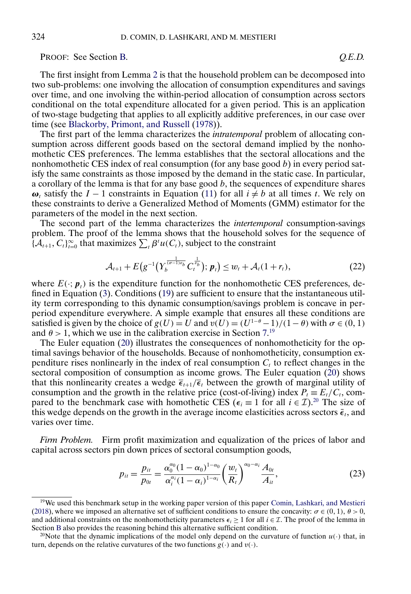<span id="page-13-0"></span>PROOF: See Section [B.](#page-48-0) *Q.E.D.*

The first insight from Lemma [2](#page-12-0) is that the household problem can be decomposed into two sub-problems: one involving the allocation of consumption expenditures and savings over time, and one involving the within-period allocation of consumption across sectors conditional on the total expenditure allocated for a given period. This is an application of two-stage budgeting that applies to all explicitly additive preferences, in our case over time (see [Blackorby, Primont, and Russell](#page-61-0) [\(1978\)](#page-61-0)).

The first part of the lemma characterizes the *intratemporal* problem of allocating consumption across different goods based on the sectoral demand implied by the nonhomothetic CES preferences. The lemma establishes that the sectoral allocations and the nonhomothetic CES index of real consumption (for any base good  $b$ ) in every period satisfy the same constraints as those imposed by the demand in the static case. In particular, a corollary of the lemma is that for any base good  $b$ , the sequences of expenditure shares  $\omega_t$  satisfy the I – 1 constraints in Equation [\(11\)](#page-9-0) for all  $i \neq b$  at all times t. We rely on these constraints to derive a Generalized Method of Moments (GMM) estimator for the parameters of the model in the next section.

The second part of the lemma characterizes the *intertemporal* consumption-savings problem. The proof of the lemma shows that the household solves for the sequence of  ${A_{t+1}, C_t}_{t=0}^{\infty}$  that maximizes  $\sum_{t} \beta^t u(C_t)$ , subject to the constraint

$$
\mathcal{A}_{t+1} + E(g^{-1}(Y_b^{\frac{1}{(\sigma-1)\epsilon_b}} C_t^{\frac{1}{\epsilon_b}}); \, \mathbf{p}_t) \le w_t + \mathcal{A}_t(1+r_t), \tag{22}
$$

where  $E(\cdot; p_t)$  is the expenditure function for the nonhomothetic CES preferences, defined in Equation [\(3\)](#page-6-0). Conditions [\(19\)](#page-12-0) are sufficient to ensure that the instantaneous utility term corresponding to this dynamic consumption/savings problem is concave in perperiod expenditure everywhere. A simple example that ensures all these conditions are satisfied is given by the choice of  $g(U) = U$  and  $v(U) = (U^{1-\theta} - 1)/(1-\theta)$  with  $\sigma \in (0, 1)$ and  $\theta > 1$ , which we use in the calibration exercise in Section [7.](#page-38-0)<sup>19</sup>

The Euler equation [\(20\)](#page-12-0) illustrates the consequences of nonhomotheticity for the optimal savings behavior of the households. Because of nonhomotheticity, consumption expenditure rises nonlinearly in the index of real consumption  $C<sub>t</sub>$  to reflect changes in the sectoral composition of consumption as income grows. The Euler equation [\(20\)](#page-12-0) shows that this nonlinearity creates a wedge  $\overline{\epsilon}_{t+1}/\overline{\epsilon}_t$  between the growth of marginal utility of consumption and the growth in the relative price (cost-of-living) index  $P_t = E_t/C_t$ , compared to the benchmark case with homothetic CES ( $\epsilon_i \equiv 1$  for all  $i \in \mathcal{I}$ ).<sup>20</sup> The size of this wedge depends on the growth in the average income elasticities across sectors  $\bar{\epsilon}_t$ , and varies over time.

*Firm Problem.* Firm profit maximization and equalization of the prices of labor and capital across sectors pin down prices of sectoral consumption goods,

$$
p_{it} = \frac{p_{it}}{p_{0t}} = \frac{\alpha_0^{\alpha_0} (1 - \alpha_0)^{1 - \alpha_0}}{\alpha_i^{\alpha_i} (1 - \alpha_i)^{1 - \alpha_i}} \left(\frac{w_t}{R_t}\right)^{\alpha_0 - \alpha_i} \frac{A_{0t}}{A_{it}},
$$
\n(23)

 $19$ We used this benchmark setup in the working paper version of this paper [Comin, Lashkari, and Mestieri](#page-62-0) [\(2018\)](#page-62-0), where we imposed an alternative set of sufficient conditions to ensure the concavity:  $\sigma \in (0, 1)$ ,  $\theta > 0$ , and additional constraints on the nonhomotheticity parameters  $\epsilon_i \ge 1$  for all  $i \in \mathcal{I}$ . The proof of the lemma in Section [B](#page-48-0) also provides the reasoning behind this alternative sufficient condition.

<sup>&</sup>lt;sup>20</sup>Note that the dynamic implications of the model only depend on the curvature of function  $u(\cdot)$  that, in turn, depends on the relative curvatures of the two functions  $g(\cdot)$  and  $v(\cdot)$ .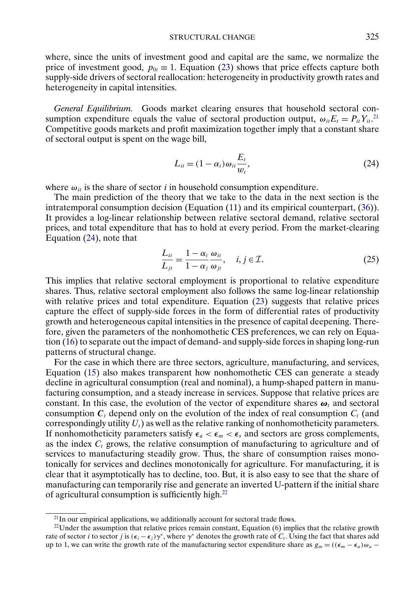<span id="page-14-0"></span>where, since the units of investment good and capital are the same, we normalize the price of investment good,  $p_{0t} \equiv 1$ . Equation [\(23\)](#page-13-0) shows that price effects capture both supply-side drivers of sectoral reallocation: heterogeneity in productivity growth rates and heterogeneity in capital intensities.

*General Equilibrium.* Goods market clearing ensures that household sectoral consumption expenditure equals the value of sectoral production output,  $\omega_{it} E_t = P_{it} Y_{it}^{21}$ . Competitive goods markets and profit maximization together imply that a constant share of sectoral output is spent on the wage bill,

$$
L_{it} = (1 - \alpha_i) \omega_{it} \frac{E_t}{w_t},
$$
\n(24)

where  $\omega_{it}$  is the share of sector *i* in household consumption expenditure.

The main prediction of the theory that we take to the data in the next section is the intratemporal consumption decision (Equation [\(11\)](#page-9-0) and its empirical counterpart, [\(36\)](#page-20-0)). It provides a log-linear relationship between relative sectoral demand, relative sectoral prices, and total expenditure that has to hold at every period. From the market-clearing Equation (24), note that

$$
\frac{L_{it}}{L_{jt}} = \frac{1 - \alpha_i}{1 - \alpha_j} \frac{\omega_{it}}{\omega_{jt}}, \quad i, j \in \mathcal{I}.
$$
\n(25)

This implies that relative sectoral employment is proportional to relative expenditure shares. Thus, relative sectoral employment also follows the same log-linear relationship with relative prices and total expenditure. Equation [\(23\)](#page-13-0) suggests that relative prices capture the effect of supply-side forces in the form of differential rates of productivity growth and heterogeneous capital intensities in the presence of capital deepening. Therefore, given the parameters of the nonhomothetic CES preferences, we can rely on Equation [\(16\)](#page-10-0) to separate out the impact of demand- and supply-side forces in shaping long-run patterns of structural change.

For the case in which there are three sectors, agriculture, manufacturing, and services, Equation [\(15\)](#page-10-0) also makes transparent how nonhomothetic CES can generate a steady decline in agricultural consumption (real and nominal), a hump-shaped pattern in manufacturing consumption, and a steady increase in services. Suppose that relative prices are constant. In this case, the evolution of the vector of expenditure shares  $\boldsymbol{\omega}_t$  and sectoral consumption  $C_t$  depend only on the evolution of the index of real consumption  $C_t$  (and correspondingly utility  $U_t$ ) as well as the relative ranking of nonhomotheticity parameters. If nonhomotheticity parameters satisfy  $\epsilon_a < \epsilon_m < \epsilon_s$  and sectors are gross complements, as the index  $C_t$  grows, the relative consumption of manufacturing to agriculture and of services to manufacturing steadily grow. Thus, the share of consumption raises monotonically for services and declines monotonically for agriculture. For manufacturing, it is clear that it asymptotically has to decline, too. But, it is also easy to see that the share of manufacturing can temporarily rise and generate an inverted U-pattern if the initial share of agricultural consumption is sufficiently high.22

 $21$ In our empirical applications, we additionally account for sectoral trade flows.

<sup>&</sup>lt;sup>22</sup>Under the assumption that relative prices remain constant, Equation  $(6)$  implies that the relative growth rate of sector i to sector j is  $(\epsilon_i - \epsilon_j)\gamma^*$ , where  $\gamma^*$  denotes the growth rate of  $C_i$ . Using the fact that shares add up to 1, we can write the growth rate of the manufacturing sector expenditure share as  $g_m = ((\epsilon_m - \epsilon_a)\omega_a -$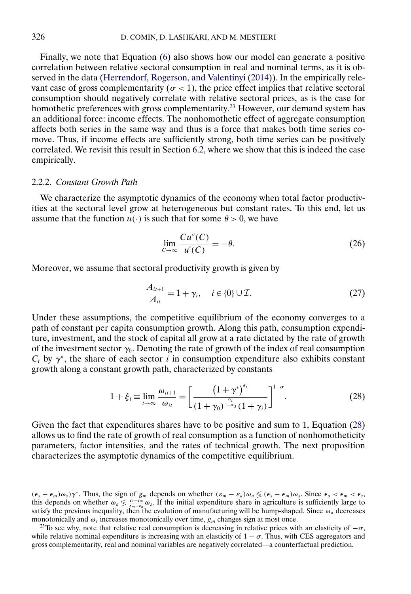<span id="page-15-0"></span>Finally, we note that Equation [\(6\)](#page-7-0) also shows how our model can generate a positive correlation between relative sectoral consumption in real and nominal terms, as it is observed in the data [\(Herrendorf, Rogerson, and Valentinyi](#page-62-0) [\(2014\)](#page-62-0)). In the empirically relevant case of gross complementarity ( $\sigma$  < 1), the price effect implies that relative sectoral consumption should negatively correlate with relative sectoral prices, as is the case for homothetic preferences with gross complementarity.<sup>23</sup> However, our demand system has an additional force: income effects. The nonhomothetic effect of aggregate consumption affects both series in the same way and thus is a force that makes both time series comove. Thus, if income effects are sufficiently strong, both time series can be positively correlated. We revisit this result in Section [6.2,](#page-34-0) where we show that this is indeed the case empirically.

# 2.2.2. *Constant Growth Path*

We characterize the asymptotic dynamics of the economy when total factor productivities at the sectoral level grow at heterogeneous but constant rates. To this end, let us assume that the function  $u(\cdot)$  is such that for some  $\theta > 0$ , we have

$$
\lim_{C \to \infty} \frac{Cu''(C)}{u'(C)} = -\theta. \tag{26}
$$

Moreover, we assume that sectoral productivity growth is given by

$$
\frac{A_{it+1}}{A_{it}} = 1 + \gamma_i, \quad i \in \{0\} \cup \mathcal{I}.\tag{27}
$$

Under these assumptions, the competitive equilibrium of the economy converges to a path of constant per capita consumption growth. Along this path, consumption expenditure, investment, and the stock of capital all grow at a rate dictated by the rate of growth of the investment sector  $\gamma_0$ . Denoting the rate of growth of the index of real consumption  $C_t$  by  $\gamma^*$ , the share of each sector i in consumption expenditure also exhibits constant growth along a constant growth path, characterized by constants

$$
1 + \xi_i \equiv \lim_{t \to \infty} \frac{\omega_{it+1}}{\omega_{it}} = \left[ \frac{\left(1 + \gamma^*\right)^{\epsilon_i}}{\left(1 + \gamma_0\right)^{\frac{\alpha_i}{1 - \alpha_0}} \left(1 + \gamma_i\right)} \right]^{1 - \sigma} . \tag{28}
$$

Given the fact that expenditures shares have to be positive and sum to 1, Equation (28) allows us to find the rate of growth of real consumption as a function of nonhomotheticity parameters, factor intensities, and the rates of technical growth. The next proposition characterizes the asymptotic dynamics of the competitive equilibrium.

 $(\epsilon_s - \epsilon_m)\omega_s$ ) $\gamma^*$ . Thus, the sign of  $g_m$  depends on whether  $(\epsilon_m - \epsilon_a)\omega_a \le (\epsilon_s - \epsilon_m)\omega_s$ . Since  $\epsilon_a < \epsilon_m < \epsilon_s$ , this depends on whether  $\omega_a \leq \frac{\epsilon_i - \epsilon_m}{\epsilon_m - \epsilon_a} \omega_s$ . If the initial expenditure share in agriculture is sufficiently large to satisfy the previous inequality, then the evolution of manufacturing will be hump-shaped. Sin monotonically and  $\omega_s$  increases monotonically over time,  $g_m$  changes sign at most once.

<sup>&</sup>lt;sup>23</sup>To see why, note that relative real consumption is decreasing in relative prices with an elasticity of  $-\sigma$ , while relative nominal expenditure is increasing with an elasticity of  $1 - \sigma$ . Thus, with CES aggregators and gross complementarity, real and nominal variables are negatively correlated—a counterfactual prediction.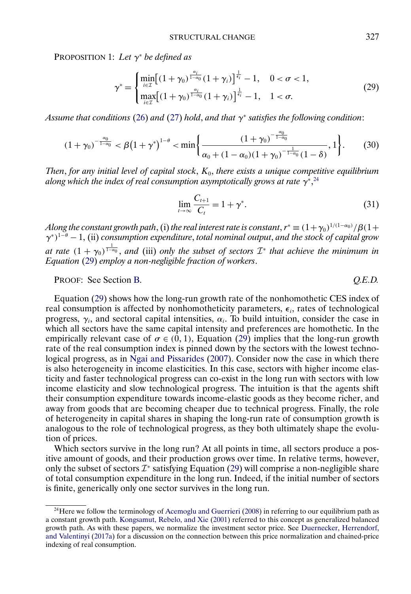<span id="page-16-0"></span>PROPOSITION 1: *Let* γ<sup>∗</sup> *be defined as*

$$
\gamma^* = \begin{cases} \min_{i \in \mathcal{I}} \left[ (1 + \gamma_0)^{\frac{\alpha_i}{1 - \alpha_0}} (1 + \gamma_i) \right]^{\frac{1}{\epsilon_i}} - 1, & 0 < \sigma < 1, \\ \max_{i \in \mathcal{I}} \left[ (1 + \gamma_0)^{\frac{\alpha_i}{1 - \alpha_0}} (1 + \gamma_i) \right]^{\frac{1}{\epsilon_i}} - 1, & 1 < \sigma. \end{cases}
$$
(29)

*Assume that conditions* [\(26\)](#page-15-0) *and* [\(27\)](#page-15-0) *hold*, *and that* γ<sup>∗</sup> *satisfies the following condition*:

$$
(1+\gamma_0)^{-\frac{\alpha_0}{1-\alpha_0}} < \beta \big(1+\gamma^*\big)^{1-\theta} < \min\bigg\{\frac{(1+\gamma_0)^{-\frac{\alpha_0}{1-\alpha_0}}}{\alpha_0+(1-\alpha_0)(1+\gamma_0)^{-\frac{1}{1-\alpha_0}}(1-\delta)},1\bigg\}.
$$
 (30)

*Then*, *for any initial level of capital stock*, K0, *there exists a unique competitive equilibrium* along which the index of real consumption asymptotically grows at rate  $\gamma^{*,24}$ 

$$
\lim_{t \to \infty} \frac{C_{t+1}}{C_t} = 1 + \gamma^*.
$$
\n(31)

Along the constant growth path, (i) the real interest rate is constant,  $r^*\equiv (1+\gamma_0)^{1/(1-\alpha_0)}/\beta(1+\gamma_0)$ γ<sup>∗</sup>)<sup>1</sup>−<sup>θ</sup> − 1, (ii) *consumption expenditure*, *total nominal output*, *and the stock of capital grow at rate*  $(1 + \gamma_0)^{\frac{1}{1-\alpha_0}}$ , *and* (iii) *only the subset of sectors*  $\mathcal{I}^*$  *that achieve the minimum in Equation* (29) *employ a non-negligible fraction of workers*.

PROOF: See Section [B.](#page-48-0) *Q.E.D.*

Equation (29) shows how the long-run growth rate of the nonhomothetic CES index of real consumption is affected by nonhomotheticity parameters,  $\epsilon_i$ , rates of technological progress,  $\gamma_i$ , and sectoral capital intensities,  $\alpha_i$ . To build intuition, consider the case in which all sectors have the same capital intensity and preferences are homothetic. In the empirically relevant case of  $\sigma \in (0, 1)$ , Equation (29) implies that the long-run growth rate of the real consumption index is pinned down by the sectors with the lowest technological progress, as in [Ngai and Pissarides](#page-63-0) [\(2007\)](#page-63-0). Consider now the case in which there is also heterogeneity in income elasticities. In this case, sectors with higher income elasticity and faster technological progress can co-exist in the long run with sectors with low income elasticity and slow technological progress. The intuition is that the agents shift their consumption expenditure towards income-elastic goods as they become richer, and away from goods that are becoming cheaper due to technical progress. Finally, the role of heterogeneity in capital shares in shaping the long-run rate of consumption growth is analogous to the role of technological progress, as they both ultimately shape the evolution of prices. Which sectors survive in the long run? At all points in time, all sectors produce a pos-

itive amount of goods, and their production grows over time. In relative terms, however, only the subset of sectors  $\mathcal{I}^*$  satisfying Equation (29) will comprise a non-negligible share of total consumption expenditure in the long run. Indeed, if the initial number of sectors is finite, generically only one sector survives in the long run.

<sup>&</sup>lt;sup>24</sup>Here we follow the terminology of [Acemoglu and Guerrieri](#page-61-0) [\(2008\)](#page-61-0) in referring to our equilibrium path as a constant growth path. [Kongsamut, Rebelo, and Xie](#page-63-0) [\(2001\)](#page-63-0) referred to this concept as generalized balanced growth path. As with these papers, we normalize the investment sector price. See [Duernecker, Herrendorf,](#page-62-0) [and Valentinyi](#page-62-0) [\(2017a\)](#page-62-0) for a discussion on the connection between this price normalization and chained-price indexing of real consumption.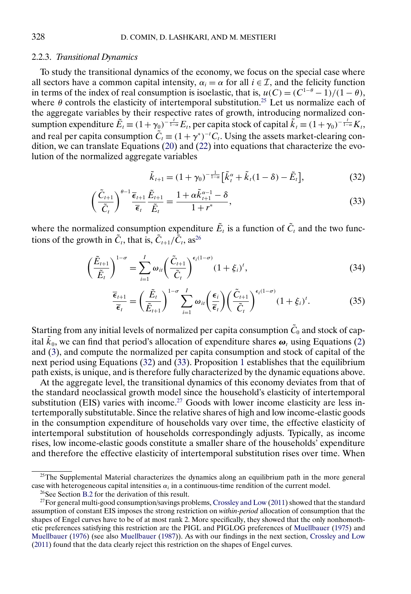#### <span id="page-17-0"></span>2.2.3. *Transitional Dynamics*

To study the transitional dynamics of the economy, we focus on the special case where all sectors have a common capital intensity,  $\alpha_i = \alpha$  for all  $i \in \mathcal{I}$ , and the felicity function in terms of the index of real consumption is isoelastic, that is,  $u(C) = (C^{1-\theta} - 1)/(1-\theta)$ , where  $\theta$  controls the elasticity of intertemporal substitution.<sup>25</sup> Let us normalize each of the aggregate variables by their respective rates of growth, introducing normalized consumption expenditure  $\tilde{E}_t = (1 + \gamma_0)^{-\frac{t}{1 - \alpha}} E_t$ , per capita stock of capital  $\tilde{k}_t = (1 + \gamma_0)^{-\frac{t}{1 - \alpha}} K_t$ , and real per capita consumption  $\tilde{C}_t \equiv (1 + \gamma^*)^{-t} C_t$ . Using the assets market-clearing condition, we can translate Equations [\(20\)](#page-12-0) and [\(22\)](#page-13-0) into equations that characterize the evolution of the normalized aggregate variables

$$
\tilde{k}_{t+1} = (1 + \gamma_0)^{-\frac{1}{1-\alpha}} \left[ \tilde{k}_t^{\alpha} + \tilde{k}_t (1 - \delta) - \tilde{E}_t \right],
$$
\n(32)

$$
\left(\frac{\tilde{C}_{t+1}}{\tilde{C}_t}\right)^{\theta-1} \frac{\overline{\epsilon}_{t+1}}{\overline{\epsilon}_t} \frac{\tilde{E}_{t+1}}{\tilde{E}_t} = \frac{1 + \alpha \tilde{k}_{t+1}^{\alpha-1} - \delta}{1 + r^*},\tag{33}
$$

where the normalized consumption expenditure  $\tilde{E}_t$  is a function of  $\tilde{C}_t$  and the two functions of the growth in  $\tilde{C}_t$ , that is,  $\tilde{C}_{t+1}/\tilde{\tilde{C}}_t$ , as<sup>26</sup>

$$
\left(\frac{\tilde{E}_{t+1}}{\tilde{E}_t}\right)^{1-\sigma} = \sum_{i=1}^I \omega_{it} \left(\frac{\tilde{C}_{t+1}}{\tilde{C}_t}\right)^{\epsilon_i(1-\sigma)} (1+\xi_i)^t, \tag{34}
$$

$$
\frac{\overline{\epsilon}_{t+1}}{\overline{\epsilon}_t} = \left(\frac{\tilde{E}_t}{\tilde{E}_{t+1}}\right)^{1-\sigma} \sum_{i=1}^I \omega_{it} \left(\frac{\epsilon_i}{\overline{\epsilon}_t}\right) \left(\frac{\tilde{C}_{t+1}}{\tilde{C}_t}\right)^{\epsilon_i(1-\sigma)} (1+\xi_i)^t.
$$
(35)

Starting from any initial levels of normalized per capita consumption  $\tilde{C}_0$  and stock of capital  $\tilde{k}_0$ , we can find that period's allocation of expenditure shares  $\boldsymbol{\omega}_t$  using Equations [\(2\)](#page-6-0) and [\(3\)](#page-6-0), and compute the normalized per capita consumption and stock of capital of the next period using Equations (32) and (33). Proposition [1](#page-15-0) establishes that the equilibrium path exists, is unique, and is therefore fully characterized by the dynamic equations above.

At the aggregate level, the transitional dynamics of this economy deviates from that of the standard neoclassical growth model since the household's elasticity of intertemporal substitution (EIS) varies with income.<sup>27</sup> Goods with lower income elasticity are less intertemporally substitutable. Since the relative shares of high and low income-elastic goods in the consumption expenditure of households vary over time, the effective elasticity of intertemporal substitution of households correspondingly adjusts. Typically, as income rises, low income-elastic goods constitute a smaller share of the households' expenditure and therefore the effective elasticity of intertemporal substitution rises over time. When

 $25$ The Supplemental Material characterizes the dynamics along an equilibrium path in the more general case with heterogeneous capital intensities  $\alpha_i$  in a continuous-time rendition of the current model.

<sup>26</sup>See Section [B.2](#page-55-0) for the derivation of this result.

<sup>&</sup>lt;sup>27</sup>For general multi-good consumption/savings problems, [Crossley and Low](#page-62-0) [\(2011\)](#page-62-0) showed that the standard assumption of constant EIS imposes the strong restriction on *within-period* allocation of consumption that the shapes of Engel curves have to be of at most rank 2. More specifically, they showed that the only nonhomothetic preferences satisfying this restriction are the PIGL and PIGLOG preferences of [Muellbauer](#page-63-0) [\(1975\)](#page-63-0) and [Muellbauer](#page-63-0) [\(1976\)](#page-63-0) (see also [Muellbauer](#page-63-0) [\(1987\)](#page-63-0)). As with our findings in the next section, [Crossley and Low](#page-62-0) [\(2011\)](#page-62-0) found that the data clearly reject this restriction on the shapes of Engel curves.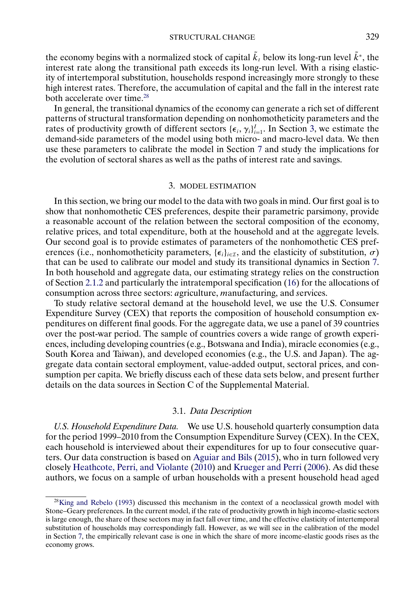<span id="page-18-0"></span>the economy begins with a normalized stock of capital  $\tilde{k}_t$  below its long-run level  $\tilde{k}^*$ , the interest rate along the transitional path exceeds its long-run level. With a rising elasticity of intertemporal substitution, households respond increasingly more strongly to these high interest rates. Therefore, the accumulation of capital and the fall in the interest rate both accelerate over time.<sup>28</sup>

In general, the transitional dynamics of the economy can generate a rich set of different patterns of structural transformation depending on nonhomotheticity parameters and the rates of productivity growth of different sectors  ${\{\epsilon_i, \gamma_i\}}_{i=1}^I$ . In Section 3, we estimate the demand-side parameters of the model using both micro- and macro-level data. We then use these parameters to calibrate the model in Section [7](#page-38-0) and study the implications for the evolution of sectoral shares as well as the paths of interest rate and savings.

### 3. MODEL ESTIMATION

In this section, we bring our model to the data with two goals in mind. Our first goal is to show that nonhomothetic CES preferences, despite their parametric parsimony, provide a reasonable account of the relation between the sectoral composition of the economy, relative prices, and total expenditure, both at the household and at the aggregate levels. Our second goal is to provide estimates of parameters of the nonhomothetic CES preferences (i.e., nonhomotheticity parameters, { $\epsilon_i$ }<sub>i∈*I*</sub>, and the elasticity of substitution,  $\sigma$ ) that can be used to calibrate our model and study its transitional dynamics in Section [7.](#page-38-0) In both household and aggregate data, our estimating strategy relies on the construction of Section [2.1.2](#page-8-0) and particularly the intratemporal specification [\(16\)](#page-10-0) for the allocations of consumption across three sectors: *a*griculture, *m*anufacturing, and *s*ervices.

To study relative sectoral demand at the household level, we use the U.S. Consumer Expenditure Survey (CEX) that reports the composition of household consumption expenditures on different final goods. For the aggregate data, we use a panel of 39 countries over the post-war period. The sample of countries covers a wide range of growth experiences, including developing countries (e.g., Botswana and India), miracle economies (e.g., South Korea and Taiwan), and developed economies (e.g., the U.S. and Japan). The aggregate data contain sectoral employment, value-added output, sectoral prices, and consumption per capita. We briefly discuss each of these data sets below, and present further details on the data sources in Section C of the Supplemental Material.

## 3.1. *Data Description*

*U.S. Household Expenditure Data.* We use U.S. household quarterly consumption data for the period 1999–2010 from the Consumption Expenditure Survey (CEX). In the CEX, each household is interviewed about their expenditures for up to four consecutive quarters. Our data construction is based on [Aguiar and Bils](#page-61-0) [\(2015\)](#page-61-0), who in turn followed very closely [Heathcote, Perri, and Violante](#page-62-0) [\(2010\)](#page-62-0) and [Krueger and Perri](#page-63-0) [\(2006\)](#page-63-0). As did these authors, we focus on a sample of urban households with a present household head aged

 $^{28}$ King and Rebelo [\(1993\)](#page-63-0) discussed this mechanism in the context of a neoclassical growth model with Stone–Geary preferences. In the current model, if the rate of productivity growth in high income-elastic sectors is large enough, the share of these sectors may in fact fall over time, and the effective elasticity of intertemporal substitution of households may correspondingly fall. However, as we will see in the calibration of the model in Section [7,](#page-38-0) the empirically relevant case is one in which the share of more income-elastic goods rises as the economy grows.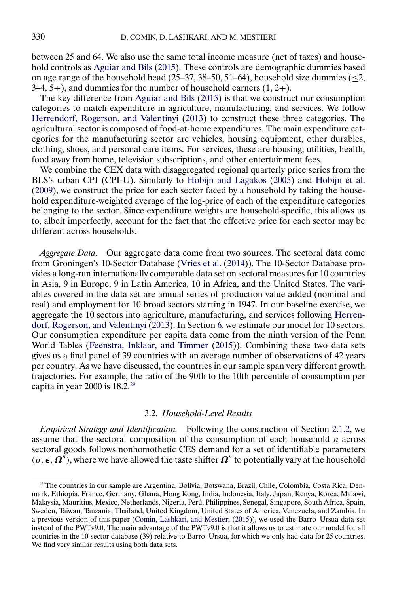<span id="page-19-0"></span>between 25 and 64. We also use the same total income measure (net of taxes) and household controls as [Aguiar and Bils](#page-61-0) [\(2015\)](#page-61-0). These controls are demographic dummies based on age range of the household head (25–37, 38–50, 51–64), household size dummies ( $\leq$ 2,  $3-4, 5+$ ), and dummies for the number of household earners  $(1, 2+)$ .

The key difference from [Aguiar and Bils](#page-61-0) [\(2015\)](#page-61-0) is that we construct our consumption categories to match expenditure in agriculture, manufacturing, and services. We follow [Herrendorf, Rogerson, and Valentinyi](#page-62-0) [\(2013\)](#page-62-0) to construct these three categories. The agricultural sector is composed of food-at-home expenditures. The main expenditure categories for the manufacturing sector are vehicles, housing equipment, other durables, clothing, shoes, and personal care items. For services, these are housing, utilities, health, food away from home, television subscriptions, and other entertainment fees.

We combine the CEX data with disaggregated regional quarterly price series from the BLS's urban CPI (CPI-U). Similarly to [Hobijn and Lagakos](#page-62-0) [\(2005\)](#page-62-0) and [Hobijn et al.](#page-62-0) [\(2009\)](#page-62-0), we construct the price for each sector faced by a household by taking the household expenditure-weighted average of the log-price of each of the expenditure categories belonging to the sector. Since expenditure weights are household-specific, this allows us to, albeit imperfectly, account for the fact that the effective price for each sector may be different across households.

*Aggregate Data.* Our aggregate data come from two sources. The sectoral data come from Groningen's 10-Sector Database [\(Vries et al.](#page-63-0) [\(2014\)](#page-63-0)). The 10-Sector Database provides a long-run internationally comparable data set on sectoral measures for 10 countries in Asia, 9 in Europe, 9 in Latin America, 10 in Africa, and the United States. The variables covered in the data set are annual series of production value added (nominal and real) and employment for 10 broad sectors starting in 1947. In our baseline exercise, we aggregate the 10 sectors into agriculture, manufacturing, and services following [Herren](#page-62-0)[dorf, Rogerson, and Valentinyi](#page-62-0) [\(2013\)](#page-62-0). In Section [6,](#page-32-0) we estimate our model for 10 sectors. Our consumption expenditure per capita data come from the ninth version of the Penn World Tables [\(Feenstra, Inklaar, and Timmer](#page-62-0) [\(2015\)](#page-62-0)). Combining these two data sets gives us a final panel of 39 countries with an average number of observations of 42 years per country. As we have discussed, the countries in our sample span very different growth trajectories. For example, the ratio of the 90th to the 10th percentile of consumption per capita in year 2000 is  $18.2.^{29}$ 

### 3.2. *Household-Level Results*

*Empirical Strategy and Identification.* Following the construction of Section [2.1.2,](#page-8-0) we assume that the sectoral composition of the consumption of each household  $n$  across sectoral goods follows nonhomothetic CES demand for a set of identifiable parameters  $(\sigma, \epsilon, \Omega^n)$ , where we have allowed the taste shifter  $\Omega^n$  to potentially vary at the household

<sup>29</sup>The countries in our sample are Argentina, Bolivia, Botswana, Brazil, Chile, Colombia, Costa Rica, Denmark, Ethiopia, France, Germany, Ghana, Hong Kong, India, Indonesia, Italy, Japan, Kenya, Korea, Malawi, Malaysia, Mauritius, Mexico, Netherlands, Nigeria, Perú, Philippines, Senegal, Singapore, South Africa, Spain, Sweden, Taiwan, Tanzania, Thailand, United Kingdom, United States of America, Venezuela, and Zambia. In a previous version of this paper [\(Comin, Lashkari, and Mestieri](#page-62-0) [\(2015\)](#page-62-0)), we used the Barro–Ursua data set instead of the PWTv9.0. The main advantage of the PWTv9.0 is that it allows us to estimate our model for all countries in the 10-sector database (39) relative to Barro–Ursua, for which we only had data for 25 countries. We find very similar results using both data sets.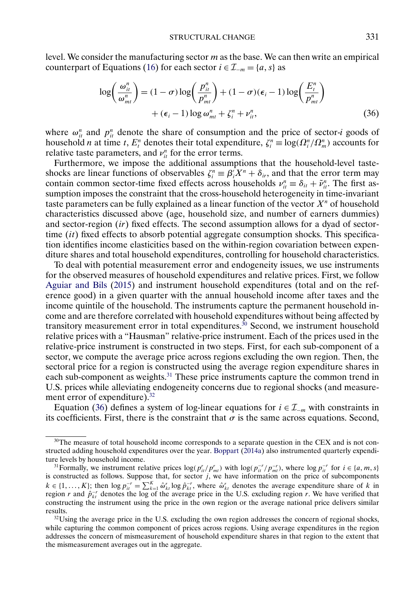<span id="page-20-0"></span>level. We consider the manufacturing sector m as the base. We can then write an empirical counterpart of Equations [\(16\)](#page-10-0) for each sector  $i \in \mathcal{I}_{-m} = \{a, s\}$  as

$$
\log\left(\frac{\omega_{it}^n}{\omega_{mt}^n}\right) = (1 - \sigma) \log\left(\frac{p_{it}^n}{p_{mt}^n}\right) + (1 - \sigma)(\epsilon_i - 1) \log\left(\frac{E_i^n}{p_{mt}^n}\right) + (\epsilon_i - 1) \log \omega_{mt}^n + \zeta_i^n + \nu_{it}^n, \tag{36}
$$

where  $\omega_{it}^n$  and  $p_{it}^n$  denote the share of consumption and the price of sector-*i* goods of household *n* at time *t*,  $E_t^n$  denotes their total expenditure,  $\zeta_i^n \equiv \log(\Omega_i^n / \Omega_m^n)$  accounts for relative taste parameters, and  $v_{it}^n$  for the error terms.

Furthermore, we impose the additional assumptions that the household-level tasteshocks are linear functions of observables  $\zeta_i^n \equiv \beta_i' X^n + \delta_{ir}$ , and that the error term may contain common sector-time fixed effects across households  $v_{it}^n \equiv \delta_{it} + \tilde{v}_{it}^n$ . The first assumption imposes the constraint that the cross-household heterogeneity in time-invariant taste parameters can be fully explained as a linear function of the vector  $X^n$  of household characteristics discussed above (age, household size, and number of earners dummies) and sector-region  $(ir)$  fixed effects. The second assumption allows for a dyad of sectortime  $(it)$  fixed effects to absorb potential aggregate consumption shocks. This specification identifies income elasticities based on the within-region covariation between expenditure shares and total household expenditures, controlling for household characteristics.

To deal with potential measurement error and endogeneity issues, we use instruments for the observed measures of household expenditures and relative prices. First, we follow [Aguiar and Bils](#page-61-0) [\(2015\)](#page-61-0) and instrument household expenditures (total and on the reference good) in a given quarter with the annual household income after taxes and the income quintile of the household. The instruments capture the permanent household income and are therefore correlated with household expenditures without being affected by transitory measurement error in total expenditures.<sup>30</sup> Second, we instrument household relative prices with a "Hausman" relative-price instrument. Each of the prices used in the relative-price instrument is constructed in two steps. First, for each sub-component of a sector, we compute the average price across regions excluding the own region. Then, the sectoral price for a region is constructed using the average region expenditure shares in each sub-component as weights.31 These price instruments capture the common trend in U.S. prices while alleviating endogeneity concerns due to regional shocks (and measurement error of expenditure).<sup>32</sup>

Equation (36) defines a system of log-linear equations for  $i \in \mathcal{I}_{-m}$  with constraints in its coefficients. First, there is the constraint that  $\sigma$  is the same across equations. Second,

<sup>&</sup>lt;sup>30</sup>The measure of total household income corresponds to a separate question in the CEX and is not constructed adding household expenditures over the year. [Boppart](#page-61-0) [\(2014a\)](#page-61-0) also instrumented quarterly expenditure levels by household income.

<sup>&</sup>lt;sup>31</sup>Formally, we instrument relative prices  $\log(p_{it}^r/p_{mt}^r)$  with  $\log(p_{it}^{-r}/p_{mt}^{-r})$ , where  $\log p_{it}^{-r}$  for  $i \in \{a, m, s\}$ is constructed as follows. Suppose that, for sector  $j$ , we have information on the price of subcomponents  $k \in \{1, ..., K\}$ ; then  $\log p_{it}^{-r} = \sum_{k=1}^{K} \hat{\omega}_{kt}^{r} \log \hat{p}_{kt}^{-r}$ , where  $\hat{\omega}_{kt}^{r}$  denotes the average expenditure share of k in region r and  $\hat{p}_{kt}^{-r}$  denotes the log of the average price in the U.S. excluding region r. We have verified that constructing the instrument using the price in the own region or the average national price delivers similar results.

 $32$ Using the average price in the U.S. excluding the own region addresses the concern of regional shocks, while capturing the common component of prices across regions. Using average expenditures in the region addresses the concern of mismeasurement of household expenditure shares in that region to the extent that the mismeasurement averages out in the aggregate.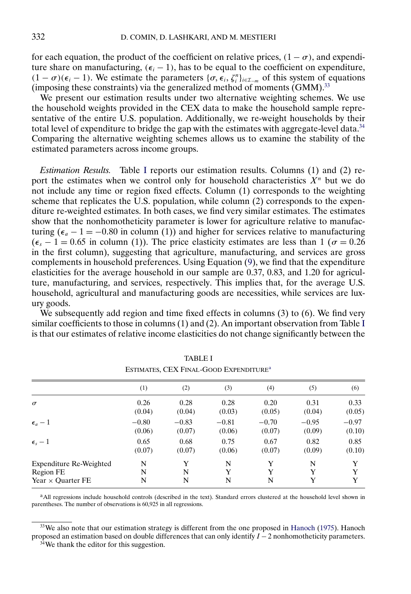<span id="page-21-0"></span>for each equation, the product of the coefficient on relative prices,  $(1 - \sigma)$ , and expenditure share on manufacturing,  $(\epsilon_i - 1)$ , has to be equal to the coefficient on expenditure,  $(1 - \sigma)(\epsilon_i - 1)$ . We estimate the parameters  $\{\sigma, \epsilon_i, \zeta_i^n\}_{i \in \mathcal{I}_{-m}}$  of this system of equations (imposing these constraints) via the generalized method of moments  $(GMM)$ <sup>33</sup>

We present our estimation results under two alternative weighting schemes. We use the household weights provided in the CEX data to make the household sample representative of the entire U.S. population. Additionally, we re-weight households by their total level of expenditure to bridge the gap with the estimates with aggregate-level data.<sup>34</sup> Comparing the alternative weighting schemes allows us to examine the stability of the estimated parameters across income groups.

*Estimation Results.* Table I reports our estimation results. Columns (1) and (2) report the estimates when we control only for household characteristics  $X<sup>n</sup>$  but we do not include any time or region fixed effects. Column (1) corresponds to the weighting scheme that replicates the U.S. population, while column (2) corresponds to the expenditure re-weighted estimates. In both cases, we find very similar estimates. The estimates show that the nonhomotheticity parameter is lower for agriculture relative to manufacturing ( $\epsilon_a - 1 = -0.80$  in column (1)) and higher for services relative to manufacturing  $(\epsilon_s - 1 = 0.65$  in column (1)). The price elasticity estimates are less than 1 ( $\sigma = 0.26$ in the first column), suggesting that agriculture, manufacturing, and services are gross complements in household preferences. Using Equation [\(9\)](#page-8-0), we find that the expenditure elasticities for the average household in our sample are 0.37, 0.83, and 1.20 for agriculture, manufacturing, and services, respectively. This implies that, for the average U.S. household, agricultural and manufacturing goods are necessities, while services are luxury goods.

We subsequently add region and time fixed effects in columns (3) to (6). We find very similar coefficients to those in columns (1) and (2). An important observation from Table I is that our estimates of relative income elasticities do not change significantly between the

|                          | (1)     | (2)     | (3)     | (4)     | (5)     | (6)     |
|--------------------------|---------|---------|---------|---------|---------|---------|
| $\sigma$                 | 0.26    | 0.28    | 0.28    | 0.20    | 0.31    | 0.33    |
|                          | (0.04)  | (0.04)  | (0.03)  | (0.05)  | (0.04)  | (0.05)  |
| $\epsilon_a-1$           | $-0.80$ | $-0.83$ | $-0.81$ | $-0.70$ | $-0.95$ | $-0.97$ |
|                          | (0.06)  | (0.07)  | (0.06)  | (0.07)  | (0.09)  | (0.10)  |
| $\epsilon_{s}-1$         | 0.65    | 0.68    | 0.75    | 0.67    | 0.82    | 0.85    |
|                          | (0.07)  | (0.07)  | (0.06)  | (0.07)  | (0.09)  | (0.10)  |
| Expenditure Re-Weighted  | N       | Y       | N       | Y       | N       | Y       |
| Region FE                | N       | N       | Y       | Y       | Y       | Y       |
| Year $\times$ Ouarter FE | N       | N       | N       | N       | Y       | Y       |

| <b>TABLE I</b>                                     |
|----------------------------------------------------|
| ESTIMATES, CEX FINAL-GOOD EXPENDITURE <sup>a</sup> |

<sup>a</sup>All regressions include household controls (described in the text). Standard errors clustered at the household level shown in parentheses. The number of observations is 60,925 in all regressions.

<sup>&</sup>lt;sup>33</sup>We also note that our estimation strategy is different from the one proposed in [Hanoch](#page-62-0) [\(1975\)](#page-62-0). Hanoch proposed an estimation based on double differences that can only identify  $I - 2$  nonhomotheticity parameters.

<sup>34</sup>We thank the editor for this suggestion.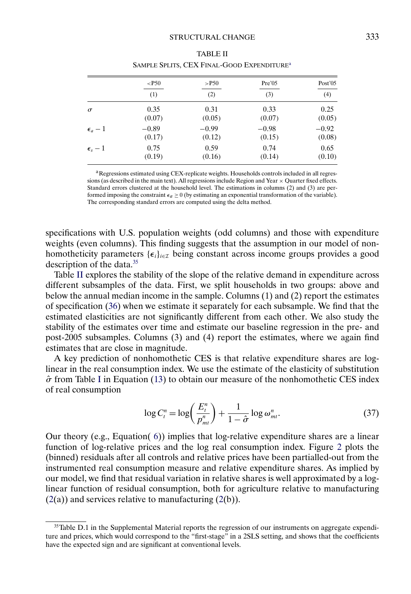<span id="page-22-0"></span>

|                  | $<$ P50 | $>$ P50 | Pre'05  | Post'05 |
|------------------|---------|---------|---------|---------|
|                  | (1)     | (2)     | (3)     | (4)     |
| $\sigma$         | 0.35    | 0.31    | 0.33    | 0.25    |
|                  | (0.07)  | (0.05)  | (0.07)  | (0.05)  |
| $\epsilon_a-1$   | $-0.89$ | $-0.99$ | $-0.98$ | $-0.92$ |
|                  | (0.17)  | (0.12)  | (0.15)  | (0.08)  |
| $\epsilon_s - 1$ | 0.75    | 0.59    | 0.74    | 0.65    |
|                  | (0.19)  | (0.16)  | (0.14)  | (0.10)  |

| <b>TABLE II</b>                                        |
|--------------------------------------------------------|
| SAMPLE SPLITS, CEX FINAL-GOOD EXPENDITURE <sup>a</sup> |

<sup>a</sup>Regressions estimated using CEX-replicate weights. Households controls included in all regressions (as described in the main text). All regressions include Region and Year  $\times$  Quarter fixed effects. Standard errors clustered at the household level. The estimations in columns (2) and (3) are performed imposing the constraint  $\epsilon_a \ge 0$  (by estimating an exponential transformation of the variable). The corresponding standard errors are computed using the delta method.

specifications with U.S. population weights (odd columns) and those with expenditure weights (even columns). This finding suggests that the assumption in our model of nonhomotheticity parameters  ${\{\epsilon_i\}}_{i \in \mathcal{I}}$  being constant across income groups provides a good description of the data.35

Table II explores the stability of the slope of the relative demand in expenditure across different subsamples of the data. First, we split households in two groups: above and below the annual median income in the sample. Columns (1) and (2) report the estimates of specification [\(36\)](#page-20-0) when we estimate it separately for each subsample. We find that the estimated elasticities are not significantly different from each other. We also study the stability of the estimates over time and estimate our baseline regression in the pre- and post-2005 subsamples. Columns (3) and (4) report the estimates, where we again find estimates that are close in magnitude.

A key prediction of nonhomothetic CES is that relative expenditure shares are loglinear in the real consumption index. We use the estimate of the elasticity of substitution  $\hat{\sigma}$  from Table [I](#page-21-0) in Equation [\(13\)](#page-10-0) to obtain our measure of the nonhomothetic CES index of real consumption

$$
\log C_t^n = \log \left( \frac{E_t^n}{p_{mt}^n} \right) + \frac{1}{1 - \hat{\sigma}} \log \omega_{mt}^n. \tag{37}
$$

Our theory (e.g., Equation( [6\)](#page-7-0)) implies that log-relative expenditure shares are a linear function of log-relative prices and the log real consumption index. Figure [2](#page-23-0) plots the (binned) residuals after all controls and relative prices have been partialled-out from the instrumented real consumption measure and relative expenditure shares. As implied by our model, we find that residual variation in relative shares is well approximated by a loglinear function of residual consumption, both for agriculture relative to manufacturing  $(2(a))$  $(2(a))$  and services relative to manufacturing  $(2(b))$ .

 $35$ Table D.1 in the Supplemental Material reports the regression of our instruments on aggregate expenditure and prices, which would correspond to the "first-stage" in a 2SLS setting, and shows that the coefficients have the expected sign and are significant at conventional levels.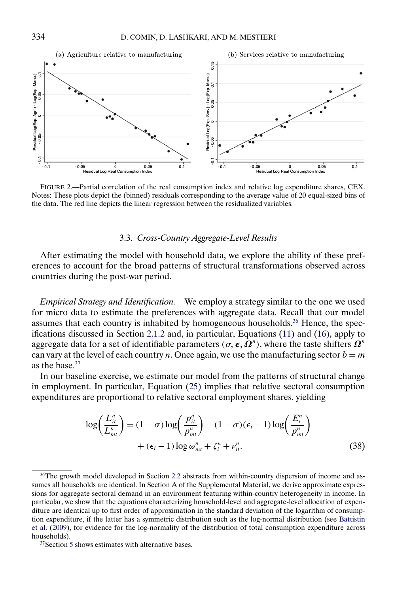<span id="page-23-0"></span>

FIGURE 2.—Partial correlation of the real consumption index and relative log expenditure shares, CEX. Notes: These plots depict the (binned) residuals corresponding to the average value of 20 equal-sized bins of the data. The red line depicts the linear regression between the residualized variables.

# 3.3. *Cross-Country Aggregate-Level Results*

After estimating the model with household data, we explore the ability of these preferences to account for the broad patterns of structural transformations observed across countries during the post-war period.

*Empirical Strategy and Identification.* We employ a strategy similar to the one we used for micro data to estimate the preferences with aggregate data. Recall that our model assumes that each country is inhabited by homogeneous households.<sup>36</sup> Hence, the specifications discussed in Section [2.1.2](#page-8-0) and, in particular, Equations [\(11\)](#page-9-0) and [\(16\)](#page-10-0), apply to aggregate data for a set of identifiable parameters ( $\sigma$ ,  $\boldsymbol{\epsilon}, \bar{\boldsymbol{\Omega}}^n$ ), where the taste shifters  $\boldsymbol{\Omega}^n$ can vary at the level of each country n. Once again, we use the manufacturing sector  $b = m$ as the base.<sup>37</sup>

In our baseline exercise, we estimate our model from the patterns of structural change in employment. In particular, Equation [\(25\)](#page-14-0) implies that relative sectoral consumption expenditures are proportional to relative sectoral employment shares, yielding

$$
\log\left(\frac{L_{it}^n}{L_{mt}^n}\right) = (1 - \sigma) \log\left(\frac{p_{it}^n}{p_{mt}^n}\right) + (1 - \sigma)(\epsilon_i - 1) \log\left(\frac{E_i^n}{p_{mt}^n}\right) + (\epsilon_i - 1) \log \omega_{mt}^n + \zeta_i^n + \nu_{it}^n.
$$
\n(38)

<sup>&</sup>lt;sup>36</sup>The growth model developed in Section [2.2](#page-11-0) abstracts from within-country dispersion of income and assumes all households are identical. In Section A of the Supplemental Material, we derive approximate expressions for aggregate sectoral demand in an environment featuring within-country heterogeneity in income. In particular, we show that the equations characterizing household-level and aggregate-level allocation of expenditure are identical up to first order of approximation in the standard deviation of the logarithm of consumption expenditure, if the latter has a symmetric distribution such as the log-normal distribution (see [Battistin](#page-61-0) [et al.](#page-61-0) [\(2009\)](#page-61-0), for evidence for the log-normality of the distribution of total consumption expenditure across households).

 $37$ Section [5](#page-28-0) shows estimates with alternative bases.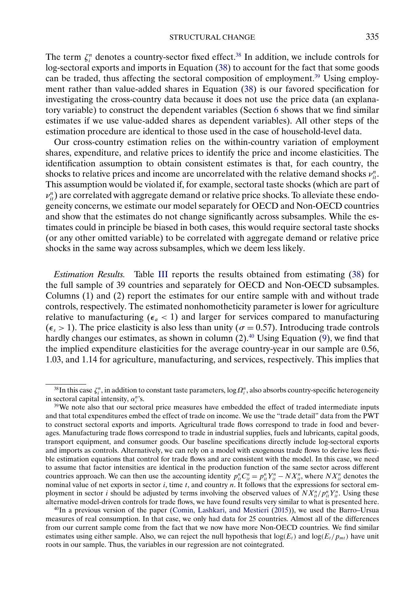<span id="page-24-0"></span>The term  $\zeta_i^n$  denotes a country-sector fixed effect.<sup>38</sup> In addition, we include controls for log-sectoral exports and imports in Equation [\(38\)](#page-23-0) to account for the fact that some goods can be traded, thus affecting the sectoral composition of employment.<sup>39</sup> Using employment rather than value-added shares in Equation [\(38\)](#page-23-0) is our favored specification for investigating the cross-country data because it does not use the price data (an explanatory variable) to construct the dependent variables (Section [6](#page-32-0) shows that we find similar estimates if we use value-added shares as dependent variables). All other steps of the estimation procedure are identical to those used in the case of household-level data.

Our cross-country estimation relies on the within-country variation of employment shares, expenditure, and relative prices to identify the price and income elasticities. The identification assumption to obtain consistent estimates is that, for each country, the shocks to relative prices and income are uncorrelated with the relative demand shocks  $v_{ii}^n$ . This assumption would be violated if, for example, sectoral taste shocks (which are part of  $v_{it}^n$ ) are correlated with aggregate demand or relative price shocks. To alleviate these endogeneity concerns, we estimate our model separately for OECD and Non-OECD countries and show that the estimates do not change significantly across subsamples. While the estimates could in principle be biased in both cases, this would require sectoral taste shocks (or any other omitted variable) to be correlated with aggregate demand or relative price shocks in the same way across subsamples, which we deem less likely.

*Estimation Results.* Table [III](#page-25-0) reports the results obtained from estimating [\(38\)](#page-23-0) for the full sample of 39 countries and separately for OECD and Non-OECD subsamples. Columns (1) and (2) report the estimates for our entire sample with and without trade controls, respectively. The estimated nonhomotheticity parameter is lower for agriculture relative to manufacturing ( $\epsilon_a$  < 1) and larger for services compared to manufacturing  $(\epsilon_s > 1)$ . The price elasticity is also less than unity ( $\sigma = 0.57$ ). Introducing trade controls hardly changes our estimates, as shown in column  $(2)$ .<sup>40</sup> Using Equation [\(9\)](#page-8-0), we find that the implied expenditure elasticities for the average country-year in our sample are 0.56, 1.03, and 1.14 for agriculture, manufacturing, and services, respectively. This implies that

 $^{38}$ In this case  $\zeta_i^n$ , in addition to constant taste parameters,  $\log\varOmega_i^n$ , also absorbs country-specific heterogeneity in sectoral capital intensity,  $\alpha_i^n$ 's.

<sup>&</sup>lt;sup>39</sup>We note also that our sectoral price measures have embedded the effect of traded intermediate inputs and that total expenditures embed the effect of trade on income. We use the "trade detail" data from the PWT to construct sectoral exports and imports. Agricultural trade flows correspond to trade in food and beverages. Manufacturing trade flows correspond to trade in industrial supplies, fuels and lubricants, capital goods, transport equipment, and consumer goods. Our baseline specifications directly include log-sectoral exports and imports as controls. Alternatively, we can rely on a model with exogenous trade flows to derive less flexible estimation equations that control for trade flows and are consistent with the model. In this case, we need to assume that factor intensities are identical in the production function of the same sector across different countries approach. We can then use the accounting identity  $p_{ii}^n C_{ii}^n = p_{ii}^n Y_{ii}^n - N X_{ii}^n$ , where  $NX_{ii}^n$  denotes the nominal value of net exports in sector  $i$ , time  $t$ , and country  $n$ . It follows that the expressions for sectoral employment in sector *i* should be adjusted by terms involving the observed values of  $NX_{it}^n/p_{it}^nY_{it}^n$ . Using these alternative model-driven controls for trade flows, we have found results very similar to what is presented here.

 $40$ In a previous version of the paper [\(Comin, Lashkari, and Mestieri](#page-62-0) [\(2015\)](#page-62-0)), we used the Barro–Ursua measures of real consumption. In that case, we only had data for 25 countries. Almost all of the differences from our current sample come from the fact that we now have more Non-OECD countries. We find similar estimates using either sample. Also, we can reject the null hypothesis that  $log(E_t)$  and  $log(E_t/p_{mt})$  have unit roots in our sample. Thus, the variables in our regression are not cointegrated.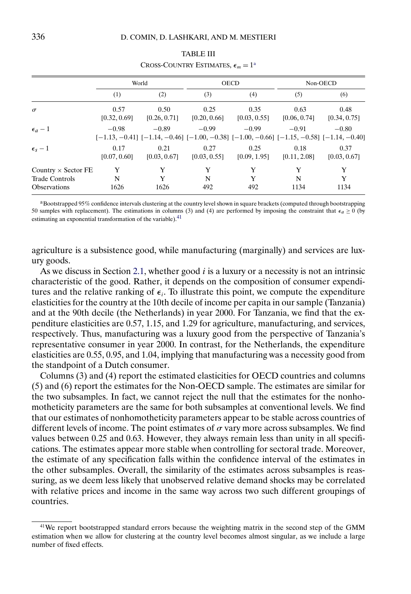<span id="page-25-0"></span>

|                                                                            |                      | World                |                                                                                                                  | <b>OECD</b>          | Non-OECD             |                      |  |
|----------------------------------------------------------------------------|----------------------|----------------------|------------------------------------------------------------------------------------------------------------------|----------------------|----------------------|----------------------|--|
|                                                                            | (1)                  | (2)                  | (3)                                                                                                              | (4)                  | (5)                  | (6)                  |  |
| $\sigma$                                                                   | 0.57<br>[0.32, 0.69] | 0.50<br>[0.26, 0.71] | 0.25<br>[0.20, 0.66]                                                                                             | 0.35<br>[0.03, 0.55] | 0.63<br>[0.06, 0.74] | 0.48<br>[0.34, 0.75] |  |
| $\epsilon_a-1$                                                             | $-0.98$              | $-0.89$              | $-0.99$<br>$[-1.13, -0.41]$ $[-1.14, -0.46]$ $[-1.00, -0.38]$ $[-1.00, -0.66]$ $[-1.15, -0.58]$ $[-1.14, -0.40]$ | $-0.99$              | $-0.91$              | $-0.80$              |  |
| $\epsilon_{s}-1$                                                           | 0.17<br>[0.07, 0.60] | 0.21<br>[0.03, 0.67] | 0.27<br>[0.03, 0.55]                                                                                             | 0.25<br>[0.09, 1.95] | 0.18<br>[0.11, 2.08] | 0.37<br>[0.03, 0.67] |  |
| Country $\times$ Sector FE<br><b>Trade Controls</b><br><b>Observations</b> | Y<br>N<br>1626       | Y<br>Y<br>1626       | Y<br>N<br>492                                                                                                    | Y<br>Y<br>492        | Y<br>N<br>1134       | Y<br>Y<br>1134       |  |

| <b>TABLE III</b>                            |  |
|---------------------------------------------|--|
| CROSS-COUNTRY ESTIMATES, $\epsilon_m = 1^a$ |  |

<sup>a</sup>Bootstrapped 95% confidence intervals clustering at the country level shown in square brackets (computed through bootstrapping 50 samples with replacement). The estimations in columns (3) and (4) are performed by imposing the constraint that  $\epsilon_a \ge 0$  (by estimating an exponential transformation of the variable).<sup>[41](#page-24-0)</sup>

agriculture is a subsistence good, while manufacturing (marginally) and services are luxury goods.

As we discuss in Section [2.1,](#page-5-0) whether good  $i$  is a luxury or a necessity is not an intrinsic characteristic of the good. Rather, it depends on the composition of consumer expenditures and the relative ranking of  $\epsilon_i$ . To illustrate this point, we compute the expenditure elasticities for the country at the 10th decile of income per capita in our sample (Tanzania) and at the 90th decile (the Netherlands) in year 2000. For Tanzania, we find that the expenditure elasticities are 0.57, 1.15, and 1.29 for agriculture, manufacturing, and services, respectively. Thus, manufacturing was a luxury good from the perspective of Tanzania's representative consumer in year 2000. In contrast, for the Netherlands, the expenditure elasticities are 0.55, 0.95, and 1.04, implying that manufacturing was a necessity good from the standpoint of a Dutch consumer.

Columns (3) and (4) report the estimated elasticities for OECD countries and columns (5) and (6) report the estimates for the Non-OECD sample. The estimates are similar for the two subsamples. In fact, we cannot reject the null that the estimates for the nonhomotheticity parameters are the same for both subsamples at conventional levels. We find that our estimates of nonhomotheticity parameters appear to be stable across countries of different levels of income. The point estimates of  $\sigma$  vary more across subsamples. We find values between 0.25 and 0.63. However, they always remain less than unity in all specifications. The estimates appear more stable when controlling for sectoral trade. Moreover, the estimate of any specification falls within the confidence interval of the estimates in the other subsamples. Overall, the similarity of the estimates across subsamples is reassuring, as we deem less likely that unobserved relative demand shocks may be correlated with relative prices and income in the same way across two such different groupings of countries.

<sup>&</sup>lt;sup>41</sup>We report bootstrapped standard errors because the weighting matrix in the second step of the GMM estimation when we allow for clustering at the country level becomes almost singular, as we include a large number of fixed effects.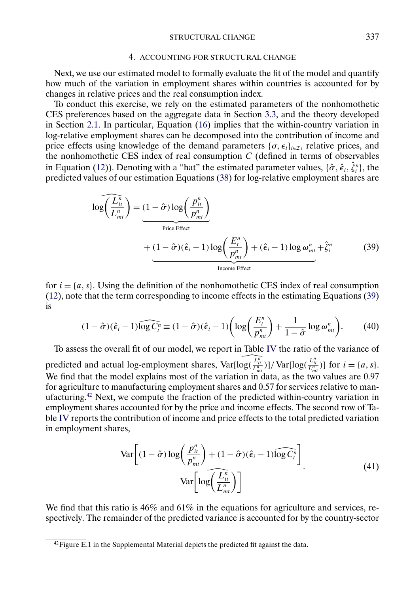#### 4. ACCOUNTING FOR STRUCTURAL CHANGE

<span id="page-26-0"></span>Next, we use our estimated model to formally evaluate the fit of the model and quantify how much of the variation in employment shares within countries is accounted for by changes in relative prices and the real consumption index.

To conduct this exercise, we rely on the estimated parameters of the nonhomothetic CES preferences based on the aggregate data in Section [3.3,](#page-23-0) and the theory developed in Section [2.1.](#page-5-0) In particular, Equation [\(16\)](#page-10-0) implies that the within-country variation in log-relative employment shares can be decomposed into the contribution of income and price effects using knowledge of the demand parameters  $\{\sigma, \epsilon_i\}_{i \in \mathcal{I}}$ , relative prices, and the nonhomothetic CES index of real consumption  $C$  (defined in terms of observables in Equation [\(12\)](#page-10-0)). Denoting with a "hat" the estimated parameter values,  $\{\hat{\sigma}, \hat{\epsilon}_i, \hat{\zeta}_i^n\}$ , the predicted values of our estimation Equations [\(38\)](#page-23-0) for log-relative employment shares are

$$
\log\left(\frac{L_{it}^n}{L_{mt}^n}\right) = (1 - \hat{\sigma})\log\left(\frac{p_{it}^n}{p_{mt}^n}\right)
$$
\n
$$
+ (1 - \hat{\sigma})(\hat{\epsilon}_i - 1)\log\left(\frac{E_i^n}{p_{mt}^n}\right) + (\hat{\epsilon}_i - 1)\log\omega_{mt}^n + \hat{\zeta}_i^n
$$
\n
$$
\frac{1}{\text{Income Effect}} \tag{39}
$$

for  $i = \{a, s\}$ . Using the definition of the nonhomothetic CES index of real consumption [\(12\)](#page-10-0), note that the term corresponding to income effects in the estimating Equations (39) is

$$
(1 - \hat{\sigma})(\hat{\epsilon}_i - 1)\widehat{\log C_i^n} \equiv (1 - \hat{\sigma})(\hat{\epsilon}_i - 1)\bigg(\log\bigg(\frac{E_i^n}{p_{mt}^n}\bigg) + \frac{1}{1 - \hat{\sigma}}\log\omega_{mt}^n\bigg). \tag{40}
$$

To assess the overall fit of our model, we report in Table [IV](#page-27-0) the ratio of the variance of predicted and actual log-employment shares,  $Var[log(\frac{L_n^n}{L_{mt}^n})]/Var[log(\frac{L_n^n}{L_{mt}^n})]$  for  $i = \{a, s\}$ . We find that the model explains most of the variation in data, as the two values are 0.97 for agriculture to manufacturing employment shares and 0.57 for services relative to manufacturing.42 Next, we compute the fraction of the predicted within-country variation in employment shares accounted for by the price and income effects. The second row of Table [IV](#page-27-0) reports the contribution of income and price effects to the total predicted variation in employment shares,

$$
\frac{\text{Var}\left[ (1-\hat{\sigma}) \log \left( \frac{p_{ii}^n}{p_{mi}^n} \right) + (1-\hat{\sigma})(\hat{\epsilon}_i - 1) \widehat{\log C_i^n} \right]}{\text{Var}\left[ \log \left( \frac{L_{ii}^n}{L_{mi}^n} \right) \right]}.
$$
(41)

We find that this ratio is  $46\%$  and  $61\%$  in the equations for agriculture and services, respectively. The remainder of the predicted variance is accounted for by the country-sector

 $42$ Figure E.1 in the Supplemental Material depicts the predicted fit against the data.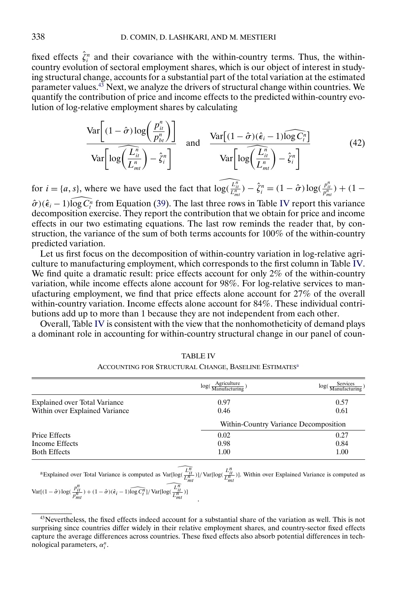<span id="page-27-0"></span>fixed effects  $\hat{\zeta}_i^n$  and their covariance with the within-country terms. Thus, the withincountry evolution of sectoral employment shares, which is our object of interest in studying structural change, accounts for a substantial part of the total variation at the estimated parameter values.<sup>43</sup> Next, we analyze the drivers of structural change within countries. We quantify the contribution of price and income effects to the predicted within-country evolution of log-relative employment shares by calculating

$$
\frac{\text{Var}\left[(1-\hat{\sigma})\log\left(\frac{p_{ii}^n}{p_{bi}^n}\right)\right]}{\text{Var}\left[\log\left(\frac{\widehat{L}_{ii}^n}{\widehat{L}_{mi}^n}\right) - \hat{\zeta}_i^n\right]} \quad \text{and} \quad \frac{\text{Var}\left[(1-\hat{\sigma})(\hat{\epsilon}_i - 1)\widehat{\log C_i^n}\right]}{\text{Var}\left[\log\left(\frac{\widehat{L}_{ii}^n}{\widehat{L}_{mi}^n}\right) - \hat{\zeta}_i^n\right]}
$$
(42)

for  $i = \{a, s\}$ , where we have used the fact that  $\widehat{\log(\frac{L_{li}^n}{L_{mi}^n})} - \hat{\zeta}_i^n = (1 - \hat{\sigma}) \log(\frac{p_{li}^n}{p_{mi}^n}) + (1 - \hat{\sigma}) \log(\frac{p_{li}^n}{p_{mi}^n})$ 

 $\hat{\sigma}$ )( $\hat{\epsilon}_i$  – 1)log $\widehat{C_i}$  from Equation [\(39\)](#page-26-0). The last three rows in Table IV report this variance decomposition exercise. They report the contribution that we obtain for price and income effects in our two estimating equations. The last row reminds the reader that, by construction, the variance of the sum of both terms accounts for 100% of the within-country predicted variation.

Let us first focus on the decomposition of within-country variation in log-relative agriculture to manufacturing employment, which corresponds to the first column in Table IV. We find quite a dramatic result: price effects account for only  $2\%$  of the within-country variation, while income effects alone account for 98%. For log-relative services to manufacturing employment, we find that price effects alone account for 27% of the overall within-country variation. Income effects alone account for 84%. These individual contributions add up to more than 1 because they are not independent from each other.

Overall, Table IV is consistent with the view that the nonhomotheticity of demand plays a dominant role in accounting for within-country structural change in our panel of coun-

|                                      | Agriculture<br>log(                   | Services<br>log( |
|--------------------------------------|---------------------------------------|------------------|
| <b>Explained over Total Variance</b> | 0.97                                  | 0.57             |
| Within over Explained Variance       | 0.46                                  | 0.61             |
|                                      | Within-Country Variance Decomposition |                  |
| Price Effects                        | 0.02                                  | 0.27             |
| Income Effects                       | 0.98                                  | 0.84             |
| <b>Both Effects</b>                  | 1.00                                  | 1.00             |

TABLE IV ACCOUNTING FOR STRUCTURAL CHANGE, BASELINE ESTIMATES<sup>a</sup>

<sup>a</sup>Explained over Total Variance is computed as Var[log( $\frac{L_{it}^{\overline{n}}}{L_{mt}^{\overline{n}}}$ )]/Var[log( $\frac{L_{it}^{\overline{n}}}{L_{mt}^{\overline{n}}}$ )]. Within over Explained Variance is computed as  $[(1 - \hat{\sigma}) \log(\frac{L_{it}^{\overline{n}}}{\hat{\sigma}^{\overline{n}}} ) + (1 - \hat{\sigma})(\hat{\epsilon}_i$ 

.

$$
\text{Var}[(1-\hat{\sigma})\log(\frac{p_{it}^n}{p_{mt}^n}) + (1-\hat{\sigma})(\hat{\epsilon}_i - 1)\widehat{\log C_i^n}]/\text{Var}[\log(\frac{L_{it}^n}{L_{mt}^n})]
$$

<sup>&</sup>lt;sup>43</sup>Nevertheless, the fixed effects indeed account for a substantial share of the variation as well. This is not surprising since countries differ widely in their relative employment shares, and country-sector fixed effects capture the average differences across countries. These fixed effects also absorb potential differences in technological parameters,  $\alpha_i^n$ .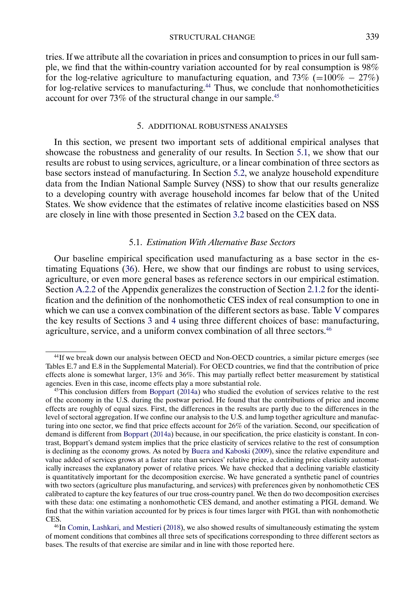STRUCTURAL CHANGE 339

<span id="page-28-0"></span>tries. If we attribute all the covariation in prices and consumption to prices in our full sample, we find that the within-country variation accounted for by real consumption is 98% for the log-relative agriculture to manufacturing equation, and 73% (= $100\% - 27\%)$ for log-relative services to manufacturing.<sup>44</sup> Thus, we conclude that nonhomotheticities account for over 73% of the structural change in our sample.45

## 5. ADDITIONAL ROBUSTNESS ANALYSES

In this section, we present two important sets of additional empirical analyses that showcase the robustness and generality of our results. In Section 5.1, we show that our results are robust to using services, agriculture, or a linear combination of three sectors as base sectors instead of manufacturing. In Section [5.2,](#page-30-0) we analyze household expenditure data from the Indian National Sample Survey (NSS) to show that our results generalize to a developing country with average household incomes far below that of the United States. We show evidence that the estimates of relative income elasticities based on NSS are closely in line with those presented in Section [3.2](#page-19-0) based on the CEX data.

# 5.1. *Estimation With Alternative Base Sectors*

Our baseline empirical specification used manufacturing as a base sector in the estimating Equations [\(36\)](#page-20-0). Here, we show that our findings are robust to using services, agriculture, or even more general bases as reference sectors in our empirical estimation. Section [A.2.2](#page-46-0) of the Appendix generalizes the construction of Section [2.1.2](#page-8-0) for the identification and the definition of the nonhomothetic CES index of real consumption to one in which we can use a convex combination of the different sectors as base. Table [V](#page-29-0) compares the key results of Sections [3](#page-18-0) and [4](#page-26-0) using three different choices of base: manufacturing, agriculture, service, and a uniform convex combination of all three sectors.<sup>46</sup>

<sup>44</sup>If we break down our analysis between OECD and Non-OECD countries, a similar picture emerges (see Tables E.7 and E.8 in the Supplemental Material). For OECD countries, we find that the contribution of price effects alone is somewhat larger, 13% and 36%. This may partially reflect better measurement by statistical agencies. Even in this case, income effects play a more substantial role.

 $45$ This conclusion differs from [Boppart](#page-61-0) [\(2014a\)](#page-61-0) who studied the evolution of services relative to the rest of the economy in the U.S. during the postwar period. He found that the contributions of price and income effects are roughly of equal sizes. First, the differences in the results are partly due to the differences in the level of sectoral aggregation. If we confine our analysis to the U.S. and lump together agriculture and manufacturing into one sector, we find that price effects account for 26% of the variation. Second, our specification of demand is different from [Boppart](#page-61-0) [\(2014a\)](#page-61-0) because, in our specification, the price elasticity is constant. In contrast, Boppart's demand system implies that the price elasticity of services relative to the rest of consumption is declining as the economy grows. As noted by [Buera and Kaboski](#page-62-0) [\(2009\)](#page-62-0), since the relative expenditure and value added of services grows at a faster rate than services' relative price, a declining price elasticity automatically increases the explanatory power of relative prices. We have checked that a declining variable elasticity is quantitatively important for the decomposition exercise. We have generated a synthetic panel of countries with two sectors (agriculture plus manufacturing, and services) with preferences given by nonhomothetic CES calibrated to capture the key features of our true cross-country panel. We then do two decomposition exercises with these data: one estimating a nonhomothetic CES demand, and another estimating a PIGL demand. We find that the within variation accounted for by prices is four times larger with PIGL than with nonhomothetic CES.

<sup>46</sup>In [Comin, Lashkari, and Mestieri](#page-62-0) [\(2018\)](#page-62-0), we also showed results of simultaneously estimating the system of moment conditions that combines all three sets of specifications corresponding to three different sectors as bases. The results of that exercise are similar and in line with those reported here.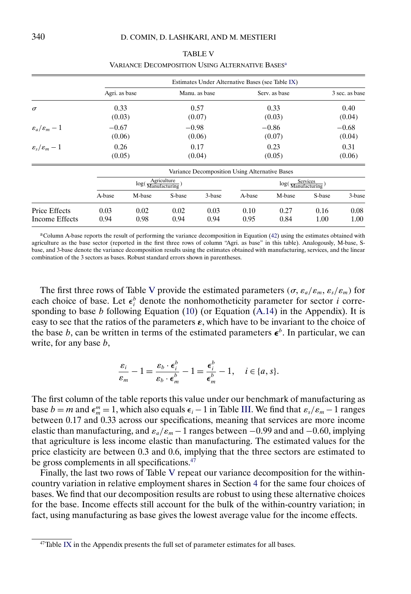<span id="page-29-0"></span>

|                                             | Estimates Under Alternative Bases (see Table IX) |        |         |               |        |                                       |        |                |  |  |  |
|---------------------------------------------|--------------------------------------------------|--------|---------|---------------|--------|---------------------------------------|--------|----------------|--|--|--|
|                                             | Agri. as base                                    |        |         | Manu. as base |        | Serv. as base                         |        | 3 sec. as base |  |  |  |
| $\sigma$                                    | 0.33                                             |        |         | 0.57          |        | 0.33                                  |        | 0.40           |  |  |  |
|                                             | (0.03)                                           |        | (0.07)  |               |        | (0.03)                                |        | (0.04)         |  |  |  |
| $\varepsilon_a/\varepsilon_m-1$             | $-0.67$<br>(0.06)                                |        | $-0.98$ |               |        | $-0.86$                               |        | $-0.68$        |  |  |  |
|                                             |                                                  |        | (0.06)  |               | (0.07) |                                       |        | (0.04)         |  |  |  |
| 0.26<br>$\varepsilon_{s}/\varepsilon_{m}-1$ |                                                  |        | 0.17    |               | 0.23   |                                       | 0.31   |                |  |  |  |
|                                             |                                                  | (0.05) |         | (0.04)        |        | (0.05)                                |        | (0.06)         |  |  |  |
|                                             | Variance Decomposition Using Alternative Bases   |        |         |               |        |                                       |        |                |  |  |  |
|                                             | $log(\frac{Agriculture}{Manufacturing})$         |        |         |               |        | $log(\frac{Services}{Manufacturing})$ |        |                |  |  |  |
|                                             | A-base                                           | M-base | S-base  | 3-base        | A-base | M-base                                | S-base | 3-base         |  |  |  |
| <b>Price Effects</b>                        | 0.03                                             | 0.02   | 0.02    | 0.03          | 0.10   | 0.27                                  | 0.16   | 0.08           |  |  |  |
| Income Effects                              | 0.94                                             | 0.98   | 0.94    | 0.94          | 0.95   | 0.84                                  | 1.00   | 1.00           |  |  |  |

| <b>TABLE V</b>                                              |
|-------------------------------------------------------------|
| VARIANCE DECOMPOSITION USING ALTERNATIVE BASES <sup>a</sup> |

 $a$ Column A-base reports the result of performing the variance decomposition in Equation  $(42)$  using the estimates obtained with agriculture as the base sector (reported in the first three rows of column "Agri. as base" in this table). Analogously, M-base, Sbase, and 3-base denote the variance decomposition results using the estimates obtained with manufacturing, services, and the linear combination of the 3 sectors as bases. Robust standard errors shown in parentheses.

The first three rows of Table V provide the estimated parameters  $(\sigma, \varepsilon_a/\varepsilon_m, \varepsilon_s/\varepsilon_m)$  for each choice of base. Let  $\epsilon_i^b$  denote the nonhomotheticity parameter for sector *i* corresponding to base b following Equation  $(10)$  (or Equation  $(A.14)$  in the Appendix). It is easy to see that the ratios of the parameters  $\varepsilon$ , which have to be invariant to the choice of the base b, can be written in terms of the estimated parameters  $\epsilon^b$ . In particular, we can write, for any base *b*,

$$
\frac{\varepsilon_i}{\varepsilon_m}-1=\frac{\varepsilon_b\cdot\varepsilon_i^b}{\varepsilon_b\cdot\varepsilon_m^b}-1=\frac{\varepsilon_i^b}{\varepsilon_m^b}-1, \quad i\in\{a,s\}.
$$

The first column of the table reports this value under our benchmark of manufacturing as base  $b = m$  and  $\epsilon_m^m = 1$ , which also equals  $\epsilon_i - 1$  in Table [III.](#page-25-0) We find that  $\varepsilon_s/\varepsilon_m - 1$  ranges between 0.17 and 0.33 across our specifications, meaning that services are more income elastic than manufacturing, and  $\varepsilon_a/\varepsilon_m - 1$  ranges between -0.99 and and -0.60, implying that agriculture is less income elastic than manufacturing. The estimated values for the price elasticity are between 0.3 and 0.6, implying that the three sectors are estimated to be gross complements in all specifications.<sup>47</sup>

Finally, the last two rows of Table V repeat our variance decomposition for the withincountry variation in relative employment shares in Section [4](#page-26-0) for the same four choices of bases. We find that our decomposition results are robust to using these alternative choices for the base. Income effects still account for the bulk of the within-country variation; in fact, using manufacturing as base gives the lowest average value for the income effects.

 $47$ Table [IX](#page-59-0) in the Appendix presents the full set of parameter estimates for all bases.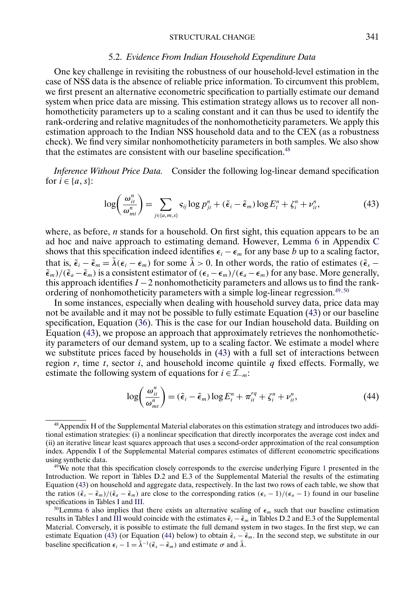#### 5.2. *Evidence From Indian Household Expenditure Data*

<span id="page-30-0"></span>One key challenge in revisiting the robustness of our household-level estimation in the case of NSS data is the absence of reliable price information. To circumvent this problem, we first present an alternative econometric specification to partially estimate our demand system when price data are missing. This estimation strategy allows us to recover all nonhomotheticity parameters up to a scaling constant and it can thus be used to identify the rank-ordering and relative magnitudes of the nonhomotheticity parameters. We apply this estimation approach to the Indian NSS household data and to the CEX (as a robustness check). We find very similar nonhomotheticity parameters in both samples. We also show that the estimates are consistent with our baseline specification.<sup>48</sup>

*Inference Without Price Data.* Consider the following log-linear demand specification for  $i \in \{a, s\}$ :

$$
\log\left(\frac{\omega_{it}^n}{\omega_{mt}^n}\right) = \sum_{j \in \{a,m,s\}} s_{ij} \log p_{jt}^n + (\tilde{\epsilon}_i - \tilde{\epsilon}_m) \log E_i^n + \zeta_i^n + \nu_{it}^n, \tag{43}
$$

where, as before,  $n$  stands for a household. On first sight, this equation appears to be an ad hoc and naive approach to estimating demand. However, Lemma [6](#page-58-0) in Appendix [C](#page-57-0) shows that this specification indeed identifies  $\epsilon_i - \epsilon_m$  for any base b up to a scaling factor, that is,  $\tilde{\epsilon}_i - \tilde{\epsilon}_m = \tilde{\lambda}(\epsilon_i - \epsilon_m)$  for some  $\tilde{\lambda} > 0$ . In other words, the ratio of estimates ( $\tilde{\epsilon}_s$  –  $(\tilde{\epsilon}_m)/(\tilde{\epsilon}_a - \tilde{\epsilon}_m)$  is a consistent estimator of  $(\epsilon_s - \epsilon_m)/(\epsilon_a - \epsilon_m)$  for any base. More generally, this approach identifies  $I - 2$  nonhomotheticity parameters and allows us to find the rankordering of nonhomotheticity parameters with a simple log-linear regression. $49,50$ 

In some instances, especially when dealing with household survey data, price data may not be available and it may not be possible to fully estimate Equation (43) or our baseline specification, Equation [\(36\)](#page-20-0). This is the case for our Indian household data. Building on Equation (43), we propose an approach that approximately retrieves the nonhomotheticity parameters of our demand system, up to a scaling factor. We estimate a model where we substitute prices faced by households in (43) with a full set of interactions between region r, time t, sector i, and household income quintile q fixed effects. Formally, we estimate the following system of equations for  $i \in \mathcal{I}_{-m}$ :

$$
\log\left(\frac{\omega_{it}^n}{\omega_{mt}^n}\right) = (\tilde{\epsilon}_i - \tilde{\epsilon}_m) \log E_t^n + \pi_{it}^{rq} + \zeta_i^n + \nu_{it}^n, \tag{44}
$$

<sup>48</sup>Appendix H of the Supplemental Material elaborates on this estimation strategy and introduces two additional estimation strategies: (i) a nonlinear specification that directly incorporates the average cost index and (ii) an iterative linear least squares approach that uses a second-order approximation of the real consumption index. Appendix I of the Supplemental Material compares estimates of different econometric specifications using synthetic data.

<sup>&</sup>lt;sup>49</sup>We note that this specification closely corresponds to the exercise underlying Figure [1](#page-1-0) presented in the Introduction. We report in Tables D.2 and E.3 of the Supplemental Material the results of the estimating Equation (43) on household and aggregate data, respectively. In the last two rows of each table, we show that the ratios  $(\tilde{\epsilon}_s - \tilde{\epsilon}_m)/(\tilde{\epsilon}_a - \tilde{\epsilon}_m)$  are close to the corresponding ratios  $(\epsilon_s - 1)/(\epsilon_a - 1)$  found in our baseline specifications in Tables [I](#page-21-0) and [III.](#page-25-0)

<sup>&</sup>lt;sup>50</sup>Lemma [6](#page-58-0) also implies that there exists an alternative scaling of  $\epsilon_m$  such that our baseline estimation results in Tables [I](#page-21-0) and [III](#page-25-0) would coincide with the estimates  $\tilde{\epsilon}_i - \tilde{\epsilon}_m$  in Tables D.2 and E.3 of the Supplemental Material. Conversely, it is possible to estimate the full demand system in two stages. In the first step, we can estimate Equation (43) (or Equation (44) below) to obtain  $\tilde{\epsilon}_s - \tilde{\epsilon}_m$ . In the second step, we substitute in our baseline specification  $\epsilon_i - 1 = \tilde{\lambda}^{-1}(\tilde{\epsilon}_s - \tilde{\epsilon}_m)$  and estimate  $\sigma$  and  $\tilde{\lambda}$ .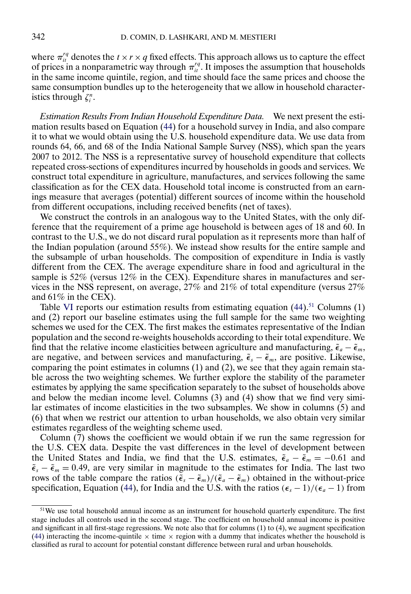where  $\pi_{it}^{rq}$  denotes the  $t \times r \times q$  fixed effects. This approach allows us to capture the effect of prices in a nonparametric way through  $\pi_i^{rq}$ . It imposes the assumption that households in the same income quintile, region, and time should face the same prices and choose the same consumption bundles up to the heterogeneity that we allow in household characteristics through  $\zeta_i^n$ .

*Estimation Results From Indian Household Expenditure Data.* We next present the estimation results based on Equation [\(44\)](#page-30-0) for a household survey in India, and also compare it to what we would obtain using the U.S. household expenditure data. We use data from rounds 64, 66, and 68 of the India National Sample Survey (NSS), which span the years 2007 to 2012. The NSS is a representative survey of household expenditure that collects repeated cross-sections of expenditures incurred by households in goods and services. We construct total expenditure in agriculture, manufactures, and services following the same classification as for the CEX data. Household total income is constructed from an earnings measure that averages (potential) different sources of income within the household from different occupations, including received benefits (net of taxes).

We construct the controls in an analogous way to the United States, with the only difference that the requirement of a prime age household is between ages of 18 and 60. In contrast to the U.S., we do not discard rural population as it represents more than half of the Indian population (around 55%). We instead show results for the entire sample and the subsample of urban households. The composition of expenditure in India is vastly different from the CEX. The average expenditure share in food and agricultural in the sample is 52% (versus 12% in the CEX). Expenditure shares in manufactures and services in the NSS represent, on average,  $27\%$  and  $21\%$  of total expenditure (versus  $27\%$ and 61% in the CEX).

Table [VI](#page-32-0) reports our estimation results from estimating equation  $(44)$ <sup>51</sup> Columns  $(1)$ and (2) report our baseline estimates using the full sample for the same two weighting schemes we used for the CEX. The first makes the estimates representative of the Indian population and the second re-weights households according to their total expenditure. We find that the relative income elasticities between agriculture and manufacturing,  $\tilde{\epsilon}_a - \tilde{\epsilon}_m$ , are negative, and between services and manufacturing,  $\tilde{\epsilon}_s - \tilde{\epsilon}_m$ , are positive. Likewise, comparing the point estimates in columns (1) and (2), we see that they again remain stable across the two weighting schemes. We further explore the stability of the parameter estimates by applying the same specification separately to the subset of households above and below the median income level. Columns (3) and (4) show that we find very similar estimates of income elasticities in the two subsamples. We show in columns (5) and (6) that when we restrict our attention to urban households, we also obtain very similar estimates regardless of the weighting scheme used.

Column (7) shows the coefficient we would obtain if we run the same regression for the U.S. CEX data. Despite the vast differences in the level of development between the United States and India, we find that the U.S. estimates,  $\tilde{\epsilon}_a - \tilde{\epsilon}_m = -0.61$  and  $\tilde{\epsilon}_s - \tilde{\epsilon}_m = 0.49$ , are very similar in magnitude to the estimates for India. The last two rows of the table compare the ratios  $(\tilde{\epsilon}_s - \tilde{\epsilon}_m)/(\tilde{\epsilon}_a - \tilde{\epsilon}_m)$  obtained in the without-price specification, Equation [\(44\)](#page-30-0), for India and the U.S. with the ratios  $(\epsilon_s - 1)/(\epsilon_a - 1)$  from

 $51$ We use total household annual income as an instrument for household quarterly expenditure. The first stage includes all controls used in the second stage. The coefficient on household annual income is positive and significant in all first-stage regressions. We note also that for columns (1) to (4), we augment specification [\(44\)](#page-30-0) interacting the income-quintile  $\times$  time  $\times$  region with a dummy that indicates whether the household is classified as rural to account for potential constant difference between rural and urban households.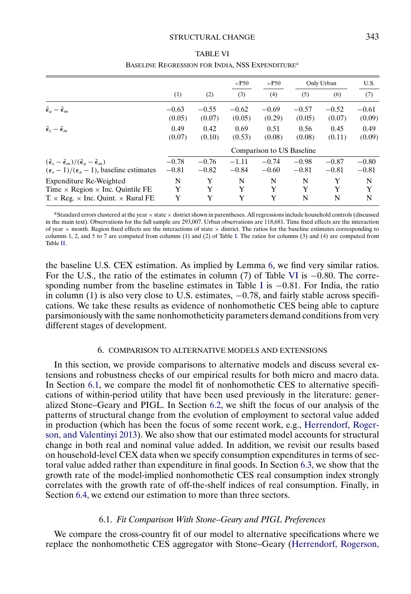#### STRUCTURAL CHANGE 343

<span id="page-32-0"></span>

|                                                                                       |         |         | $<$ P50                   | $>$ P50 |         | Only Urban | U.S.    |
|---------------------------------------------------------------------------------------|---------|---------|---------------------------|---------|---------|------------|---------|
|                                                                                       | (1)     | (2)     | (3)                       | (4)     | (5)     | (6)        | (7)     |
| $\tilde{\epsilon}_a - \tilde{\epsilon}_m$                                             | $-0.63$ | $-0.55$ | $-0.62$                   | $-0.69$ | $-0.57$ | $-0.52$    | $-0.61$ |
|                                                                                       | (0.05)  | (0.07)  | (0.05)                    | (0.29)  | (0.05)  | (0.07)     | (0.09)  |
| $\tilde{\epsilon}_{s} - \tilde{\epsilon}_{m}$                                         | 0.49    | 0.42    | 0.69                      | 0.51    | 0.56    | 0.45       | 0.49    |
|                                                                                       | (0.07)  | (0.10)  | (0.53)                    | (0.08)  | (0.08)  | (0.11)     | (0.09)  |
|                                                                                       |         |         | Comparison to US Baseline |         |         |            |         |
| $(\tilde{\epsilon}_s - \tilde{\epsilon}_m)/(\tilde{\epsilon}_a - \tilde{\epsilon}_m)$ | $-0.78$ | $-0.76$ | $-1.11$                   | $-0.74$ | $-0.98$ | $-0.87$    | $-0.80$ |
| $(\epsilon_s - 1)/(\epsilon_a - 1)$ , baseline estimates                              | $-0.81$ | $-0.82$ | $-0.84$                   | $-0.60$ | $-0.81$ | $-0.81$    | $-0.81$ |
| Expenditure Re-Weighted                                                               | N       | Y       | N                         | N       | N       | Y          | N       |
| Time $\times$ Region $\times$ Inc. Quintile FE                                        | Y       | Y       | Y                         | Y       | Y       | Y          | Y       |
| $T \times Reg. \times Inc.$ Quint. $\times$ Rural FE                                  | Y       | Y       | Y                         | Y       | N       | N          | N       |

### TABLE VI BASELINE REGRESSION FOR INDIA, NSS EXPENDITURE<sup>a</sup>

aStandard errors clustered at the year  $\times$  state  $\times$  district shown in parentheses. All regressions include household controls (discussed in the main text). Observations for the full sample are 293,007. Urban observations are 118,681. Time fixed effects are the interaction of year  $\times$  month. Region fixed effects are the interactions of state  $\times$  district. The ratios for the baseline estimates corresponding to columns 1, 2, and 5 to 7 are computed from columns (1) and (2) of Table [I.](#page-21-0) The ratios for columns (3) and (4) are computed from Table [II.](#page-22-0)

the baseline U.S. CEX estimation. As implied by Lemma [6,](#page-58-0) we find very similar ratios. For the U.S., the ratio of the estimates in column (7) of Table VI is  $-0.80$ . The corre-sponding number from the baseline estimates in Table [I](#page-21-0) is  $-0.81$ . For India, the ratio in column (1) is also very close to U.S. estimates,  $-0.78$ , and fairly stable across specifications. We take these results as evidence of nonhomothetic CES being able to capture parsimoniously with the same nonhomotheticity parameters demand conditions from very different stages of development.

## 6. COMPARISON TO ALTERNATIVE MODELS AND EXTENSIONS

In this section, we provide comparisons to alternative models and discuss several extensions and robustness checks of our empirical results for both micro and macro data. In Section 6.1, we compare the model fit of nonhomothetic CES to alternative specifications of within-period utility that have been used previously in the literature: generalized Stone–Geary and PIGL. In Section [6.2,](#page-33-0) we shift the focus of our analysis of the patterns of structural change from the evolution of employment to sectoral value added in production (which has been the focus of some recent work, e.g., [Herrendorf, Roger](#page-62-0)[son, and Valentinyi 2013\)](#page-62-0). We also show that our estimated model accounts for structural change in both real and nominal value added. In addition, we revisit our results based on household-level CEX data when we specify consumption expenditures in terms of sectoral value added rather than expenditure in final goods. In Section [6.3,](#page-36-0) we show that the growth rate of the model-implied nonhomothetic CES real consumption index strongly correlates with the growth rate of off-the-shelf indices of real consumption. Finally, in Section [6.4,](#page-38-0) we extend our estimation to more than three sectors.

## 6.1. *Fit Comparison With Stone–Geary and PIGL Preferences*

We compare the cross-country fit of our model to alternative specifications where we replace the nonhomothetic CES aggregator with Stone–Geary [\(Herrendorf, Rogerson,](#page-62-0)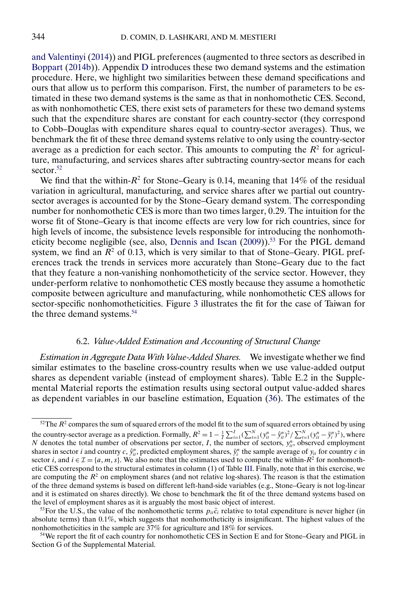<span id="page-33-0"></span>[and Valentinyi](#page-62-0) [\(2014\)](#page-62-0)) and PIGL preferences (augmented to three sectors as described in [Boppart](#page-61-0) [\(2014b\)](#page-61-0)). Appendix [D](#page-58-0) introduces these two demand systems and the estimation procedure. Here, we highlight two similarities between these demand specifications and ours that allow us to perform this comparison. First, the number of parameters to be estimated in these two demand systems is the same as that in nonhomothetic CES. Second, as with nonhomothetic CES, there exist sets of parameters for these two demand systems such that the expenditure shares are constant for each country-sector (they correspond to Cobb–Douglas with expenditure shares equal to country-sector averages). Thus, we benchmark the fit of these three demand systems relative to only using the country-sector average as a prediction for each sector. This amounts to computing the  $R^2$  for agriculture, manufacturing, and services shares after subtracting country-sector means for each sector.<sup>52</sup>

We find that the within- $R^2$  for Stone–Geary is 0.14, meaning that 14% of the residual variation in agricultural, manufacturing, and service shares after we partial out countrysector averages is accounted for by the Stone–Geary demand system. The corresponding number for nonhomothetic CES is more than two times larger, 029. The intuition for the worse fit of Stone–Geary is that income effects are very low for rich countries, since for high levels of income, the subsistence levels responsible for introducing the nonhomoth-eticity become negligible (see, also, [Dennis and Iscan](#page-62-0)  $(2009)$ ).<sup>53</sup> For the PIGL demand system, we find an  $R^2$  of 0.13, which is very similar to that of Stone–Geary. PIGL preferences track the trends in services more accurately than Stone–Geary due to the fact that they feature a non-vanishing nonhomotheticity of the service sector. However, they under-perform relative to nonhomothetic CES mostly because they assume a homothetic composite between agriculture and manufacturing, while nonhomothetic CES allows for sector-specific nonhomotheticities. Figure [3](#page-34-0) illustrates the fit for the case of Taiwan for the three demand systems.<sup>54</sup>

## 6.2. *Value-Added Estimation and Accounting of Structural Change*

*Estimation in Aggregate Data With Value-Added Shares.* We investigate whether we find similar estimates to the baseline cross-country results when we use value-added output shares as dependent variable (instead of employment shares). Table E.2 in the Supplemental Material reports the estimation results using sectoral output value-added shares as dependent variables in our baseline estimation, Equation [\(36\)](#page-20-0). The estimates of the

 $52$ The  $R^2$  compares the sum of squared errors of the model fit to the sum of squared errors obtained by using the country-sector average as a prediction. Formally,  $R^2 = 1 - \frac{1}{I} \sum_{i=1}^{I} (\sum_{t=1}^{N} (y_{it}^n - \hat{y}_{it}^n)^2 / \sum_{t=1}^{N} (y_{it}^n - \bar{y}_i^n)^2)$ , where N denotes the total number of observations per sector,  $I$ , the number of sectors,  $y_{ii}^n$ , observed employment shares in sector *i* and country *c*,  $\hat{y}_{it}^n$ , predicted employment shares,  $\bar{y}_i^n$  the sample average of  $y_{it}$  for country *c* in sector *i*, and  $i \in \mathcal{I} = \{a, m, s\}$ . We also note that the estimates used to compute the within- $R^2$  for nonhomothetic CES correspond to the structural estimates in column (1) of Table [III.](#page-25-0) Finally, note that in this exercise, we are computing the  $R<sup>2</sup>$  on employment shares (and not relative log-shares). The reason is that the estimation of the three demand systems is based on different left-hand-side variables (e.g., Stone–Geary is not log-linear and it is estimated on shares directly). We chose to benchmark the fit of the three demand systems based on the level of employment shares as it is arguably the most basic object of interest.

<sup>&</sup>lt;sup>53</sup>For the U.S., the value of the nonhomothetic terms  $p_{it}\bar{c}_i$  relative to total expenditure is never higher (in absolute terms) than 0.1%, which suggests that nonhomotheticity is insignificant. The highest values of the nonhomotheticities in the sample are 37% for agriculture and 18% for services.

<sup>&</sup>lt;sup>54</sup>We report the fit of each country for nonhomothetic CES in Section E and for Stone–Geary and PIGL in Section G of the Supplemental Material.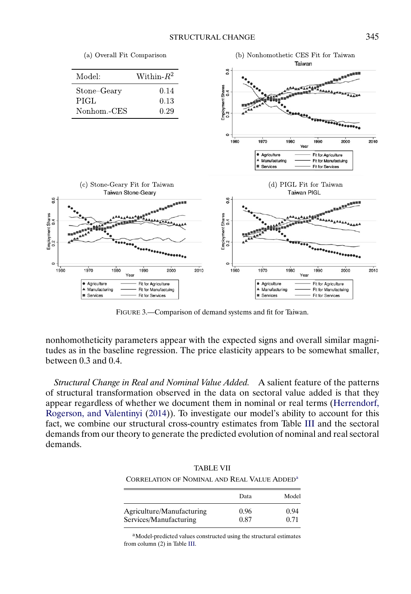(a) Overall Fit Comparison



<span id="page-34-0"></span>

FIGURE 3.—Comparison of demand systems and fit for Taiwan.

nonhomotheticity parameters appear with the expected signs and overall similar magnitudes as in the baseline regression. The price elasticity appears to be somewhat smaller, between 0.3 and 0.4.

*Structural Change in Real and Nominal Value Added.* A salient feature of the patterns of structural transformation observed in the data on sectoral value added is that they appear regardless of whether we document them in nominal or real terms [\(Herrendorf,](#page-62-0) [Rogerson, and Valentinyi](#page-62-0) [\(2014\)](#page-62-0)). To investigate our model's ability to account for this fact, we combine our structural cross-country estimates from Table [III](#page-25-0) and the sectoral demands from our theory to generate the predicted evolution of nominal and real sectoral demands.

| 11 ND DD 11                                              |      |       |
|----------------------------------------------------------|------|-------|
| CORRELATION OF NOMINAL AND REAL VALUE ADDED <sup>3</sup> |      |       |
|                                                          | Data | Model |
| Agriculture/Manufacturing                                | 0.96 | 0.94  |

TABLE VII

aModel-predicted values constructed using the structural estimates from column (2) in Table [III.](#page-25-0)

Services/Manufacturing 0.87 0.71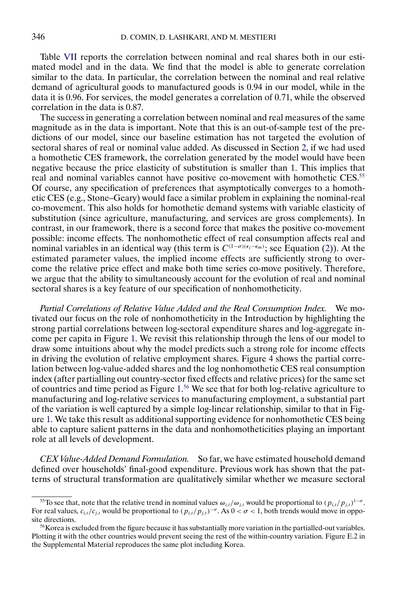Table [VII](#page-34-0) reports the correlation between nominal and real shares both in our estimated model and in the data. We find that the model is able to generate correlation similar to the data. In particular, the correlation between the nominal and real relative demand of agricultural goods to manufactured goods is 0.94 in our model, while in the data it is 0.96. For services, the model generates a correlation of 0.71, while the observed correlation in the data is 0.87.

The success in generating a correlation between nominal and real measures of the same magnitude as in the data is important. Note that this is an out-of-sample test of the predictions of our model, since our baseline estimation has not targeted the evolution of sectoral shares of real or nominal value added. As discussed in Section [2,](#page-5-0) if we had used a homothetic CES framework, the correlation generated by the model would have been negative because the price elasticity of substitution is smaller than 1. This implies that real and nominal variables cannot have positive co-movement with homothetic CES.<sup>55</sup> Of course, any specification of preferences that asymptotically converges to a homothetic CES (e.g., Stone–Geary) would face a similar problem in explaining the nominal-real co-movement. This also holds for homothetic demand systems with variable elasticity of substitution (since agriculture, manufacturing, and services are gross complements). In contrast, in our framework, there is a second force that makes the positive co-movement possible: income effects. The nonhomothetic effect of real consumption affects real and nominal variables in an identical way (this term is  $C^{(1-\sigma)(\epsilon_i-\epsilon_m)}$ ; see Equation [\(2\)](#page-6-0)). At the estimated parameter values, the implied income effects are sufficiently strong to overcome the relative price effect and make both time series co-move positively. Therefore, we argue that the ability to simultaneously account for the evolution of real and nominal sectoral shares is a key feature of our specification of nonhomotheticity.

*Partial Correlations of Relative Value Added and the Real Consumption Index.* We motivated our focus on the role of nonhomotheticity in the Introduction by highlighting the strong partial correlations between log-sectoral expenditure shares and log-aggregate income per capita in Figure [1.](#page-1-0) We revisit this relationship through the lens of our model to draw some intuitions about why the model predicts such a strong role for income effects in driving the evolution of relative employment shares. Figure [4](#page-36-0) shows the partial correlation between log-value-added shares and the log nonhomothetic CES real consumption index (after partialling out country-sector fixed effects and relative prices) for the same set of countries and time period as Figure [1.](#page-1-0) <sup>56</sup> We see that for both log-relative agriculture to manufacturing and log-relative services to manufacturing employment, a substantial part of the variation is well captured by a simple log-linear relationship, similar to that in Figure [1.](#page-1-0) We take this result as additional supporting evidence for nonhomothetic CES being able to capture salient patterns in the data and nonhomotheticities playing an important role at all levels of development.

*CEX Value-Added Demand Formulation.* So far, we have estimated household demand defined over households' final-good expenditure. Previous work has shown that the patterns of structural transformation are qualitatively similar whether we measure sectoral

<sup>&</sup>lt;sup>55</sup>To see that, note that the relative trend in nominal values  $\omega_{i,t}/\omega_{j,t}$  would be proportional to  $(p_{i,t}/p_{j,t})^{1-\sigma}$ . For real values,  $c_{i,t}/c_{j,t}$  would be proportional to  $(p_{i,t}/p_{j,t})^{-\sigma}$ . As  $0 < \sigma < 1$ , both trends would move in opposite directions.

 $56$ Korea is excluded from the figure because it has substantially more variation in the partialled-out variables. Plotting it with the other countries would prevent seeing the rest of the within-country variation. Figure E.2 in the Supplemental Material reproduces the same plot including Korea.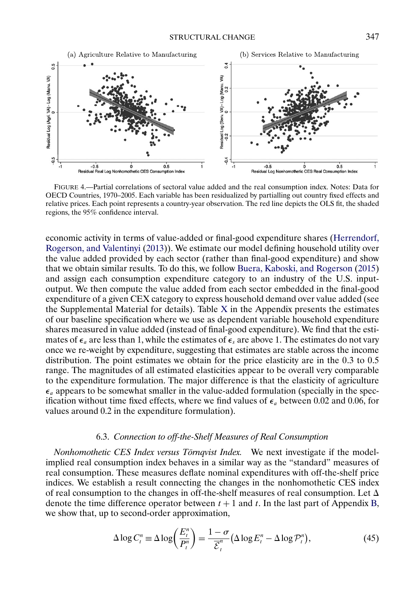<span id="page-36-0"></span>

FIGURE 4.—Partial correlations of sectoral value added and the real consumption index. Notes: Data for OECD Countries, 1970–2005. Each variable has been residualized by partialling out country fixed effects and relative prices. Each point represents a country-year observation. The red line depicts the OLS fit, the shaded regions, the 95% confidence interval.

economic activity in terms of value-added or final-good expenditure shares [\(Herrendorf,](#page-62-0) [Rogerson, and Valentinyi](#page-62-0) [\(2013\)](#page-62-0)). We estimate our model defining household utility over the value added provided by each sector (rather than final-good expenditure) and show that we obtain similar results. To do this, we follow [Buera, Kaboski, and Rogerson](#page-62-0) [\(2015\)](#page-62-0) and assign each consumption expenditure category to an industry of the U.S. inputoutput. We then compute the value added from each sector embedded in the final-good expenditure of a given CEX category to express household demand over value added (see the Supplemental Material for details). Table  $X$  in the Appendix presents the estimates of our baseline specification where we use as dependent variable household expenditure shares measured in value added (instead of final-good expenditure). We find that the estimates of  $\epsilon_a$  are less than 1, while the estimates of  $\epsilon_s$  are above 1. The estimates do not vary once we re-weight by expenditure, suggesting that estimates are stable across the income distribution. The point estimates we obtain for the price elasticity are in the  $0.3$  to  $0.5$ range. The magnitudes of all estimated elasticities appear to be overall very comparable to the expenditure formulation. The major difference is that the elasticity of agriculture  $\epsilon_a$  appears to be somewhat smaller in the value-added formulation (specially in the specification without time fixed effects, where we find values of  $\epsilon_a$  between 0.02 and 0.06, for values around 0.2 in the expenditure formulation).

## 6.3. *Connection to off-the-Shelf Measures of Real Consumption*

*Nonhomothetic CES Index versus Törnqvist Index.* We next investigate if the modelimplied real consumption index behaves in a similar way as the "standard" measures of real consumption. These measures deflate nominal expenditures with off-the-shelf price indices. We establish a result connecting the changes in the nonhomothetic CES index of real consumption to the changes in off-the-shelf measures of real consumption. Let  $\Delta$ denote the time difference operator between  $t + 1$  and t. In the last part of Appendix [B,](#page-48-0) we show that, up to second-order approximation,

$$
\Delta \log C_t^n \equiv \Delta \log \left( \frac{E_t^n}{P_t^n} \right) = \frac{1 - \sigma}{\overline{\mathcal{E}}_t^n} \left( \Delta \log E_t^n - \Delta \log \mathcal{P}_t^n \right),\tag{45}
$$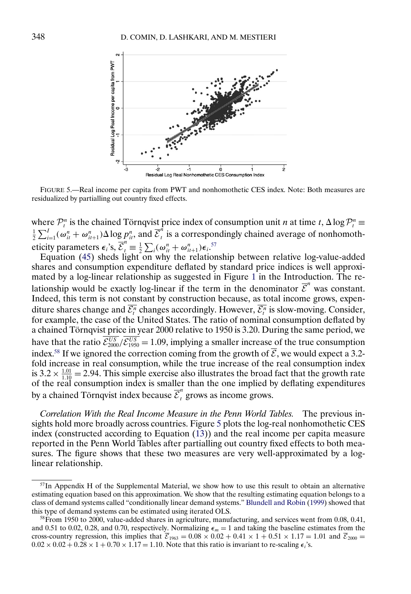<span id="page-37-0"></span>

FIGURE 5.—Real income per capita from PWT and nonhomothetic CES index. Note: Both measures are residualized by partialling out country fixed effects.

where  $\mathcal{P}_t^n$  is the chained Törnqvist price index of consumption unit *n* at time  $t$ ,  $\Delta \log \mathcal{P}_t^n \equiv$  $\frac{1}{2}\sum_{i=1}^I(\omega_{it}^n + \omega_{it+1}^n)\Delta \log p_{it}^n$ , and  $\overline{\mathcal{E}}_t^n$  is a correspondingly chained average of nonhomotheticity parameters  $\epsilon_i$ 's,  $\overline{\mathcal{E}}_t^n \equiv \frac{1}{2} \sum_i (\omega_{it}^n + \omega_{it+1}^n) \epsilon_i$ .<sup>57</sup>

Equation [\(45\)](#page-36-0) sheds light on why the relationship between relative log-value-added shares and consumption expenditure deflated by standard price indices is well approximated by a log-linear relationship as suggested in Figure [1](#page-1-0) in the Introduction. The relationship would be exactly log-linear if the term in the denominator  $\overline{\mathcal{E}}^n$  was constant. Indeed, this term is not constant by construction because, as total income grows, expenditure shares change and  $\mathcal{E}_t^n$  changes accordingly. However,  $\mathcal{E}_t^n$  is slow-moving. Consider, for example, the case of the United States. The ratio of nominal consumption deflated by a chained Törnqvist price in year 2000 relative to 1950 is 3.20. During the same period, we have that the ratio  $\mathcal{E}_{2000}^{US}/\mathcal{E}_{1950}^{US} = 1.09$ , implying a smaller increase of the true consumption index.<sup>58</sup> If we ignored the correction coming from the growth of  $\overline{E}$ , we would expect a 3.2fold increase in real consumption, while the true increase of the real consumption index is  $3.2 \times \frac{1.01}{1.10} = 2.94$ . This simple exercise also illustrates the broad fact that the growth rate of the real consumption index is smaller than the one implied by deflating expenditures by a chained Törnqvist index because  $\overline{\mathcal{E}}_t^n$  grows as income grows.

*Correlation With the Real Income Measure in the Penn World Tables.* The previous insights hold more broadly across countries. Figure 5 plots the log-real nonhomothetic CES index (constructed according to Equation [\(13\)](#page-10-0)) and the real income per capita measure reported in the Penn World Tables after partialling out country fixed effects to both measures. The figure shows that these two measures are very well-approximated by a loglinear relationship.

<sup>&</sup>lt;sup>57</sup>In Appendix H of the Supplemental Material, we show how to use this result to obtain an alternative estimating equation based on this approximation. We show that the resulting estimating equation belongs to a class of demand systems called "conditionally linear demand systems." [Blundell and Robin](#page-61-0) [\(1999\)](#page-61-0) showed that this type of demand systems can be estimated using iterated OLS.

<sup>58</sup>From 1950 to 2000, value-added shares in agriculture, manufacturing, and services went from 0.08, 0.41, and 0.51 to 0.02, 0.28, and 0.70, respectively. Normalizing  $\epsilon_m = 1$  and taking the baseline estimates from the cross-country regression, this implies that  $\overline{\mathcal{E}}_{1963} = 0.08 \times 0.02 + 0.41 \times 1 + 0.51 \times 1.17 = 1.01$  and  $\overline{\mathcal{E}}_{2000} =$  $0.02 \times 0.02 + 0.28 \times 1 + 0.70 \times 1.17 = 1.10$ . Note that this ratio is invariant to re-scaling  $\epsilon_i$ 's.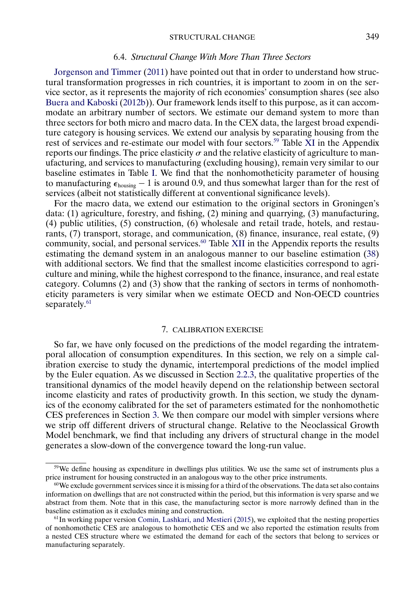#### 6.4. *Structural Change With More Than Three Sectors*

<span id="page-38-0"></span>[Jorgenson and Timmer](#page-62-0) [\(2011\)](#page-62-0) have pointed out that in order to understand how structural transformation progresses in rich countries, it is important to zoom in on the service sector, as it represents the majority of rich economies' consumption shares (see also [Buera and Kaboski](#page-62-0) [\(2012b\)](#page-62-0)). Our framework lends itself to this purpose, as it can accommodate an arbitrary number of sectors. We estimate our demand system to more than three sectors for both micro and macro data. In the CEX data, the largest broad expenditure category is housing services. We extend our analysis by separating housing from the rest of services and re-estimate our model with four sectors.<sup>59</sup> Table [XI](#page-60-0) in the Appendix reports our findings. The price elasticity  $\sigma$  and the relative elasticity of agriculture to manufacturing, and services to manufacturing (excluding housing), remain very similar to our baseline estimates in Table [I.](#page-21-0) We find that the nonhomotheticity parameter of housing to manufacturing  $\epsilon_{\text{housing}} - 1$  is around 0.9, and thus somewhat larger than for the rest of services (albeit not statistically different at conventional significance levels).

For the macro data, we extend our estimation to the original sectors in Groningen's data: (1) agriculture, forestry, and fishing, (2) mining and quarrying, (3) manufacturing, (4) public utilities, (5) construction, (6) wholesale and retail trade, hotels, and restaurants, (7) transport, storage, and communication, (8) finance, insurance, real estate, (9) community, social, and personal services.<sup>60</sup> Table [XII](#page-61-0) in the Appendix reports the results estimating the demand system in an analogous manner to our baseline estimation [\(38\)](#page-23-0) with additional sectors. We find that the smallest income elasticities correspond to agriculture and mining, while the highest correspond to the finance, insurance, and real estate category. Columns (2) and (3) show that the ranking of sectors in terms of nonhomotheticity parameters is very similar when we estimate OECD and Non-OECD countries separately.<sup>61</sup>

## 7. CALIBRATION EXERCISE

So far, we have only focused on the predictions of the model regarding the intratemporal allocation of consumption expenditures. In this section, we rely on a simple calibration exercise to study the dynamic, intertemporal predictions of the model implied by the Euler equation. As we discussed in Section [2.2.3,](#page-17-0) the qualitative properties of the transitional dynamics of the model heavily depend on the relationship between sectoral income elasticity and rates of productivity growth. In this section, we study the dynamics of the economy calibrated for the set of parameters estimated for the nonhomothetic CES preferences in Section [3.](#page-18-0) We then compare our model with simpler versions where we strip off different drivers of structural change. Relative to the Neoclassical Growth Model benchmark, we find that including any drivers of structural change in the model generates a slow-down of the convergence toward the long-run value.

<sup>&</sup>lt;sup>59</sup>We define housing as expenditure in dwellings plus utilities. We use the same set of instruments plus a price instrument for housing constructed in an analogous way to the other price instruments.

 $60$ We exclude government services since it is missing for a third of the observations. The data set also contains information on dwellings that are not constructed within the period, but this information is very sparse and we abstract from them. Note that in this case, the manufacturing sector is more narrowly defined than in the baseline estimation as it excludes mining and construction.

 $<sup>61</sup>$ In working paper version [Comin, Lashkari, and Mestieri](#page-62-0) [\(2015\)](#page-62-0), we exploited that the nesting properties</sup> of nonhomothetic CES are analogous to homothetic CES and we also reported the estimation results from a nested CES structure where we estimated the demand for each of the sectors that belong to services or manufacturing separately.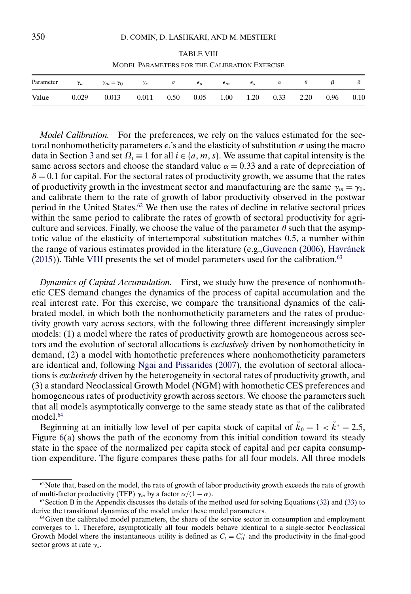TABLE VIII MODEL PARAMETERS FOR THE CALIBRATION EXERCISE

<span id="page-39-0"></span>

| Parameter | $\gamma_a$ | $\gamma_m = \gamma_0$ | $\gamma_S$ | $\sigma$ | $\epsilon_a$ | $\epsilon_m$ | $\epsilon_{S}$ | $\alpha$ |      |      | $\mathcal{O}$ |
|-----------|------------|-----------------------|------------|----------|--------------|--------------|----------------|----------|------|------|---------------|
| Value     | 0.029      | 0.013                 | 0.011      | 0.50     | 0.05         | 1.00         | 1.20           | 0.33     | 2.20 | 0.96 | 0.10          |

*Model Calibration.* For the preferences, we rely on the values estimated for the sectoral nonhomotheticity parameters  $\epsilon_i$ 's and the elasticity of substitution  $\sigma$  using the macro data in Section [3](#page-18-0) and set  $\Omega_i \equiv 1$  for all  $i \in \{a, m, s\}$ . We assume that capital intensity is the same across sectors and choose the standard value  $\alpha = 0.33$  and a rate of depreciation of  $\delta = 0.1$  for capital. For the sectoral rates of productivity growth, we assume that the rates of productivity growth in the investment sector and manufacturing are the same  $\gamma_m = \gamma_0$ , and calibrate them to the rate of growth of labor productivity observed in the postwar period in the United States.62 We then use the rates of decline in relative sectoral prices within the same period to calibrate the rates of growth of sectoral productivity for agriculture and services. Finally, we choose the value of the parameter  $\theta$  such that the asymptotic value of the elasticity of intertemporal substitution matches 05, a number within the range of various estimates provided in the literature (e.g.[,Guvenen](#page-62-0) [\(2006\)](#page-62-0), [Havránek](#page-62-0)  $(2015)$ ). Table VIII presents the set of model parameters used for the calibration.<sup>63</sup>

*Dynamics of Capital Accumulation.* First, we study how the presence of nonhomothetic CES demand changes the dynamics of the process of capital accumulation and the real interest rate. For this exercise, we compare the transitional dynamics of the calibrated model, in which both the nonhomotheticity parameters and the rates of productivity growth vary across sectors, with the following three different increasingly simpler models: (1) a model where the rates of productivity growth are homogeneous across sectors and the evolution of sectoral allocations is *exclusively* driven by nonhomotheticity in demand, (2) a model with homothetic preferences where nonhomotheticity parameters are identical and, following [Ngai and Pissarides](#page-63-0) [\(2007\)](#page-63-0), the evolution of sectoral allocations is *exclusively* driven by the heterogeneity in sectoral rates of productivity growth, and (3) a standard Neoclassical Growth Model (NGM) with homothetic CES preferences and homogeneous rates of productivity growth across sectors. We choose the parameters such that all models asymptotically converge to the same steady state as that of the calibrated model.<sup>64</sup>

Beginning at an initially low level of per capita stock of capital of  $\tilde{k}_0 = 1 < \tilde{k}^* = 2.5$ , Figure  $6(a)$  $6(a)$  shows the path of the economy from this initial condition toward its steady state in the space of the normalized per capita stock of capital and per capita consumption expenditure. The figure compares these paths for all four models. All three models

 $62$ Note that, based on the model, the rate of growth of labor productivity growth exceeds the rate of growth of multi-factor productivity (TFP)  $\gamma_m$  by a factor  $\alpha/(1-\alpha)$ .

 $63$  Section B in the Appendix discusses the details of the method used for solving Equations [\(32\)](#page-17-0) and [\(33\)](#page-17-0) to derive the transitional dynamics of the model under these model parameters.

<sup>&</sup>lt;sup>64</sup>Given the calibrated model parameters, the share of the service sector in consumption and employment converges to 1. Therefore, asymptotically all four models behave identical to a single-sector Neoclassical Growth Model where the instantaneous utility is defined as  $C_t = C_{st}^{\epsilon_s}$  and the productivity in the final-good sector grows at rate  $\gamma_s$ .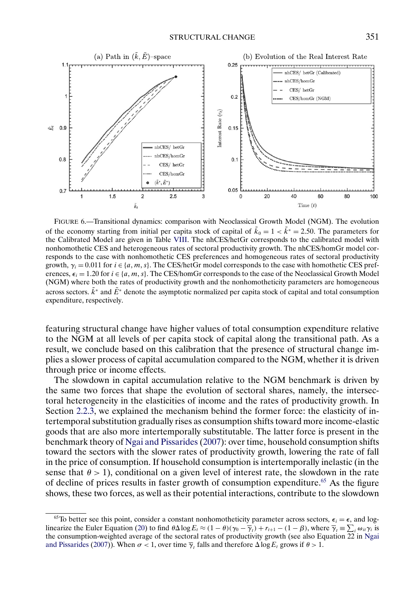<span id="page-40-0"></span>

FIGURE 6.—Transitional dynamics: comparison with Neoclassical Growth Model (NGM). The evolution of the economy starting from initial per capita stock of capital of  $\tilde{k}_0 = 1 < \tilde{k}^* = 2.50$ . The parameters for the Calibrated Model are given in Table [VIII.](#page-39-0) The nhCES/hetGr corresponds to the calibrated model with nonhomothetic CES and heterogeneous rates of sectoral productivity growth. The nhCES/homGr model corresponds to the case with nonhomothetic CES preferences and homogeneous rates of sectoral productivity growth,  $\gamma_i = 0.011$  for  $i \in \{a, m, s\}$ . The CES/hetGr model corresponds to the case with homothetic CES preferences,  $\epsilon_i = 1.20$  for  $i \in \{a, m, s\}$ . The CES/homGr corresponds to the case of the Neoclassical Growth Model (NGM) where both the rates of productivity growth and the nonhomotheticity parameters are homogeneous across sectors.  $\vec{k}^*$  and  $\vec{E}^*$  denote the asymptotic normalized per capita stock of capital and total consumption expenditure, respectively.

featuring structural change have higher values of total consumption expenditure relative to the NGM at all levels of per capita stock of capital along the transitional path. As a result, we conclude based on this calibration that the presence of structural change implies a slower process of capital accumulation compared to the NGM, whether it is driven through price or income effects.

The slowdown in capital accumulation relative to the NGM benchmark is driven by the same two forces that shape the evolution of sectoral shares, namely, the intersectoral heterogeneity in the elasticities of income and the rates of productivity growth. In Section [2.2.3,](#page-17-0) we explained the mechanism behind the former force: the elasticity of intertemporal substitution gradually rises as consumption shifts toward more income-elastic goods that are also more intertemporally substitutable. The latter force is present in the benchmark theory of [Ngai and Pissarides](#page-63-0) [\(2007\)](#page-63-0): over time, household consumption shifts toward the sectors with the slower rates of productivity growth, lowering the rate of fall in the price of consumption. If household consumption is intertemporally inelastic (in the sense that  $\theta > 1$ ), conditional on a given level of interest rate, the slowdown in the rate of decline of prices results in faster growth of consumption expenditure.65 As the figure shows, these two forces, as well as their potential interactions, contribute to the slowdown

<sup>&</sup>lt;sup>65</sup>To better see this point, consider a constant nonhomotheticity parameter across sectors,  $\epsilon_i = \epsilon$ , and log-linearize the Euler Equation [\(20\)](#page-12-0) to find  $\theta \Delta \log E_t \approx (1 - \theta)(\gamma_0 - \overline{\gamma}_t) + r_{t+1} - (1 - \beta)$ , where  $\overline{\gamma}_t \equiv \sum_i \omega_{ii} \gamma_i$  is the consumption-weighted average of the sectoral rates of productivity growth (see also Equation 22 in [Ngai](#page-63-0) [and Pissarides](#page-63-0) [\(2007\)](#page-63-0)). When  $\sigma < 1$ , over time  $\overline{\gamma}_t$  falls and therefore  $\Delta \log E_t$  grows if  $\theta > 1$ .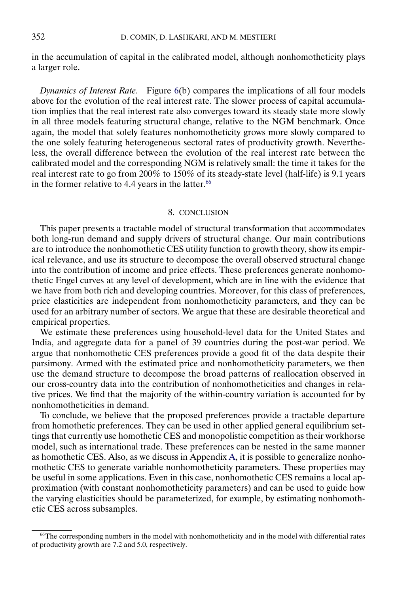<span id="page-41-0"></span>in the accumulation of capital in the calibrated model, although nonhomotheticity plays a larger role.

*Dynamics of Interest Rate.* Figure [6\(](#page-40-0)b) compares the implications of all four models above for the evolution of the real interest rate. The slower process of capital accumulation implies that the real interest rate also converges toward its steady state more slowly in all three models featuring structural change, relative to the NGM benchmark. Once again, the model that solely features nonhomotheticity grows more slowly compared to the one solely featuring heterogeneous sectoral rates of productivity growth. Nevertheless, the overall difference between the evolution of the real interest rate between the calibrated model and the corresponding NGM is relatively small: the time it takes for the real interest rate to go from 200% to  $150\%$  of its steady-state level (half-life) is 9.1 years in the former relative to 4.4 years in the latter. $66$ 

### 8. CONCLUSION

This paper presents a tractable model of structural transformation that accommodates both long-run demand and supply drivers of structural change. Our main contributions are to introduce the nonhomothetic CES utility function to growth theory, show its empirical relevance, and use its structure to decompose the overall observed structural change into the contribution of income and price effects. These preferences generate nonhomothetic Engel curves at any level of development, which are in line with the evidence that we have from both rich and developing countries. Moreover, for this class of preferences, price elasticities are independent from nonhomotheticity parameters, and they can be used for an arbitrary number of sectors. We argue that these are desirable theoretical and empirical properties.

We estimate these preferences using household-level data for the United States and India, and aggregate data for a panel of 39 countries during the post-war period. We argue that nonhomothetic CES preferences provide a good fit of the data despite their parsimony. Armed with the estimated price and nonhomotheticity parameters, we then use the demand structure to decompose the broad patterns of reallocation observed in our cross-country data into the contribution of nonhomotheticities and changes in relative prices. We find that the majority of the within-country variation is accounted for by nonhomotheticities in demand.

To conclude, we believe that the proposed preferences provide a tractable departure from homothetic preferences. They can be used in other applied general equilibrium settings that currently use homothetic CES and monopolistic competition as their workhorse model, such as international trade. These preferences can be nested in the same manner as homothetic CES. Also, as we discuss in Appendix [A,](#page-42-0) it is possible to generalize nonhomothetic CES to generate variable nonhomotheticity parameters. These properties may be useful in some applications. Even in this case, nonhomothetic CES remains a local approximation (with constant nonhomotheticity parameters) and can be used to guide how the varying elasticities should be parameterized, for example, by estimating nonhomothetic CES across subsamples.

<sup>66</sup>The corresponding numbers in the model with nonhomotheticity and in the model with differential rates of productivity growth are 72 and 5.0, respectively.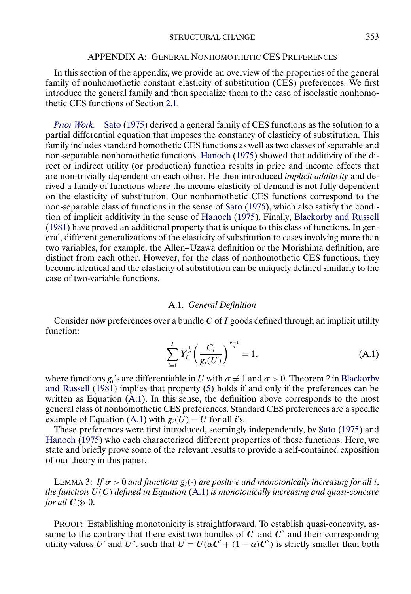#### APPENDIX A: GENERAL NONHOMOTHETIC CES PREFERENCES

<span id="page-42-0"></span>In this section of the appendix, we provide an overview of the properties of the general family of nonhomothetic constant elasticity of substitution (CES) preferences. We first introduce the general family and then specialize them to the case of isoelastic nonhomothetic CES functions of Section [2.1.](#page-5-0)

*[Prior Work.](#page-63-0)* Sato [\(1975\)](#page-63-0) derived a general family of CES functions as the solution to a partial differential equation that imposes the constancy of elasticity of substitution. This family includes standard homothetic CES functions as well as two classes of separable and non-separable nonhomothetic functions. [Hanoch](#page-62-0) [\(1975\)](#page-62-0) showed that additivity of the direct or indirect utility (or production) function results in price and income effects that are non-trivially dependent on each other. He then introduced *implicit additivity* and derived a family of functions where the income elasticity of demand is not fully dependent on the elasticity of substitution. Our nonhomothetic CES functions correspond to the non-separable class of functions in the sense of [Sato](#page-63-0) [\(1975\)](#page-63-0), which also satisfy the condition of implicit additivity in the sense of [Hanoch](#page-62-0) [\(1975\)](#page-62-0). Finally, [Blackorby and Russell](#page-61-0) [\(1981\)](#page-61-0) have proved an additional property that is unique to this class of functions. In general, different generalizations of the elasticity of substitution to cases involving more than two variables, for example, the Allen–Uzawa definition or the Morishima definition, are distinct from each other. However, for the class of nonhomothetic CES functions, they become identical and the elasticity of substitution can be uniquely defined similarly to the case of two-variable functions.

#### A.1. *General Definition*

Consider now preferences over a bundle  $C$  of I goods defined through an implicit utility function:

$$
\sum_{i=1}^{I} Y_i^{\frac{1}{\sigma}} \left( \frac{C_i}{g_i(U)} \right)^{\frac{\sigma-1}{\sigma}} = 1,
$$
\n(A.1)

where functions  $g_i$ 's are differentiable in U with  $\sigma \neq 1$  and  $\sigma > 0$ . Theorem 2 in [Blackorby](#page-61-0) [and Russell](#page-61-0) [\(1981\)](#page-61-0) implies that property [\(5\)](#page-7-0) holds if and only if the preferences can be written as Equation  $(A.1)$ . In this sense, the definition above corresponds to the most general class of nonhomothetic CES preferences. Standard CES preferences are a specific example of Equation (A.1) with  $g_i(\hat{U}) = U$  for all *i*'s.

These preferences were first introduced, seemingly independently, by [Sato](#page-63-0) [\(1975\)](#page-63-0) and [Hanoch](#page-62-0) [\(1975\)](#page-62-0) who each characterized different properties of these functions. Here, we state and briefly prove some of the relevant results to provide a self-contained exposition of our theory in this paper.

LEMMA 3: *If*  $\sigma > 0$  *and functions*  $g_i(\cdot)$  *are positive and monotonically increasing for all i, the function*  $U(C)$  *defined in Equation* (A.1) *is monotonically increasing and quasi-concave for all*  $C \gg 0$ .

PROOF: Establishing monotonicity is straightforward. To establish quasi-concavity, assume to the contrary that there exist two bundles of  $C'$  and  $C''$  and their corresponding utility values U' and U'', such that  $U \equiv U(\alpha C' + (1 - \alpha)C'')$  is strictly smaller than both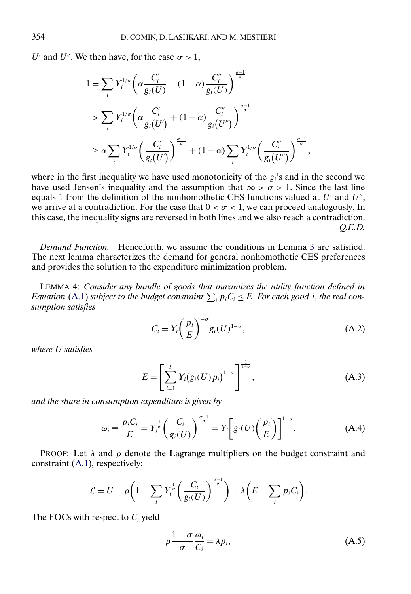<span id="page-43-0"></span>U' and U''. We then have, for the case  $\sigma > 1$ ,

$$
1 = \sum_{i} Y_i^{1/\sigma} \left( \alpha \frac{C_i'}{g_i(U)} + (1 - \alpha) \frac{C_i''}{g_i(U)} \right)^{\frac{\sigma - 1}{\sigma}}
$$
  
> 
$$
\sum_{i} Y_i^{1/\sigma} \left( \alpha \frac{C_i'}{g_i(U')} + (1 - \alpha) \frac{C_i''}{g_i(U')} \right)^{\frac{\sigma - 1}{\sigma}}
$$
  

$$
\geq \alpha \sum_{i} Y_i^{1/\sigma} \left( \frac{C_i'}{g_i(U')} \right)^{\frac{\sigma - 1}{\sigma}} + (1 - \alpha) \sum_{i} Y_i^{1/\sigma} \left( \frac{C_i''}{g_i(U'')} \right)^{\frac{\sigma - 1}{\sigma}},
$$

where in the first inequality we have used monotonicity of the  $g_i$ 's and in the second we have used Jensen's inequality and the assumption that  $\infty > \sigma > 1$ . Since the last line equals 1 from the definition of the nonhomothetic CES functions valued at  $U'$  and  $U''$ , we arrive at a contradiction. For the case that  $0 < \sigma < 1$ , we can proceed analogously. In this case, the inequality signs are reversed in both lines and we also reach a contradiction. *Q.E.D.*

*Demand Function.* Henceforth, we assume the conditions in Lemma [3](#page-42-0) are satisfied. The next lemma characterizes the demand for general nonhomothetic CES preferences and provides the solution to the expenditure minimization problem.

LEMMA 4: *Consider any bundle of goods that maximizes the utility function defined in Equation* [\(A.1\)](#page-42-0) subject to the budget constraint  $\sum_i p_i C_i \leq E$ . For each good i, the real con*sumption satisfies*

$$
C_i = Y_i \left(\frac{p_i}{E}\right)^{-\sigma} g_i(U)^{1-\sigma}, \tag{A.2}
$$

*where* U *satisfies*

$$
E = \left[ \sum_{i=1}^{I} Y_i (g_i(U) p_i)^{1-\sigma} \right]^{\frac{1}{1-\sigma}}, \tag{A.3}
$$

*and the share in consumption expenditure is given by*

$$
\omega_i \equiv \frac{p_i C_i}{E} = Y_i^{\frac{1}{\sigma}} \left( \frac{C_i}{g_i(U)} \right)^{\frac{\sigma - 1}{\sigma}} = Y_i \left[ g_i(U) \left( \frac{p_i}{E} \right) \right]^{1 - \sigma}.
$$
 (A.4)

PROOF: Let  $\lambda$  and  $\rho$  denote the Lagrange multipliers on the budget constraint and constraint [\(A.1\)](#page-42-0), respectively:

$$
\mathcal{L} = U + \rho \bigg( 1 - \sum_i Y_i^{\frac{1}{\sigma}} \bigg( \frac{C_i}{g_i(U)} \bigg)^{\frac{\sigma - 1}{\sigma}} \bigg) + \lambda \bigg( E - \sum_i p_i C_i \bigg).
$$

The FOCs with respect to  $C_i$  yield

$$
\rho \frac{1 - \sigma}{\sigma} \frac{\omega_i}{C_i} = \lambda p_i,\tag{A.5}
$$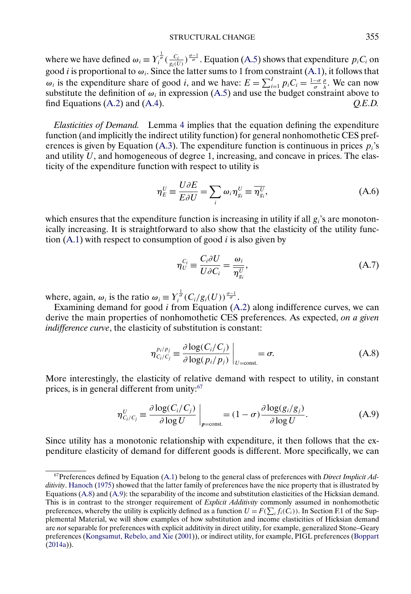<span id="page-44-0"></span>where we have defined  $\omega_i \equiv Y_i^{\frac{1}{\sigma}}(\frac{C_i}{g_i(U)})^{\frac{\sigma-1}{\sigma}}$ . Equation [\(A.5\)](#page-43-0) shows that expenditure  $p_iC_i$  on good *i* is proportional to  $\omega_i$ . Since the latter sums to 1 from constraint [\(A.1\)](#page-42-0), it follows that  $\omega_i$  is the expenditure share of good *i*, and we have:  $E = \sum_{i=1}^{I} p_i C_i = \frac{1-\sigma}{\sigma}$  $\frac{\rho}{\lambda}$ . We can now substitute the definition of  $\omega_i$  in expression [\(A.5\)](#page-43-0) and use the budget constraint above to find Equations [\(A.2\)](#page-43-0) and [\(A.4\)](#page-43-0). *Q.E.D.*

*Elasticities of Demand.* Lemma [4](#page-43-0) implies that the equation defining the expenditure function (and implicitly the indirect utility function) for general nonhomothetic CES pref-erences is given by Equation [\(A.3\)](#page-43-0). The expenditure function is continuous in prices  $p_i$ 's and utility  $U$ , and homogeneous of degree 1, increasing, and concave in prices. The elasticity of the expenditure function with respect to utility is

$$
\eta_E^U \equiv \frac{U \partial E}{E \partial U} = \sum_i \omega_i \eta_{g_i}^U \equiv \overline{\eta_{g_i}^U},
$$
(A.6)

which ensures that the expenditure function is increasing in utility if all  $g_i$ 's are monotonically increasing. It is straightforward to also show that the elasticity of the utility function  $(A.1)$  with respect to consumption of good *i* is also given by

$$
\eta_U^{C_i} \equiv \frac{C_i \partial U}{U \partial C_i} = \frac{\omega_i}{\eta_{g_i}^U},\tag{A.7}
$$

where, again,  $\omega_i$  is the ratio  $\omega_i \equiv Y_i^{\frac{1}{\sigma}}(C_i/g_i(U))^{\frac{\sigma-1}{\sigma}}$ .

Examining demand for good  $i$  from Equation [\(A.2\)](#page-43-0) along indifference curves, we can derive the main properties of nonhomothetic CES preferences. As expected, *on a given indifference curve*, the elasticity of substitution is constant:

$$
\eta_{C_i/C_j}^{p_i/p_j} \equiv \frac{\partial \log(C_i/C_j)}{\partial \log(p_i/p_j)} \bigg|_{U=\text{const.}} = \sigma.
$$
\n(A.8)

More interestingly, the elasticity of relative demand with respect to utility, in constant prices, is in general different from unity:<sup>67</sup>

$$
\eta_{C_i/C_j}^U \equiv \frac{\partial \log(C_i/C_j)}{\partial \log U}\bigg|_{p=\text{const.}} = (1-\sigma)\frac{\partial \log(g_i/g_j)}{\partial \log U}.
$$
 (A.9)

Since utility has a monotonic relationship with expenditure, it then follows that the expenditure elasticity of demand for different goods is different. More specifically, we can

<sup>67</sup>Preferences defined by Equation [\(A.1\)](#page-42-0) belong to the general class of preferences with *Direct Implicit Additivity*. [Hanoch](#page-62-0) [\(1975\)](#page-62-0) showed that the latter family of preferences have the nice property that is illustrated by Equations (A.8) and (A.9): the separability of the income and substitution elasticities of the Hicksian demand. This is in contrast to the stronger requirement of *Explicit Additivity* commonly assumed in nonhomothetic preferences, whereby the utility is explicitly defined as a function  $U = F(\sum_i f_i(C_i))$ . In Section F.1 of the Supplemental Material, we will show examples of how substitution and income elasticities of Hicksian demand are *not* separable for preferences with explicit additivity in direct utility, for example, generalized Stone–Geary preferences [\(Kongsamut, Rebelo, and Xie](#page-63-0) [\(2001\)](#page-63-0)), or indirect utility, for example, PIGL preferences [\(Boppart](#page-61-0) [\(2014a\)](#page-61-0)).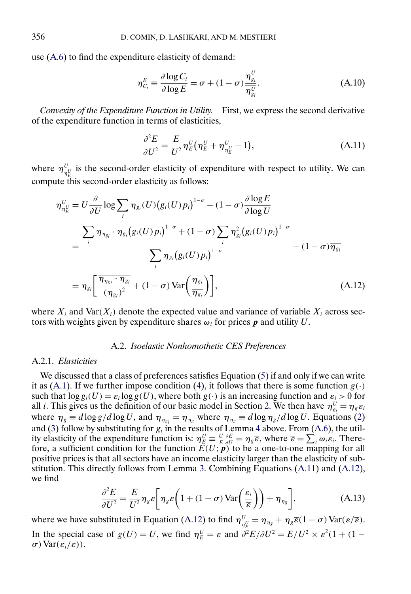<span id="page-45-0"></span>use [\(A.6\)](#page-44-0) to find the expenditure elasticity of demand:

$$
\eta_{C_i}^E = \frac{\partial \log C_i}{\partial \log E} = \sigma + (1 - \sigma) \frac{\eta_{g_i}^U}{\eta_{g_i}^U}.
$$
\n(A.10)

*Convexity of the Expenditure Function in Utility.* First, we express the second derivative of the expenditure function in terms of elasticities,

$$
\frac{\partial^2 E}{\partial U^2} = \frac{E}{U^2} \eta_E^U \left( \eta_E^U + \eta_{\eta_E^U}^U - 1 \right),\tag{A.11}
$$

where  $\eta_{\eta_E^U}^U$  is the second-order elasticity of expenditure with respect to utility. We can compute this second-order elasticity as follows:

$$
\eta_{\eta_E}^U = U \frac{\partial}{\partial U} \log \sum_i \eta_{g_i}(U) (g_i(U)p_i)^{1-\sigma} - (1-\sigma) \frac{\partial \log E}{\partial \log U}
$$
  
= 
$$
\frac{\sum_i \eta_{\eta_{g_i}} \cdot \eta_{g_i} (g_i(U)p_i)^{1-\sigma} + (1-\sigma) \sum_i \eta_{g_i}^2 (g_i(U)p_i)^{1-\sigma}}{\sum_i \eta_{g_i} (g_i(U)p_i)^{1-\sigma}} - (1-\sigma) \overline{\eta_{g_i}}
$$
  
= 
$$
\overline{\eta_{g_i}} \left[ \frac{\overline{\eta_{\eta_{g_i}} \cdot \eta_{g_i}}}{(\overline{\eta_{g_i}})^2} + (1-\sigma) \text{Var} \left( \frac{\eta_{g_i}}{\overline{\eta_{g_i}}} \right) \right],
$$
(A.12)

where  $\overline{X_i}$  and  $\text{Var}(X_i)$  denote the expected value and variance of variable  $X_i$  across sectors with weights given by expenditure shares  $\omega_i$  for prices p and utility U.

#### A.2. *Isoelastic Nonhomothetic CES Preferences*

### A.2.1. *Elasticities*

We discussed that a class of preferences satisfies Equation [\(5\)](#page-7-0) if and only if we can write it as [\(A.1\)](#page-42-0). If we further impose condition [\(4\)](#page-6-0), it follows that there is some function  $g(\cdot)$ such that  $\log g_i(U) = \varepsilon_i \log g(U)$ , where both  $g(\cdot)$  is an increasing function and  $\varepsilon_i > 0$  for all *i*. This gives us the definition of our basic model in Section [2.](#page-5-0) We then have  $\eta_{g_i}^U = \eta_g \varepsilon_i$ where  $\eta_g \equiv d \log g / d \log U$ , and  $\eta_{\eta_{g_i}} = \eta_{\eta_g}$  where  $\eta_{\eta_g} \equiv d \log \eta_g / d \log U$ . Equations [\(2\)](#page-6-0) and [\(3\)](#page-6-0) follow by substituting for  $g_i$  in the results of Lemma [4](#page-43-0) above. From [\(A.6\)](#page-44-0), the utility elasticity of the expenditure function is:  $\eta_E^U \equiv \frac{U}{E} \frac{\partial E}{\partial U} = \eta_g \overline{\varepsilon}$ , where  $\overline{\varepsilon} = \sum_i \omega_i \varepsilon_i$ . Therefore, a sufficient condition for the function  $E(U; \vec{p})$  to be a one-to-one mapping for all positive prices is that all sectors have an income elasticity larger than the elasticity of substitution. This directly follows from Lemma [3.](#page-42-0) Combining Equations (A.11) and (A.12), we find

$$
\frac{\partial^2 E}{\partial U^2} = \frac{E}{U^2} \eta_g \overline{\varepsilon} \bigg( 1 + (1 - \sigma) \operatorname{Var} \bigg( \frac{\varepsilon_i}{\overline{\varepsilon}} \bigg) \bigg) + \eta_{\eta_g} \bigg],\tag{A.13}
$$

where we have substituted in Equation (A.12) to find  $\eta_{\eta_E^U}^U = \eta_{\eta_g} + \eta_g \overline{\varepsilon} (1 - \sigma) \text{Var}(\varepsilon/\overline{\varepsilon}).$ In the special case of  $g(U) = U$ , we find  $\eta_E^U = \overline{\varepsilon}$  and  $\partial^2 E/\partial U^2 = E/U^2 \times \overline{\varepsilon}^2 (1 + (1 \sigma$ ) Var $(\varepsilon_i/\overline{\varepsilon}))$ .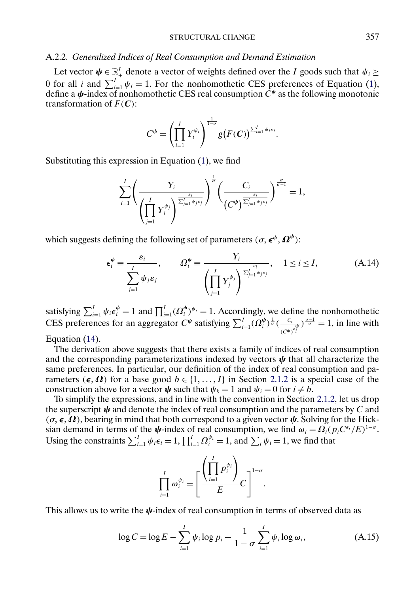### STRUCTURAL CHANGE 357

### <span id="page-46-0"></span>A.2.2. *Generalized Indices of Real Consumption and Demand Estimation*

Let vector  $\psi \in \mathbb{R}^I_+$  denote a vector of weights defined over the I goods such that  $\psi_i \geq$ 0 for all *i* and  $\sum_{i=1}^{I} \psi_i = 1$ . For the nonhomothetic CES preferences of Equation [\(1\)](#page-5-0), define a  $\psi$ -index of nonhomothetic CES real consumption  $C^{\psi}$  as the following monotonic transformation of  $F(C)$ :

$$
C^{\psi} = \left(\prod_{i=1}^I Y_i^{\psi_i}\right)^{\frac{1}{1-\sigma}} g\big(F(C)\big)^{\sum_{i=1}^I \psi_i \varepsilon_i}.
$$

Substituting this expression in Equation [\(1\)](#page-5-0), we find

$$
\sum_{i=1}^I \left(\frac{Y_i}{\left(\prod_{j=1}^I Y_j^{\psi_j}\right)^{\frac{\varepsilon_i}{\sum_{j=1}^J \psi_j \varepsilon_j}}}\right)^{\frac{1}{\sigma}} \left(\frac{C_i}{\left(C^{\psi}\right)^{\frac{\varepsilon_i}{\sum_{j=1}^J \psi_j \varepsilon_j}}}\right)^{\frac{\sigma}{\sigma-1}} = 1,
$$

which suggests defining the following set of parameters  $(\sigma, \epsilon^{\psi}, \Omega^{\psi})$ :

$$
\epsilon_i^{\psi} \equiv \frac{\varepsilon_i}{\sum_{j=1}^I \psi_j \varepsilon_j}, \qquad \Omega_i^{\psi} \equiv \frac{\Upsilon_i}{\left(\prod_{j=1}^I \Upsilon_j^{\psi_j}\right)^{\frac{\varepsilon_i}{\sum_{j=1}^I \psi_j \varepsilon_j}}}, \quad 1 \le i \le I,
$$
 (A.14)

satisfying  $\sum_{i=1}^{I} \psi_i \epsilon_i^{\psi} = 1$  and  $\prod_{i=1}^{I} (\Omega_i^{\psi})^{\psi_i} = 1$ . Accordingly, we define the nonhomothetic CES preferences for an aggregator  $C^{\psi}$  satisfying  $\sum_{i=1}^{I} (\Omega_i^{\psi})^{\frac{1}{\sigma}} (\frac{C_i}{(C^{\psi})^{\epsilon_i^{\psi}}})^{\frac{\sigma-1}{\sigma}} = 1$ , in line with

Equation [\(14\)](#page-10-0).

The derivation above suggests that there exists a family of indices of real consumption and the corresponding parameterizations indexed by vectors  $\psi$  that all characterize the same preferences. In particular, our definition of the index of real consumption and parameters  $(\epsilon, \Omega)$  for a base good  $b \in \{1, ..., I\}$  in Section [2.1.2](#page-8-0) is a special case of the construction above for a vector  $\psi$  such that  $\psi_b = 1$  and  $\psi_i = 0$  for  $i \neq b$ .

To simplify the expressions, and in line with the convention in Section [2.1.2,](#page-8-0) let us drop the superscript  $\psi$  and denote the index of real consumption and the parameters by C and  $(\sigma, \epsilon, \Omega)$ , bearing in mind that both correspond to a given vector  $\psi$ . Solving for the Hicksian demand in terms of the  $\psi$ -index of real consumption, we find  $\omega_i = \Omega_i(p_i C^{\epsilon_i}/E)^{1-\sigma}$ . Using the constraints  $\sum_{i=1}^{I} \psi_i \epsilon_i = 1$ ,  $\prod_{i=1}^{I} \Omega_i^{\psi_i} = 1$ , and  $\sum_i \psi_i = 1$ , we find that

$$
\prod_{i=1}^I \omega_i^{\psi_i} = \left[\frac{\left(\prod_{i=1}^I p_i^{\psi_i}\right)}{E} C\right]^{1-\sigma}.
$$

This allows us to write the  $\psi$ -index of real consumption in terms of observed data as

$$
\log C = \log E - \sum_{i=1}^{I} \psi_i \log p_i + \frac{1}{1 - \sigma} \sum_{i=1}^{I} \psi_i \log \omega_i,
$$
 (A.15)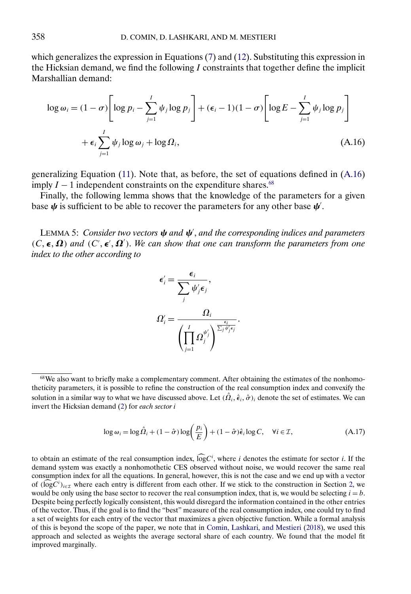<span id="page-47-0"></span>which generalizes the expression in Equations [\(7\)](#page-8-0) and [\(12\)](#page-10-0). Substituting this expression in the Hicksian demand, we find the following  $I$  constraints that together define the implicit Marshallian demand:

$$
\log \omega_i = (1 - \sigma) \left[ \log p_i - \sum_{j=1}^I \psi_j \log p_j \right] + (\epsilon_i - 1)(1 - \sigma) \left[ \log E - \sum_{j=1}^I \psi_j \log p_j \right]
$$
  
+  $\epsilon_i \sum_{j=1}^I \psi_j \log \omega_j + \log \Omega_i,$  (A.16)

generalizing Equation [\(11\)](#page-9-0). Note that, as before, the set of equations defined in (A.16) imply  $I - 1$  independent constraints on the expenditure shares.<sup>68</sup>

Finally, the following lemma shows that the knowledge of the parameters for a given base  $\psi$  is sufficient to be able to recover the parameters for any other base  $\psi'$ .

LEMMA 5: *Consider two vectors* ψ *and* ψ , *and the corresponding indices and parameters*  $(C, \epsilon, \Omega)$  and  $(C', \epsilon', \Omega')$ . We can show that one can transform the parameters from one *index to the other according to*

$$
\epsilon'_{i} = \frac{\epsilon_{i}}{\sum_{j} \psi'_{j} \epsilon_{j}},
$$

$$
\Omega'_{i} = \frac{\Omega_{i}}{\left(\prod_{j=1}^{I} \Omega_{j}^{\psi'_{j}}\right)^{\frac{\epsilon_{i}}{\sum_{j} \psi'_{j} \epsilon_{j}}}}
$$

$$
\log \omega_i = \log \hat{\Omega}_i + (1 - \hat{\sigma}) \log \left( \frac{p_i}{E} \right) + (1 - \hat{\sigma}) \hat{\epsilon}_i \log C, \quad \forall i \in \mathcal{I}, \tag{A.17}
$$

.

to obtain an estimate of the real consumption index,  $log C<sup>i</sup>$ , where *i* denotes the estimate for sector *i*. If the demand system was exactly a nonhomothetic CES observed without noise, we would recover the same real consumption index for all the equations. In general, however, this is not the case and we end up with a vector of  $(\log C<sup>i</sup>)_{i \in \mathcal{I}}$  where each entry is different from each other. If we stick to the construction in Section [2,](#page-5-0) we would be only using the base sector to recover the real consumption index, that is, we would be selecting  $i = b$ . Despite being perfectly logically consistent, this would disregard the information contained in the other entries of the vector. Thus, if the goal is to find the "best" measure of the real consumption index, one could try to find a set of weights for each entry of the vector that maximizes a given objective function. While a formal analysis of this is beyond the scope of the paper, we note that in [Comin, Lashkari, and Mestieri](#page-62-0) [\(2018\)](#page-62-0), we used this approach and selected as weights the average sectoral share of each country. We found that the model fit improved marginally.

<sup>&</sup>lt;sup>68</sup>We also want to briefly make a complementary comment. After obtaining the estimates of the nonhomotheticity parameters, it is possible to refine the construction of the real consumption index and convexify the solution in a similar way to what we have discussed above. Let  $(\hat{\Omega}_i,\hat{\epsilon}_i,\hat{\sigma})_i$  denote the set of estimates. We can invert the Hicksian demand [\(2\)](#page-6-0) for *each sector i*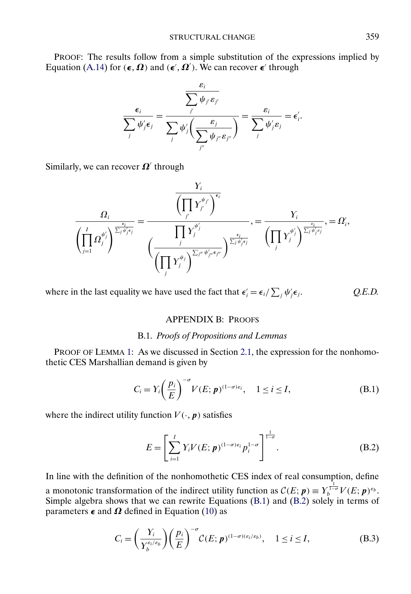## STRUCTURAL CHANGE 359

<span id="page-48-0"></span>PROOF: The results follow from a simple substitution of the expressions implied by Equation [\(A.14\)](#page-46-0) for  $(\epsilon, \Omega)$  and  $(\epsilon', \Omega')$ . We can recover  $\epsilon'$  through

$$
\frac{\epsilon_i}{\sum_j \psi_j \epsilon_j} = \frac{\sum_j \psi_j \epsilon_j}{\sum_j \psi_j' \left(\frac{\epsilon_j}{\sum_j \psi_j \psi_j}\right)} = \frac{\epsilon_i}{\sum_j \psi_j \epsilon_j} = \epsilon_i'.
$$

Similarly, we can recover  $\Omega'$  through

$$
\frac{\Omega_i}{\left(\prod\limits_{j=1}^I\Omega_j^{\psi_j'}\right)^{\frac{\epsilon_i}{\sum_j\psi_j'\epsilon_j}}}=\frac{\overline{\left(\prod\limits_{j'}Y_{j'}^{\psi_{j'}}\right)^{\epsilon_i}}}{\left(\frac{\prod\limits_{j}Y_j^{\psi_j'}}{\left(\prod\limits_{j}Y_j^{\psi_j}\right)^{\sum_{j''}\psi_{j''}\epsilon_{j''}}}\right)^{\frac{\epsilon_i}{\sum_j\psi_j'\epsilon_j}}}=\frac{\gamma_i}{\left(\prod\limits_{j}Y_j^{\psi_j'}\right)^{\frac{\epsilon_j}{\sum_j\psi_j'\epsilon_j}}},=\Omega_i',
$$

where in the last equality we have used the fact that  $\epsilon_i' = \epsilon_i / \sum_j \psi_j'$ jj. *Q.E.D.*

# APPENDIX B: PROOFS

## B.1. *Proofs of Propositions and Lemmas*

PROOF OF LEMMA [1:](#page-9-0) As we discussed in Section [2.1,](#page-5-0) the expression for the nonhomothetic CES Marshallian demand is given by

$$
C_i = Y_i \left(\frac{p_i}{E}\right)^{-\sigma} V(E; \mathbf{p})^{(1-\sigma)\varepsilon_i}, \quad 1 \le i \le I,
$$
 (B.1)

where the indirect utility function  $V(\cdot, p)$  satisfies

$$
E = \left[ \sum_{i=1}^{I} Y_i V(E; \mathbf{p})^{(1-\sigma)\varepsilon_i} p_i^{1-\sigma} \right]^{\frac{1}{1-\sigma}}.
$$
 (B.2)

In line with the definition of the nonhomothetic CES index of real consumption, define a monotonic transformation of the indirect utility function as  $\mathcal{C}(E; \mathbf{p}) \equiv Y_b^{\frac{1}{1-\sigma}} V(E; \mathbf{p})^{\varepsilon_b}$ . Simple algebra shows that we can rewrite Equations (B.1) and (B.2) solely in terms of parameters  $\epsilon$  and  $\Omega$  defined in Equation [\(10\)](#page-9-0) as

$$
C_i = \left(\frac{Y_i}{Y_b^{\varepsilon_i/\varepsilon_b}}\right) \left(\frac{p_i}{E}\right)^{-\sigma} C(E; \mathbf{p})^{(1-\sigma)(\varepsilon_i/\varepsilon_b)}, \quad 1 \le i \le I,
$$
 (B.3)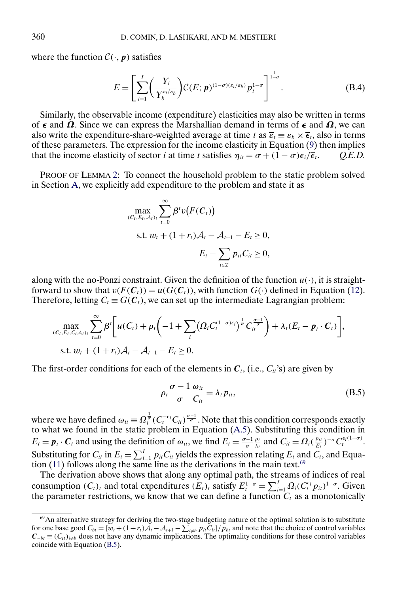where the function  $C(\cdot, p)$  satisfies

$$
E = \left[\sum_{i=1}^{I} \left(\frac{Y_i}{Y_b^{\varepsilon_i/\varepsilon_b}}\right) \mathcal{C}(E; \mathbf{p})^{(1-\sigma)(\varepsilon_i/\varepsilon_b)} p_i^{1-\sigma}\right]^{\frac{1}{1-\sigma}}.
$$
 (B.4)

Similarly, the observable income (expenditure) elasticities may also be written in terms of  $\epsilon$  and  $\Omega$ . Since we can express the Marshallian demand in terms of  $\epsilon$  and  $\Omega$ , we can also write the expenditure-share-weighted average at time t as  $\overline{\epsilon}_t \equiv \epsilon_b \times \overline{\epsilon}_t$ , also in terms of these parameters. The expression for the income elasticity in Equation [\(9\)](#page-8-0) then implies that the income elasticity of sector *i* at time *t* satisfies  $\eta_{it} = \sigma + (1 - \sigma)\epsilon_i/\overline{\epsilon}_t$ . *Q.E.D.* 

PROOF OF LEMMA [2:](#page-12-0) To connect the household problem to the static problem solved in Section [A,](#page-42-0) we explicitly add expenditure to the problem and state it as

$$
\max_{(C_t, E_t, A_t)_t} \sum_{t=0}^{\infty} \beta^t v(F(C_t))
$$
  
s.t.  $w_t + (1 + r_t)A_t - A_{t+1} - E_t \ge 0$ ,  

$$
E_t - \sum_{i \in \mathcal{I}} p_{it} C_{it} \ge 0
$$

along with the no-Ponzi constraint. Given the definition of the function  $u(\cdot)$ , it is straightforward to show that  $v(F(C_t)) = u(G(C_t))$ , with function  $G(\cdot)$  defined in Equation [\(12\)](#page-10-0). Therefore, letting  $C_t \equiv G(C_t)$ , we can set up the intermediate Lagrangian problem:

$$
\max_{(C_t, E_t, C_t, A_t)_t} \sum_{t=0}^{\infty} \beta^t \bigg[ u(C_t) + \rho_t \bigg( -1 + \sum_i \big( \Omega_i C_t^{(1-\sigma)\epsilon_i} \big)^{\frac{1}{\sigma}} C_{it}^{\frac{\sigma-1}{\sigma}} \bigg) + \lambda_t (E_t - \mathbf{p}_t \cdot \mathbf{C}_t) \bigg],
$$
  
s.t.  $w_t + (1 + r_t) \mathcal{A}_t - \mathcal{A}_{t+1} - E_t \ge 0.$ 

The first-order conditions for each of the elements in  $C_t$ , (i.e.,  $C_i$ 's) are given by

$$
\rho_t \frac{\sigma - 1}{\sigma} \frac{\omega_{it}}{C_{it}} = \lambda_t p_{it},
$$
\n(B.5)

where we have defined  $\omega_{it} \equiv \Omega_i^{\frac{1}{\sigma}} (C_i^{-\epsilon_i} C_{it})^{\frac{\sigma-1}{\sigma}}$ . Note that this condition corresponds exactly to what we found in the static problem in Equation [\(A.5\)](#page-43-0). Substituting this condition in  $E_t = \mathbf{p}_t \cdot \mathbf{C}_t$  and using the definition of  $\omega_{it}$ , we find  $E_t = \frac{\sigma - 1}{\sigma} \frac{\rho_t}{\lambda_t}$  and  $C_{it} = \Omega_i (\frac{p_{it}}{E_t})^{-\sigma} C_i^{\epsilon_i (1 - \sigma)}$ . Substituting for  $C_{it}$  in  $E_t = \sum_{i=1}^{I} p_{it} C_{it}$  yields the expression relating  $E_t$  and  $C_t$ , and Equa-tion [\(11\)](#page-9-0) follows along the same line as the derivations in the main text.<sup>69</sup>

The derivation above shows that along any optimal path, the streams of indices of real consumption  $(C_t)_t$  and total expenditures  $(E_t)_t$  satisfy  $E_t^{1-\sigma} = \sum_{i=1}^I \Omega_i (C_t^{\epsilon_i} p_{it})^{1-\sigma}$ . Given the parameter restrictions, we know that we can define a function  $C_t$  as a monotonically

<sup>69</sup>An alternative strategy for deriving the two-stage budgeting nature of the optimal solution is to substitute for one base good  $C_{bt} = [w_t + (1+r_t)A_t - A_{t+1} - \sum_{i \neq b} p_{it}C_{it}] / p_{bt}$  and note that the choice of control variables  $C_{-bt} \equiv (C_{ii})_{i \neq b}$  does not have any dynamic implications. The optimality conditions for these control variables coincide with Equation (B.5).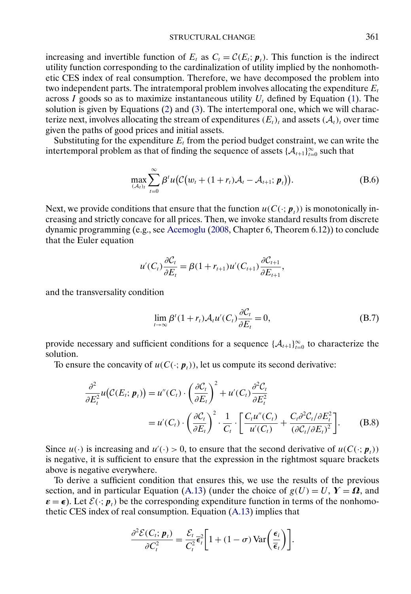<span id="page-50-0"></span>increasing and invertible function of  $E_t$  as  $C_t = \mathcal{C}(E_t; \mathbf{p}_t)$ . This function is the indirect utility function corresponding to the cardinalization of utility implied by the nonhomothetic CES index of real consumption. Therefore, we have decomposed the problem into two independent parts. The intratemporal problem involves allocating the expenditure  $E_t$ across I goods so as to maximize instantaneous utility  $U_t$  defined by Equation [\(1\)](#page-5-0). The solution is given by Equations [\(2\)](#page-6-0) and [\(3\)](#page-6-0). The intertemporal one, which we will characterize next, involves allocating the stream of expenditures  $(E_t)_t$  and assets  $(\mathcal{A}_t)_t$  over time given the paths of good prices and initial assets.

Substituting for the expenditure  $E_t$  from the period budget constraint, we can write the intertemporal problem as that of finding the sequence of assets  $\{\mathcal{A}_{t+1}\}_{t=0}^{\infty}$  such that

$$
\max_{(A_t)_t} \sum_{t=0}^{\infty} \beta^t u \big( \mathcal{C}\big(w_t + (1+r_t)\mathcal{A}_t - \mathcal{A}_{t+1}; \, \mathbf{p}_t \big) \big).
$$
 (B.6)

Next, we provide conditions that ensure that the function  $u(C(\cdot; p_t))$  is monotonically increasing and strictly concave for all prices. Then, we invoke standard results from discrete dynamic programming (e.g., see [Acemoglu](#page-61-0) [\(2008,](#page-61-0) Chapter 6, Theorem 6.12)) to conclude that the Euler equation

$$
u'(C_t)\frac{\partial C_t}{\partial E_t} = \beta(1+r_{t+1})u'(C_{t+1})\frac{\partial C_{t+1}}{\partial E_{t+1}},
$$

and the transversality condition

$$
\lim_{t \to \infty} \beta^{t} (1 + r_{t}) \mathcal{A}_{t} u'(C_{t}) \frac{\partial C_{t}}{\partial E_{t}} = 0,
$$
\n(B.7)

provide necessary and sufficient conditions for a sequence  $\{\mathcal{A}_{t+1}\}_{t=0}^{\infty}$  to characterize the solution.

To ensure the concavity of  $u(C(\cdot; p_{\tau}))$ , let us compute its second derivative:

$$
\frac{\partial^2}{\partial E_t^2} u(C(E_t; \mathbf{p}_t)) = u''(C_t) \cdot \left(\frac{\partial C_t}{\partial E_t}\right)^2 + u'(C_t) \frac{\partial^2 C_t}{\partial E_t^2}
$$
  
=  $u'(C_t) \cdot \left(\frac{\partial C_t}{\partial E_t}\right)^2 \cdot \frac{1}{C_t} \cdot \left[\frac{C_t u''(C_t)}{u'(C_t)} + \frac{C_t \partial^2 C_t/\partial E_t^2}{(\partial C_t/\partial E_t)^2}\right].$  (B.8)

Since  $u(\cdot)$  is increasing and  $u'(\cdot) > 0$ , to ensure that the second derivative of  $u(C(\cdot; \mathbf{p}_t))$ is negative, it is sufficient to ensure that the expression in the rightmost square brackets above is negative everywhere.

To derive a sufficient condition that ensures this, we use the results of the previous section, and in particular Equation [\(A.13\)](#page-45-0) (under the choice of  $g(U) = U$ ,  $Y = \Omega$ , and  $\epsilon = \epsilon$ ). Let  $\mathcal{E}(\cdot; p_t)$  be the corresponding expenditure function in terms of the nonhomothetic CES index of real consumption. Equation [\(A.13\)](#page-45-0) implies that

$$
\frac{\partial^2 \mathcal{E}(C_t; \boldsymbol{p}_t)}{\partial C_t^2} = \frac{\mathcal{E}_t}{C_t^2} \overline{\epsilon}_t^2 \bigg[ 1 + (1 - \sigma) \operatorname{Var} \bigg( \frac{\epsilon_i}{\overline{\epsilon}_t} \bigg) \bigg].
$$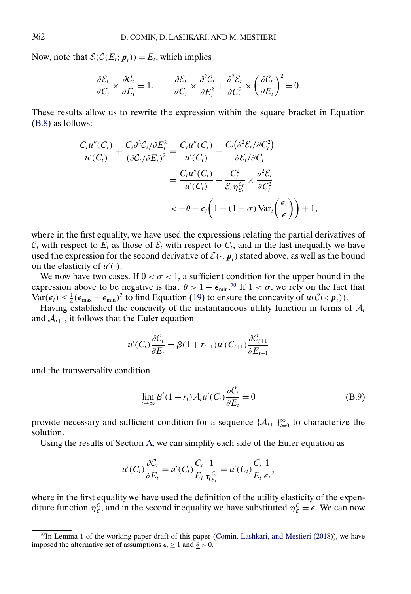<span id="page-51-0"></span>Now, note that  $\mathcal{E}(\mathcal{C}(E_t; \mathbf{p}_t)) = E_t$ , which implies

$$
\frac{\partial \mathcal{E}_t}{\partial C_t} \times \frac{\partial C_t}{\partial E_t} = 1, \qquad \frac{\partial \mathcal{E}_t}{\partial C_t} \times \frac{\partial^2 C_t}{\partial E_t^2} + \frac{\partial^2 \mathcal{E}_t}{\partial C_t^2} \times \left(\frac{\partial C_t}{\partial E_t}\right)^2 = 0.
$$

These results allow us to rewrite the expression within the square bracket in Equation [\(B.8\)](#page-50-0) as follows:

$$
\frac{C_t u''(C_t)}{u'(C_t)} + \frac{C_t \partial^2 C_t / \partial E_t^2}{(\partial C_t / \partial E_t)^2} = \frac{C_t u''(C_t)}{u'(C_t)} - \frac{C_t (\partial^2 \mathcal{E}_t / \partial C_t^2)}{\partial \mathcal{E}_t / \partial C_t}
$$

$$
= \frac{C_t u''(C_t)}{u'(C_t)} - \frac{C_t^2}{\mathcal{E}_t \eta_{\mathcal{E}_t}^{C_t}} \times \frac{\partial^2 \mathcal{E}_t}{\partial C_t^2}
$$

$$
< -\underline{\theta} - \overline{\epsilon}_t \left(1 + (1 - \sigma) \operatorname{Var}_t \left(\frac{\epsilon_i}{\overline{\epsilon}}\right)\right) + 1,
$$

where in the first equality, we have used the expressions relating the partial derivatives of  $C_t$  with respect to  $\overline{E}_t$  as those of  $\mathcal{E}_t$  with respect to  $C_t$ , and in the last inequality we have used the expression for the second derivative of  $\mathcal{E}(\cdot; p_t)$  stated above, as well as the bound on the elasticity of  $u'(\cdot)$ .

We now have two cases. If  $0 < \sigma < 1$ , a sufficient condition for the upper bound in the expression above to be negative is that  $\underline{\theta} > 1 - \epsilon_{\min}$ .<sup>70</sup> If  $1 < \sigma$ , we rely on the fact that  $\text{Var}(\epsilon_i) \leq \frac{1}{4} (\epsilon_{\text{max}} - \epsilon_{\text{min}})^2$  to find Equation [\(19\)](#page-12-0) to ensure the concavity of  $u(\mathcal{C}(\cdot; \boldsymbol{p}_t))$ .

Having established the concavity of the instantaneous utility function in terms of  $A_t$ and  $\mathcal{A}_{t+1}$ , it follows that the Euler equation

$$
u'(C_t)\frac{\partial C_t}{\partial E_t} = \beta(1 + r_{t+1})u'(C_{t+1})\frac{\partial C_{t+1}}{\partial E_{t+1}}
$$

and the transversality condition

$$
\lim_{t \to \infty} \beta^{t} (1 + r_{t}) \mathcal{A}_{t} u'(C_{t}) \frac{\partial C_{t}}{\partial E_{t}} = 0
$$
\n(B.9)

provide necessary and sufficient condition for a sequence  $\{\mathcal{A}_{t+1}\}_{t=0}^{\infty}$  to characterize the solution.

Using the results of Section [A,](#page-42-0) we can simplify each side of the Euler equation as

$$
u'(C_t)\frac{\partial C_t}{\partial E_t} = u'(C_t)\frac{C_t}{E_t}\frac{1}{\eta_{\varepsilon_t}^{C_t}} = u'(C_t)\frac{C_t}{E_t}\frac{1}{\overline{\epsilon}_t},
$$

where in the first equality we have used the definition of the utility elasticity of the expenditure function  $\eta_{\varepsilon}^C$ , and in the second inequality we have substituted  $\eta_{\varepsilon}^C = \overline{\epsilon}$ . We can now

<sup>&</sup>lt;sup>70</sup>In Lemma 1 of the working paper draft of this paper [\(Comin, Lashkari, and Mestieri](#page-62-0) [\(2018\)](#page-62-0)), we have imposed the alternative set of assumptions  $\epsilon_i \geq 1$  and  $\theta > 0$ .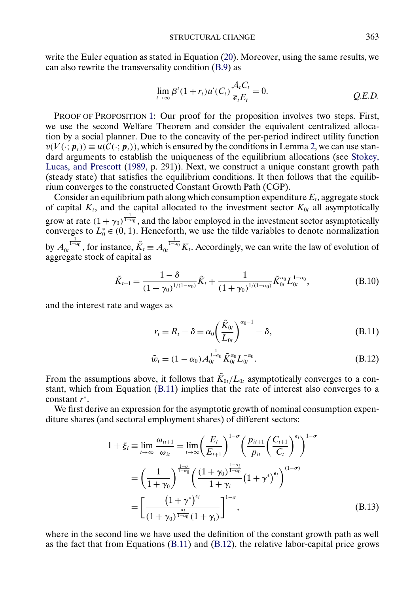<span id="page-52-0"></span>write the Euler equation as stated in Equation [\(20\)](#page-12-0). Moreover, using the same results, we can also rewrite the transversality condition [\(B.9\)](#page-51-0) as

$$
\lim_{t \to \infty} \beta^{t} (1 + r_{t}) u'(C_{t}) \frac{\mathcal{A}_{t} C_{t}}{\overline{\epsilon}_{t} E_{t}} = 0.
$$
 Q.E.D.

PROOF OF PROPOSITION [1:](#page-15-0) Our proof for the proposition involves two steps. First, we use the second Welfare Theorem and consider the equivalent centralized allocation by a social planner. Due to the concavity of the per-period indirect utility function  $v(V(\cdot; p_t)) \equiv u(C(\cdot; p_t))$ , which is ensured by the conditions in Lemma [2,](#page-12-0) we can use standard arguments to establish the uniqueness of the equilibrium allocations (see [Stokey,](#page-63-0) [Lucas, and Prescott](#page-63-0) [\(1989,](#page-63-0) p. 291)). Next, we construct a unique constant growth path (steady state) that satisfies the equilibrium conditions. It then follows that the equilibrium converges to the constructed Constant Growth Path (CGP).

Consider an equilibrium path along which consumption expenditure  $E_t$ , aggregate stock of capital  $K_t$ , and the capital allocated to the investment sector  $K_{0t}$  all asymptotically grow at rate  $(1 + \gamma_0)^{\frac{1}{1 - \alpha_0}}$ , and the labor employed in the investment sector asymptotically converges to  $L_0^* \in (0, 1)$ . Henceforth, we use the tilde variables to denote normalization by  $A_0^{-\frac{1}{1-\alpha_0}}$ , for instance,  $\tilde{K}_t \equiv A_0^{-\frac{1}{1-\alpha_0}} K_t$ . Accordingly, we can write the law of evolution of aggregate stock of capital as

$$
\tilde{K}_{t+1} = \frac{1 - \delta}{(1 + \gamma_0)^{1/(1 - \alpha_0)}} \tilde{K}_t + \frac{1}{(1 + \gamma_0)^{1/(1 - \alpha_0)}} \tilde{K}_{0t}^{\alpha_0} L_{0t}^{1 - \alpha_0},
$$
\n(B.10)

and the interest rate and wages as

$$
r_t = R_t - \delta = \alpha_0 \left(\frac{\tilde{K}_{0t}}{L_{0t}}\right)^{\alpha_0 - 1} - \delta,
$$
\n(B.11)

$$
\tilde{w}_t = (1 - \alpha_0) A_{0t}^{\frac{1}{1 - \alpha_0}} \tilde{K}_{0t}^{\alpha_0} L_{0t}^{-\alpha_0}.
$$
\n(B.12)

From the assumptions above, it follows that  $\tilde{K}_{0t}/L_{0t}$  asymptotically converges to a constant, which from Equation (B.11) implies that the rate of interest also converges to a constant r<sup>∗</sup>.

We first derive an expression for the asymptotic growth of nominal consumption expenditure shares (and sectoral employment shares) of different sectors:

$$
1 + \xi_i \equiv \lim_{t \to \infty} \frac{\omega_{it+1}}{\omega_{it}} = \lim_{t \to \infty} \left(\frac{E_t}{E_{t+1}}\right)^{1-\sigma} \left(\frac{p_{it+1}}{p_{it}} \left(\frac{C_{t+1}}{C_t}\right)^{\epsilon_i}\right)^{1-\sigma}
$$

$$
= \left(\frac{1}{1+\gamma_0}\right)^{\frac{1-\sigma}{1-\alpha_0}} \left(\frac{(1+\gamma_0)^{\frac{1-\alpha_i}{1-\alpha_0}}}{1+\gamma_i} (1+\gamma^*)^{\epsilon_i}\right)^{(1-\sigma)}
$$

$$
= \left[\frac{(1+\gamma^*)^{\epsilon_i}}{(1+\gamma_0)^{\frac{\alpha_i}{1-\alpha_0}} (1+\gamma_i)}\right]^{1-\sigma}, \tag{B.13}
$$

where in the second line we have used the definition of the constant growth path as well as the fact that from Equations  $(B.11)$  and  $(B.12)$ , the relative labor-capital price grows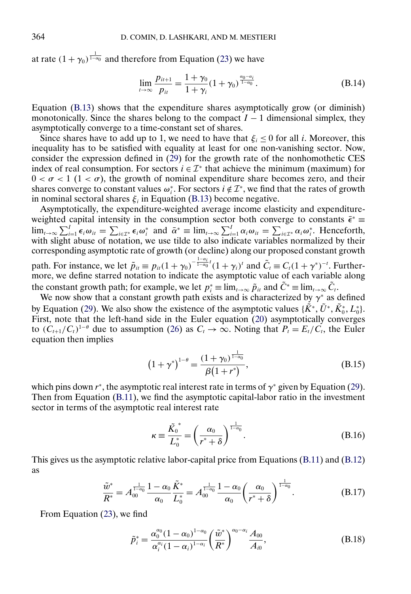<span id="page-53-0"></span>at rate  $(1 + \gamma_0)^{\frac{1}{1-\alpha_0}}$  and therefore from Equation [\(23\)](#page-13-0) we have

$$
\lim_{t \to \infty} \frac{p_{it+1}}{p_{it}} = \frac{1 + \gamma_0}{1 + \gamma_i} (1 + \gamma_0)^{\frac{\alpha_0 - \alpha_i}{1 - \alpha_0}}.
$$
\n(B.14)

Equation [\(B.13\)](#page-52-0) shows that the expenditure shares asymptotically grow (or diminish) monotonically. Since the shares belong to the compact  $I - 1$  dimensional simplex, they asymptotically converge to a time-constant set of shares.

Since shares have to add up to 1, we need to have that  $\xi_i \leq 0$  for all *i*. Moreover, this inequality has to be satisfied with equality at least for one non-vanishing sector. Now, consider the expression defined in  $(29)$  for the growth rate of the nonhomothetic CES index of real consumption. For sectors  $i \in \mathcal{I}^*$  that achieve the minimum (maximum) for  $0 < \sigma < 1$  (1  $< \sigma$ ), the growth of nominal expenditure share becomes zero, and their shares converge to constant values  $\omega_i^*$ . For sectors  $i \notin \mathcal{I}^*$ , we find that the rates of growth in nominal sectoral shares  $\xi$  in Equation [\(B.13\)](#page-52-0) become negative.

Asymptotically, the expenditure-weighted average income elasticity and expenditureweighted capital intensity in the consumption sector both converge to constants  $\bar{\epsilon}^*$  ≡  $\lim_{t\to\infty}\sum_{i=1}^I \epsilon_i\omega_{it} = \sum_{i\in\mathcal{I}^*} \epsilon_i\omega_i^*$  and  $\bar{\alpha}^* \equiv \lim_{t\to\infty}\sum_{i=1}^I \alpha_i\omega_{it} = \sum_{i\in\mathcal{I}^*} \alpha_i\omega_i^*$ . Henceforth, with slight abuse of notation, we use tilde to also indicate variables normalized by their corresponding asymptotic rate of growth (or decline) along our proposed constant growth path. For instance, we let  $\tilde{p}_{it} \equiv p_{it}(1+\gamma_0)^{-\frac{1-\alpha_i}{1-\alpha_0}t}(1+\gamma_i)^t$  and  $\tilde{C}_t \equiv C_t(1+\gamma^*)^{-t}$ . Further-

more, we define starred notation to indicate the asymptotic value of each variable along the constant growth path; for example, we let  $p_i^* = \lim_{t \to \infty} \tilde{p}_{it}$  and  $\tilde{C}^* = \lim_{t \to \infty} \tilde{C}_t$ .

We now show that a constant growth path exists and is characterized by  $\gamma^*$  as defined by Equation [\(29\)](#page-16-0). We also show the existence of the asymptotic values  $\{\tilde{K}^*, \tilde{U}^*, \tilde{K}_0^*, L_0^*\}$ . First, note that the left-hand side in the Euler equation [\(20\)](#page-12-0) asymptotically converges to  $(C_{t+1}/C_t)^{1-\theta}$  due to assumption [\(26\)](#page-15-0) as  $C_t \to \infty$ . Noting that  $P_t = E_t/C_t$ , the Euler equation then implies

$$
(1+\gamma^*)^{1-\theta} = \frac{(1+\gamma_0)^{\frac{1}{1-\alpha_0}}}{\beta(1+r^*)},
$$
\n(B.15)

which pins down  $r^*$ , the asymptotic real interest rate in terms of  $\gamma^*$  given by Equation [\(29\)](#page-16-0). Then from Equation [\(B.11\)](#page-52-0), we find the asymptotic capital-labor ratio in the investment sector in terms of the asymptotic real interest rate

$$
\kappa \equiv \frac{\tilde{K_0}^*}{L_0^*} = \left(\frac{\alpha_0}{r^* + \delta}\right)^{\frac{1}{1-\alpha_0}}.\tag{B.16}
$$

This gives us the asymptotic relative labor-capital price from Equations [\(B.11\)](#page-52-0) and [\(B.12\)](#page-52-0) as

$$
\frac{\tilde{w}^*}{R^*} = A_{00}^{\frac{1}{1-\alpha_0}} \frac{1-\alpha_0}{\alpha_0} \frac{\tilde{K}^*}{L_0^*} = A_{00}^{\frac{1}{1-\alpha_0}} \frac{1-\alpha_0}{\alpha_0} \left(\frac{\alpha_0}{r^*+\delta}\right)^{\frac{1}{1-\alpha_0}}.
$$
\n(B.17)

From Equation [\(23\)](#page-13-0), we find

$$
\tilde{p}_{i}^{*} = \frac{\alpha_{0}^{\alpha_{0}}(1-\alpha_{0})^{1-\alpha_{0}}}{\alpha_{i}^{\alpha_{i}}(1-\alpha_{i})^{1-\alpha_{i}}} \left(\frac{\tilde{w}^{*}}{R^{*}}\right)^{\alpha_{0}-\alpha_{i}} \frac{A_{00}}{A_{i0}},
$$
\n(B.18)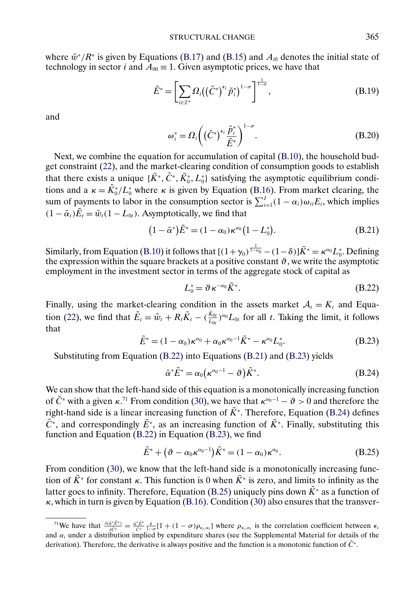<span id="page-54-0"></span>where  $\tilde{w}^*/R^*$  is given by Equations [\(B.17\)](#page-53-0) and [\(B.15\)](#page-53-0) and  $A_{i0}$  denotes the initial state of technology in sector *i* and  $A_{00} \equiv 1$ . Given asymptotic prices, we have that

$$
\tilde{E}^* = \left[ \sum_{i \in \mathcal{I}^*} \Omega_i \left( \left( \tilde{C}^* \right)^{\epsilon_i} \tilde{p}_i^* \right)^{1-\sigma} \right]^{\frac{1}{1-\sigma}},\tag{B.19}
$$

and

$$
\omega_i^* = \Omega_i \bigg( \big(\tilde{C}^* \big)^{\epsilon_i} \frac{\tilde{P}_i^*}{\tilde{E}^*} \bigg)^{1-\sigma} . \tag{B.20}
$$

Next, we combine the equation for accumulation of capital [\(B.10\)](#page-52-0), the household budget constraint [\(22\)](#page-13-0), and the market-clearing condition of consumption goods to establish that there exists a unique  $\{\tilde{K}^*, \tilde{C}^*, \tilde{K}_0^*, L_0^*\}$  satisfying the asymptotic equilibrium conditions and a  $\kappa = \tilde{K}_0^*/L_0^*$  where  $\kappa$  is given by Equation [\(B.16\)](#page-53-0). From market clearing, the sum of payments to labor in the consumption sector is  $\sum_{i=1}^{I} (1 - \alpha_i) \omega_{it} E_i$ , which implies  $(1 - \bar{\alpha}_t)\tilde{E}_t = \tilde{w}_t(1 - L_{0t})$ . Asymptotically, we find that

$$
(1 - \bar{\alpha}^*)\tilde{E}^* = (1 - \alpha_0)\kappa^{\alpha_0}(1 - L_0^*).
$$
 (B.21)

Similarly, from Equation [\(B.10\)](#page-52-0) it follows that  $[(1+\gamma_0)^{\frac{1}{1-\alpha_0}}-(1-\delta)]\tilde{K}^* = \kappa^{\alpha_0}L_0^*$ . Defining the expression within the square brackets at a positive constant  $\vartheta$ , we write the asymptotic employment in the investment sector in terms of the aggregate stock of capital as

$$
L_0^* = \partial \kappa^{-\alpha_0} \tilde{K}^*.
$$
 (B.22)

Finally, using the market-clearing condition in the assets market  $A_t = K_t$  and Equa-tion [\(22\)](#page-13-0), we find that  $\tilde{E}_t = \tilde{w}_t + R_t \tilde{K}_t - (\frac{\tilde{\kappa}_{0t}}{L_{0t}})^{\alpha_0} L_{0t}$  for all t. Taking the limit, it follows that

$$
\tilde{E}^* = (1 - \alpha_0) \kappa^{\alpha_0} + \alpha_0 \kappa^{\alpha_0 - 1} \tilde{K}^* - \kappa^{\alpha_0} L_0^*.
$$
\n(B.23)

Substituting from Equation (B.22) into Equations (B.21) and (B.23) yields

$$
\bar{\alpha}^* \tilde{E}^* = \alpha_0 \left( \kappa^{\alpha_0 - 1} - \vartheta \right) \tilde{K}^*.
$$
\n(B.24)

We can show that the left-hand side of this equation is a monotonically increasing function of  $\tilde{C}^*$  with a given  $\kappa$ .<sup>71</sup> From condition [\(30\)](#page-16-0), we have that  $\kappa^{\alpha_0-1} - \vartheta > 0$  and therefore the right-hand side is a linear increasing function of  $\tilde{K}^*$ . Therefore, Equation (B.24) defines  $\tilde{C}^*$ , and correspondingly  $\tilde{E}^*$ , as an increasing function of  $\tilde{K}^*$ . Finally, substituting this function and Equation (B.22) in Equation (B.23), we find

$$
\tilde{E}^* + (\vartheta - \alpha_0 \kappa^{\alpha_0 - 1}) \tilde{K}^* = (1 - \alpha_0) \kappa^{\alpha_0}.
$$
 (B.25)

From condition [\(30\)](#page-16-0), we know that the left-hand side is a monotonically increasing function of  $\tilde{K}^*$  for constant  $\kappa$ . This function is 0 when  $\tilde{K}^*$  is zero, and limits to infinity as the latter goes to infinity. Therefore, Equation (B.25) uniquely pins down  $\tilde{K}^*$  as a function of  $\kappa$ , which in turn is given by Equation [\(B.16\)](#page-53-0). Condition [\(30\)](#page-16-0) also ensures that the transver-

<sup>&</sup>lt;sup>71</sup>We have that  $\frac{\partial (\tilde{\alpha}^* \tilde{E}^*)}{\partial \tilde{C}^*} = \frac{\tilde{\alpha}^* \tilde{E}^*}{\tilde{C}^*} \frac{\tilde{\epsilon}}{1-\sigma} [1 + (1-\sigma)\rho_{\epsilon_i,\alpha_i}]$  where  $\rho_{\epsilon_i,\alpha_i}$  is the correlation coefficient between  $\epsilon_i$ and  $\alpha_i$  under a distribution implied by expenditure shares (see the Supplemental Material for details of the derivation). Therefore, the derivative is always positive and the function is a monotonic function of  $\tilde{C}^*$ .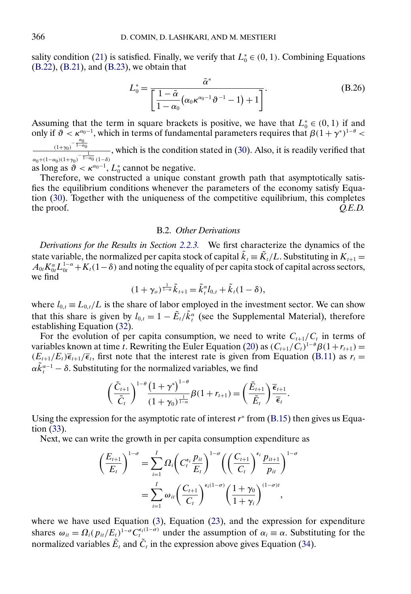<span id="page-55-0"></span>sality condition [\(21\)](#page-12-0) is satisfied. Finally, we verify that  $L_0^* \in (0, 1)$ . Combining Equations [\(B.22\)](#page-54-0), [\(B.21\)](#page-54-0), and [\(B.23\)](#page-54-0), we obtain that

$$
L_0^* = \frac{\bar{\alpha}^*}{\left[\frac{1-\bar{\alpha}}{1-\alpha_0}(\alpha_0\kappa^{\alpha_0-1}\vartheta^{-1}-1)+1\right]}.
$$
\n(B.26)

Assuming that the term in square brackets is positive, we have that  $L_0^* \in (0, 1)$  if and only if  $\vartheta < \kappa^{\alpha_0-1}$ , which in terms of fundamental parameters requires that  $\beta(1 + \gamma^*)^{1-\theta}$  $\frac{\alpha_0}{(1+\gamma_0)} - \frac{\alpha_0}{1-\alpha_0}$  $\frac{(1+\gamma_0)^{-1-\gamma_0}}{\alpha_0+(1-\alpha_0)(1+\gamma_0)^{-1-\alpha_0}}$ , which is the condition stated in [\(30\)](#page-16-0). Also, it is readily verified that as long as  $\vartheta < \kappa^{\alpha_0 - 1}$ ,  $L_0^*$  cannot be negative.

Therefore, we constructed a unique constant growth path that asymptotically satisfies the equilibrium conditions whenever the parameters of the economy satisfy Equation [\(30\)](#page-16-0). Together with the uniqueness of the competitive equilibrium, this completes the proof.  $Q.E.D.$ 

#### B.2. *Other Derivations*

*Derivations for the Results in Section [2.2.3.](#page-17-0)* We first characterize the dynamics of the state variable, the normalized per capita stock of capital  $\tilde{k}_t = \tilde{K}_t/L$ . Substituting in  $K_{t+1} =$  $A_{0t}K_{0t}^{\alpha}L_{0t}^{1-\alpha}+K_t(1-\delta)$  and noting the equality of per capita stock of capital across sectors, we find

$$
(1+\gamma_o)^{\frac{1}{1-\alpha}}\tilde{k}_{t+1}=\tilde{k}_t^{\alpha}l_{0,t}+\tilde{k}_t(1-\delta),
$$

where  $l_{0,t} \equiv L_{0,t}/L$  is the share of labor employed in the investment sector. We can show that this share is given by  $l_{0,t} = 1 - \tilde{E}_t / \tilde{k}_t^{\alpha}$  (see the Supplemental Material), therefore establishing Equation [\(32\)](#page-17-0).

For the evolution of per capita consumption, we need to write  $C_{t+1}/C_t$  in terms of variables known at time t. Rewriting the Euler Equation [\(20\)](#page-12-0) as  $(C_{t+1}/C_t)^{1-\theta}\beta(1+r_{t+1}) =$  $(E_{t+1}/E_t)\bar{\epsilon}_{t+1}/\bar{\epsilon}_t$ , first note that the interest rate is given from Equation [\(B.11\)](#page-52-0) as  $r_t =$  $\alpha \tilde{k}_{t}^{\alpha-1} - \delta$ . Substituting for the normalized variables, we find

$$
\left(\frac{\tilde{C}_{t+1}}{\tilde{C}_t}\right)^{1-\theta} \frac{\left(1+\gamma^*\right)^{1-\theta}}{\left(1+\gamma_0\right)^{\frac{1}{1-\alpha}}} \beta(1+r_{t+1}) = \left(\frac{\tilde{E}_{t+1}}{\tilde{E}_t}\right) \frac{\overline{\epsilon}_{t+1}}{\overline{\epsilon}_t}.
$$

Using the expression for the asymptotic rate of interest  $r^*$  from [\(B.15\)](#page-53-0) then gives us Equation [\(33\)](#page-17-0).

Next, we can write the growth in per capita consumption expenditure as

$$
\left(\frac{E_{t+1}}{E_t}\right)^{1-\sigma} = \sum_{i=1}^I \Omega_i \left(C_t^{\epsilon_i} \frac{p_{it}}{E_t}\right)^{1-\sigma} \left(\left(\frac{C_{t+1}}{C_t}\right)^{\epsilon_i} \frac{p_{it+1}}{p_{it}}\right)^{1-\sigma}
$$
\n
$$
= \sum_{i=1}^I \omega_{it} \left(\frac{C_{t+1}}{C_t}\right)^{\epsilon_i(1-\sigma)} \left(\frac{1+\gamma_0}{1+\gamma_i}\right)^{(1-\sigma)t},
$$

where we have used Equation [\(3\)](#page-6-0), Equation [\(23\)](#page-13-0), and the expression for expenditure shares  $\omega_{it} = \Omega_i (p_{it}/E_t)^{1-\sigma} C_t^{\epsilon_i(1-\sigma)}$  under the assumption of  $\alpha_i \equiv \alpha$ . Substituting for the normalized variables  $\tilde{E}_t$  and  $\tilde{C}_t$  in the expression above gives Equation [\(34\)](#page-17-0).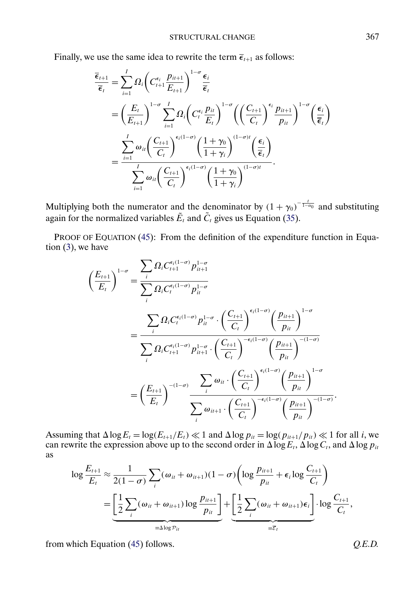Finally, we use the same idea to rewrite the term  $\overline{\epsilon}_{t+1}$  as follows:

$$
\frac{\overline{\epsilon}_{t+1}}{\overline{\epsilon}_{t}} = \sum_{i=1}^{I} \Omega_{i} \left( C_{t+1}^{\epsilon_{i}} \frac{p_{it+1}}{E_{t+1}} \right)^{1-\sigma} \frac{\epsilon_{i}}{\overline{\epsilon}_{t}} \n= \left( \frac{E_{t}}{E_{t+1}} \right)^{1-\sigma} \sum_{i=1}^{I} \Omega_{i} \left( C_{t}^{\epsilon_{i}} \frac{p_{it}}{E_{t}} \right)^{1-\sigma} \left( \left( \frac{C_{t+1}}{C_{t}} \right)^{\epsilon_{i}} \frac{p_{it+1}}{p_{it}} \right)^{1-\sigma} \left( \frac{\epsilon_{i}}{\overline{\epsilon}_{t}} \right) \n= \frac{\sum_{i=1}^{I} \omega_{it} \left( \frac{C_{t+1}}{C_{t}} \right)^{\epsilon_{i}(1-\sigma)} \left( \frac{1+\gamma_{0}}{1+\gamma_{i}} \right)^{(1-\sigma)t} \left( \frac{\epsilon_{i}}{\overline{\epsilon}_{t}} \right)}{\sum_{i=1}^{I} \omega_{it} \left( \frac{C_{t+1}}{C_{t}} \right)^{\epsilon_{i}(1-\sigma)} \left( \frac{1+\gamma_{0}}{1+\gamma_{i}} \right)^{(1-\sigma)t}}.
$$

Multiplying both the numerator and the denominator by  $(1 + \gamma_0)^{-\frac{t}{1-\alpha_0}}$  and substituting again for the normalized variables  $\tilde{E}_t$  and  $\tilde{C}_t$  gives us Equation [\(35\)](#page-17-0).

PROOF OF EQUATION [\(45\)](#page-36-0): From the definition of the expenditure function in Equation  $(3)$ , we have

$$
\left(\frac{E_{t+1}}{E_{t}}\right)^{1-\sigma} = \frac{\sum_{i} \Omega_{i} C_{t+1}^{\epsilon_{i}(1-\sigma)} p_{it+1}^{1-\sigma}}{\sum_{i} \Omega_{i} C_{t}^{\epsilon_{i}(1-\sigma)} p_{it}^{1-\sigma}} \n= \frac{\sum_{i} \Omega_{i} C_{t}^{\epsilon_{i}(1-\sigma)} p_{it}^{1-\sigma} \cdot \left(\frac{C_{t+1}}{C_{t}}\right)^{\epsilon_{i}(1-\sigma)} \left(\frac{p_{it+1}}{p_{it}}\right)^{1-\sigma}}{\sum_{i} \Omega_{i} C_{t+1}^{\epsilon_{i}(1-\sigma)} p_{it+1}^{1-\sigma} \cdot \left(\frac{C_{t+1}}{C_{t}}\right)^{-\epsilon_{i}(1-\sigma)} \left(\frac{p_{it+1}}{p_{it}}\right)^{-(1-\sigma)}} \n= \left(\frac{E_{t+1}}{E_{t}}\right)^{-(1-\sigma)} \frac{\sum_{i} \omega_{it} \cdot \left(\frac{C_{t+1}}{C_{t}}\right)^{\epsilon_{i}(1-\sigma)} \left(\frac{p_{it+1}}{p_{it}}\right)^{1-\sigma}}{\sum_{i} \omega_{it+1} \cdot \left(\frac{C_{t+1}}{C_{t}}\right)^{-\epsilon_{i}(1-\sigma)} \left(\frac{p_{it+1}}{p_{it}}\right)^{-(1-\sigma)}}.
$$

Assuming that  $\Delta \log E_t = \log(E_{t+1}/E_t) \ll 1$  and  $\Delta \log p_{it} = \log(p_{it+1}/p_{it}) \ll 1$  for all *i*, we can rewrite the expression above up to the second order in  $\Delta \overline{\log E_t}$ ,  $\Delta \log C_t$ , and  $\Delta \log p_{it}$ as

$$
\log \frac{E_{t+1}}{E_t} \approx \frac{1}{2(1-\sigma)} \sum_i (\omega_{it} + \omega_{it+1})(1-\sigma) \left( \log \frac{p_{it+1}}{p_{it}} + \epsilon_i \log \frac{C_{t+1}}{C_t} \right)
$$
  
= 
$$
\underbrace{\left[ \frac{1}{2} \sum_i (\omega_{it} + \omega_{it+1}) \log \frac{p_{it+1}}{p_{it}} \right]}_{\equiv \Delta \log p_{it}} + \underbrace{\left[ \frac{1}{2} \sum_i (\omega_{it} + \omega_{it+1}) \epsilon_i \right]}_{\equiv \overline{\epsilon}_t} \cdot \log \frac{C_{t+1}}{C_t},
$$

from which Equation [\(45\)](#page-36-0) follows. *Q.E.D.*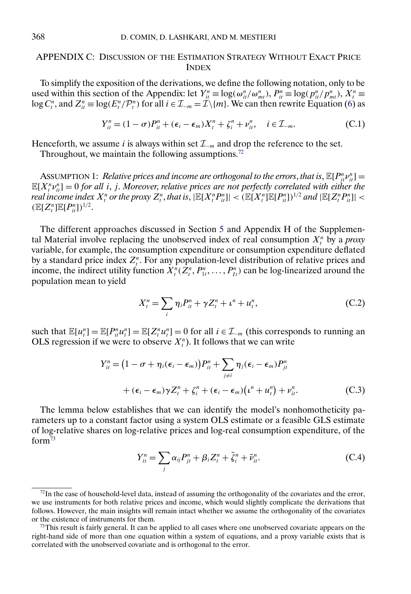# <span id="page-57-0"></span>APPENDIX C: DISCUSSION OF THE ESTIMATION STRATEGY WITHOUT EXACT PRICE INDEX

To simplify the exposition of the derivations, we define the following notation, only to be used within this section of the Appendix: let  $Y_{it}^n \equiv \log(\omega_{it}^n/\omega_{mt}^n)$ ,  $P_{it}^n \equiv \log(p_{it}^n/p_{mt}^n)$ ,  $X_t^n \equiv$  $\log C_t^n$ , and  $Z_{it}^n \equiv \log(E_t^n/P_t^n)$  for all  $i \in \mathcal{I}_{-m} = \mathcal{I}\setminus\{m\}$ . We can then rewrite Equation [\(6\)](#page-7-0) as

$$
Y_{it}^{n} = (1 - \sigma)P_{it}^{n} + (\epsilon_i - \epsilon_m)X_t^{n} + \zeta_i^{n} + \nu_{it}^{n}, \quad i \in \mathcal{I}_{-m}.
$$
 (C.1)

Henceforth, we assume *i* is always within set  $\mathcal{I}_{-m}$  and drop the reference to the set.

Throughout, we maintain the following assumptions.<sup>72</sup>

ASSUMPTION 1: *Relative prices and income are orthogonal to the errors, that is,*  $\mathbb{E}[P_{ji}^n v_{ii}^n] =$  $\mathbb{E}[X_i^n v_{ii}^n] = 0$  for all *i*, *j.* Moreover, relative prices are not perfectly correlated with either the  $real$  income index  $X_t^n$  or the proxy  $Z_t^n$ , that is,  $|\mathbb{E}[X_t^nP_{it}^n]| < (\mathbb{E}[X_t^n]\mathbb{E}[P_{it}^n])^{1/2}$  and  $|\mathbb{E}[Z_t^nP_{it}^n]| <$  $(\mathbb{E}[Z_{t}^{n}]\mathbb{E}[P_{it}^{n}])^{1/2}.$ 

The different approaches discussed in Section [5](#page-28-0) and Appendix H of the Supplemental Material involve replacing the unobserved index of real consumption  $X_t^n$  by a *proxy* variable, for example, the consumption expenditure or consumption expenditure deflated by a standard price index  $Z_i^n$ . For any population-level distribution of relative prices and income, the indirect utility function  $X_t^n(Z_t^n, P_{1t}^n, \ldots, P_{1t}^n)$  can be log-linearized around the population mean to yield

$$
X_t^n = \sum_i \eta_i P_{it}^n + \gamma Z_t^n + \iota^n + u_t^n, \tag{C.2}
$$

such that  $\mathbb{E}[u_i^n] = \mathbb{E}[P_{i}^n u_i^n] = \mathbb{E}[Z_i^n u_i^n] = 0$  for all  $i \in \mathcal{I}_{-m}$  (this corresponds to running an OLS regression if we were to observe  $X_t^n$ ). It follows that we can write

$$
Y_{it}^{n} = (1 - \sigma + \eta_{i}(\epsilon_{i} - \epsilon_{m}))P_{it}^{n} + \sum_{j \neq i} \eta_{j}(\epsilon_{i} - \epsilon_{m})P_{jt}^{n}
$$

$$
+ (\epsilon_{i} - \epsilon_{m})\gamma Z_{t}^{n} + \zeta_{i}^{n} + (\epsilon_{i} - \epsilon_{m})(\iota^{n} + u_{t}^{n}) + \nu_{it}^{n}.
$$
(C.3)

The lemma below establishes that we can identify the model's nonhomotheticity parameters up to a constant factor using a system OLS estimate or a feasible GLS estimate of log-relative shares on log-relative prices and log-real consumption expenditure, of the  $form<sup>73</sup>$ 

$$
Y_{it}^n = \sum_j \alpha_{ij} P_{jt}^n + \beta_i Z_t^n + \tilde{\zeta}_i^n + \tilde{\nu}_{it}^n.
$$
 (C.4)

 $^{72}$ In the case of household-level data, instead of assuming the orthogonality of the covariates and the error, we use instruments for both relative prices and income, which would slightly complicate the derivations that follows. However, the main insights will remain intact whether we assume the orthogonality of the covariates or the existence of instruments for them.

 $73$ This result is fairly general. It can be applied to all cases where one unobserved covariate appears on the right-hand side of more than one equation within a system of equations, and a proxy variable exists that is correlated with the unobserved covariate and is orthogonal to the error.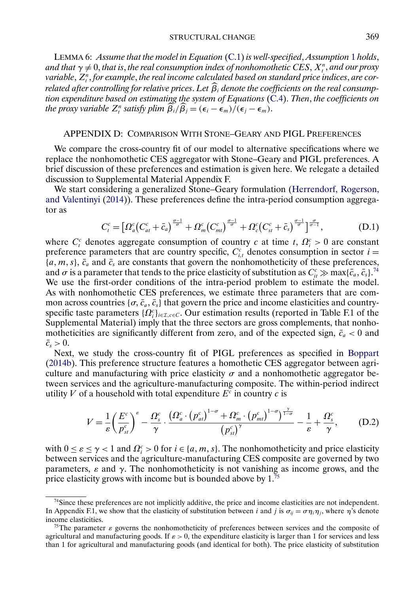<span id="page-58-0"></span>LEMMA 6: *Assume that the model in Equation* [\(C.1\)](#page-57-0) *is well-specified*, *Assumption* [1](#page-57-0) *holds*, and that  $\gamma \neq 0,$  that is, the real consumption index of nonhomothetic CES,  $X_t^n$ , and our proxy variable,  $Z_{t}^{n},$  for example, the real income calculated based on standard price indices, are cor*related after controlling for relative prices*. *Let* β <sup>i</sup> *denote the coefficients on the real consumption expenditure based on estimating the system of Equations* [\(C.4\)](#page-57-0). *Then*, *the coefficients on the proxy variable*  $Z_t^n$  *satisfy plim*  $\hat{\beta}_i / \hat{\beta}_j = (\epsilon_i - \epsilon_m) / (\epsilon_j - \epsilon_m)$ .

### APPENDIX D: COMPARISON WITH STONE–GEARY AND PIGL PREFERENCES

We compare the cross-country fit of our model to alternative specifications where we replace the nonhomothetic CES aggregator with Stone–Geary and PIGL preferences. A brief discussion of these preferences and estimation is given here. We relegate a detailed discussion to Supplemental Material Appendix F.

We start considering a generalized Stone–Geary formulation [\(Herrendorf, Rogerson,](#page-62-0) [and Valentinyi](#page-62-0) [\(2014\)](#page-62-0)). These preferences define the intra-period consumption aggregator as

$$
C_t^c = \left[ \Omega_a^c \left( C_{at}^c + \bar{c}_a \right)^{\frac{\sigma - 1}{\sigma}} + \Omega_m^c \left( C_{mt}^c \right)^{\frac{\sigma - 1}{\sigma}} + \Omega_c^c \left( C_{st}^c + \bar{c}_s \right)^{\frac{\sigma - 1}{\sigma}} \right]^{\frac{\sigma}{\sigma - 1}},\tag{D.1}
$$

where  $C_t^c$  denotes aggregate consumption of country c at time t,  $\Omega_i^c > 0$  are constant preference parameters that are country specific,  $C_{i,t}^c$  denotes consumption in sector  $i =$  $\{a, m, s\}, \bar{c}_a$  and  $\bar{c}_s$  are constants that govern the nonhomotheticity of these preferences, and  $\sigma$  is a parameter that tends to the price elasticity of substitution as  $C_{it}^c \gg \max\{\bar c_a, \bar c_s\}^{74}$ We use the first-order conditions of the intra-period problem to estimate the model. As with nonhomothetic CES preferences, we estimate three parameters that are common across countries  $\{\sigma, \bar{c}_a, \bar{c}_s\}$  that govern the price and income elasticities and countryspecific taste parameters  $\{\Omega_i^c\}_{i \in I, c \in C}$ . Our estimation results (reported in Table F.1 of the Supplemental Material) imply that the three sectors are gross complements, that nonhomotheticities are significantly different from zero, and of the expected sign,  $\bar{c}_a < 0$  and  $\bar{c}_s > 0$ .

Next, we study the cross-country fit of PIGL preferences as specified in [Boppart](#page-61-0) [\(2014b\)](#page-61-0). This preference structure features a homothetic CES aggregator between agriculture and manufacturing with price elasticity  $\sigma$  and a nonhomothetic aggregator between services and the agriculture-manufacturing composite. The within-period indirect utility V of a household with total expenditure  $E<sup>c</sup>$  in country c is

$$
V = \frac{1}{\varepsilon} \left( \frac{E^c}{p_{st}^c} \right)^{\varepsilon} - \frac{\Omega_s^c}{\gamma} \cdot \frac{\left( \Omega_a^c \cdot \left( p_{at}^c \right)^{1-\sigma} + \Omega_m^c \cdot \left( p_{mt}^c \right)^{1-\sigma} \right)^{\frac{\gamma}{1-\sigma}}}{\left( p_{st}^c \right)^{\gamma}} - \frac{1}{\varepsilon} + \frac{\Omega_s^c}{\gamma}, \tag{D.2}
$$

with  $0 \le \varepsilon \le \gamma < 1$  and  $\Omega_i^c > 0$  for  $i \in \{a, m, s\}$ . The nonhomotheticity and price elasticity between services and the agriculture-manufacturing CES composite are governed by two parameters,  $\varepsilon$  and  $\gamma$ . The nonhomotheticity is not vanishing as income grows, and the price elasticity grows with income but is bounded above by 1.<sup>75</sup>

<sup>74</sup>Since these preferences are not implicitly additive, the price and income elasticities are not independent. In Appendix F.1, we show that the elasticity of substitution between i and j is  $\sigma_{ii} = \sigma \eta_i \eta_j$ , where  $\eta$ 's denote income elasticities.

<sup>&</sup>lt;sup>75</sup>The parameter  $\varepsilon$  governs the nonhomotheticity of preferences between services and the composite of agricultural and manufacturing goods. If  $\varepsilon > 0$ , the expenditure elasticity is larger than 1 for services and less than 1 for agricultural and manufacturing goods (and identical for both). The price elasticity of substitution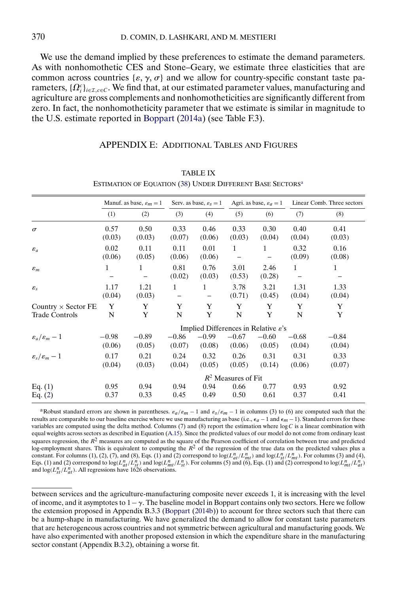<span id="page-59-0"></span>We use the demand implied by these preferences to estimate the demand parameters. As with nonhomothetic CES and Stone–Geary, we estimate three elasticities that are common across countries  $\{\varepsilon, \gamma, \sigma\}$  and we allow for country-specific constant taste parameters,  $\{\Omega_i^c\}_{i\in\mathcal{I},c\in\mathcal{C}}$ . We find that, at our estimated parameter values, manufacturing and agriculture are gross complements and nonhomotheticities are significantly different from zero. In fact, the nonhomotheticity parameter that we estimate is similar in magnitude to the U.S. estimate reported in [Boppart](#page-61-0) [\(2014a\)](#page-61-0) (see Table F.3).

## APPENDIX E: ADDITIONAL TABLES AND FIGURES

|                                                     | Manuf. as base, $\varepsilon_m = 1$ |                   | Serv. as base, $\varepsilon_s = 1$               |                   | Agri. as base, $\varepsilon_a = 1$ |                   | Linear Comb. Three sectors |                   |  |
|-----------------------------------------------------|-------------------------------------|-------------------|--------------------------------------------------|-------------------|------------------------------------|-------------------|----------------------------|-------------------|--|
|                                                     | (1)                                 | (2)               | (3)                                              | (4)               | (5)                                | (6)               | (7)                        | (8)               |  |
| $\sigma$                                            | 0.57<br>(0.03)                      | 0.50<br>(0.03)    | 0.33<br>(0.07)                                   | 0.46<br>(0.06)    | 0.33<br>(0.03)                     | 0.30<br>(0.04)    | 0.40<br>(0.04)             | 0.41<br>(0.03)    |  |
| $\varepsilon_a$                                     | 0.02<br>(0.06)                      | 0.11<br>(0.05)    | 0.11<br>(0.06)                                   | 0.01<br>(0.06)    | 1<br>$\qquad \qquad -$             | 1                 | 0.32<br>(0.09)             | 0.16<br>(0.08)    |  |
| $\varepsilon_m$                                     | 1                                   | $\mathbf{1}$      | 0.81<br>(0.02)                                   | 0.76<br>(0.03)    | 3.01<br>(0.53)                     | 2.46<br>(0.28)    | 1                          | $\mathbf{1}$      |  |
| $\varepsilon_{s}$                                   | 1.17<br>(0.04)                      | 1.21<br>(0.03)    | 1                                                | $\mathbf{1}$      | 3.78<br>(0.71)                     | 3.21<br>(0.45)    | 1.31<br>(0.04)             | 1.33<br>(0.04)    |  |
| Country $\times$ Sector FE<br><b>Trade Controls</b> | Y<br>N                              | Y<br>Y            | Y<br>N                                           | Y<br>Y            | Y<br>N                             | Y<br>Y            | Y<br>N                     | Y<br>Y            |  |
|                                                     |                                     |                   | Implied Differences in Relative $\varepsilon$ 's |                   |                                    |                   |                            |                   |  |
| $\varepsilon_a/\varepsilon_m-1$                     | $-0.98$<br>(0.06)                   | $-0.89$<br>(0.05) | $-0.86$<br>(0.07)                                | $-0.99$<br>(0.08) | $-0.67$<br>(0.06)                  | $-0.60$<br>(0.05) | $-0.68$<br>(0.04)          | $-0.84$<br>(0.04) |  |
| $\varepsilon_{\rm s}/\varepsilon_{\rm m}-1$         | 0.17<br>(0.04)                      | 0.21<br>(0.03)    | 0.24<br>(0.04)                                   | 0.32<br>(0.05)    | 0.26<br>(0.05)                     | 0.31<br>(0.14)    | 0.31<br>(0.06)             | 0.33<br>(0.07)    |  |
|                                                     | $R^2$ Measures of Fit               |                   |                                                  |                   |                                    |                   |                            |                   |  |
| Eq. $(1)$<br>Eq. $(2)$                              | 0.95<br>0.37                        | 0.94<br>0.33      | 0.94<br>0.45                                     | 0.94<br>0.49      | 0.66<br>0.50                       | 0.77<br>0.61      | 0.93<br>0.37               | 0.92<br>0.41      |  |

TABLE IX ESTIMATION OF EQUATION [\(38\)](#page-23-0) UNDER DIFFERENT BASE SECTORS<sup>a</sup>

aRobust standard errors are shown in parentheses.  $\varepsilon_a/\varepsilon_m - 1$  and  $\varepsilon_s/\varepsilon_m - 1$  in columns (3) to (6) are computed such that the results are comparable to our baseline exercise where we use manufacturing as base (i.e.,  $\epsilon_a - 1$  and  $\epsilon_m - 1$ ). Standard errors for these variables are computed using the delta method. Columns  $(7)$  and  $(8)$  report the estimation where log C is a linear combination with equal weights across sectors as described in Equation [\(A.15\)](#page-46-0). Since the predicted values of our model do not come from ordinary least squares regression, the  $R^2$  measures are computed as the square of the Pearson coefficient of correlation between true and predicted log-employment shares. This is equivalent to computing the  $R^2$  of the regression of the true data on the predicted values plus a constant. For columns (1), (2), (7), and (8), Eqs. (1) and (2) correspond to  $log(L_{at}^n/L_{mt}^n)$  and  $log(L_{st}^n/L_{mt}^n)$ . For columns (3) and (4), Eqs. (1) and (2) correspond to  $log(L_{at}^n/L_{mt}^n)$ . For columns (5) and (6), Eqs. (

between services and the agriculture-manufacturing composite never exceeds 1, it is increasing with the level of income, and it asymptotes to  $1-\gamma$ . The baseline model in Boppart contains only two sectors. Here we follow the extension proposed in Appendix B.3.3 [\(Boppart](#page-61-0) [\(2014b\)](#page-61-0)) to account for three sectors such that there can be a hump-shape in manufacturing. We have generalized the demand to allow for constant taste parameters that are heterogeneous across countries and not symmetric between agricultural and manufacturing goods. We have also experimented with another proposed extension in which the expenditure share in the manufacturing sector constant (Appendix B.3.2), obtaining a worse fit.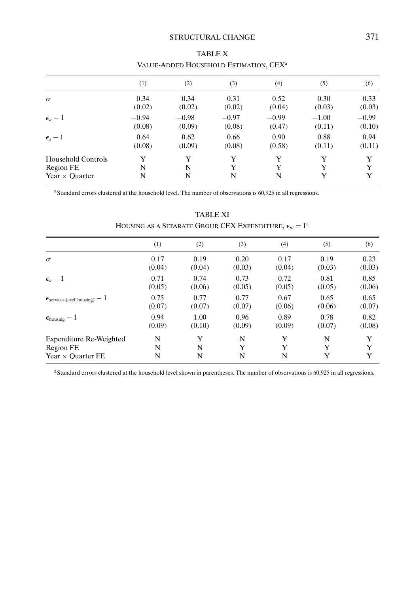# STRUCTURAL CHANGE 371

<span id="page-60-0"></span>

|                           | (1)     | (2)     | (3)     | (4)     | (5)     | (6)     |
|---------------------------|---------|---------|---------|---------|---------|---------|
| $\sigma$                  | 0.34    | 0.34    | 0.31    | 0.52    | 0.30    | 0.33    |
|                           | (0.02)  | (0.02)  | (0.02)  | (0.04)  | (0.03)  | (0.03)  |
| $\epsilon_a-1$            | $-0.94$ | $-0.98$ | $-0.97$ | $-0.99$ | $-1.00$ | $-0.99$ |
|                           | (0.08)  | (0.09)  | (0.08)  | (0.47)  | (0.11)  | (0.10)  |
| $\epsilon_{s}-1$          | 0.64    | 0.62    | 0.66    | 0.90    | 0.88    | 0.94    |
|                           | (0.08)  | (0.09)  | (0.08)  | (0.58)  | (0.11)  | (0.11)  |
| <b>Household Controls</b> | Y       | Y       | Y       | Y       | Y       | Y       |
| Region FE                 | N       | N       | Y       | Y       | Y       | Y       |
| Year $\times$ Ouarter     | N       | N       | N       | N       | Y       | Y       |

| <b>TABLE X</b>                                     |  |
|----------------------------------------------------|--|
| VALUE-ADDED HOUSEHOLD ESTIMATION, CEX <sup>a</sup> |  |

<sup>a</sup>Standard errors clustered at the household level. The number of observations is 60,925 in all regressions.

|                                                | (1)     | (2)     | (3)     | (4)     | (5)     | (6)     |
|------------------------------------------------|---------|---------|---------|---------|---------|---------|
| $\sigma$                                       | 0.17    | 0.19    | 0.20    | 0.17    | 0.19    | 0.23    |
|                                                | (0.04)  | (0.04)  | (0.03)  | (0.04)  | (0.03)  | (0.03)  |
| $\epsilon_a-1$                                 | $-0.71$ | $-0.74$ | $-0.73$ | $-0.72$ | $-0.81$ | $-0.85$ |
|                                                | (0.05)  | (0.06)  | (0.05)  | (0.05)  | (0.05)  | (0.06)  |
| $\epsilon_{\text{serves (excl. housing)}} - 1$ | 0.75    | 0.77    | 0.77    | 0.67    | 0.65    | 0.65    |
|                                                | (0.07)  | (0.07)  | (0.07)  | (0.06)  | (0.06)  | (0.07)  |
| $\epsilon_{\text{housing}} - 1$                | 0.94    | 1.00    | 0.96    | 0.89    | 0.78    | 0.82    |
|                                                | (0.09)  | (0.10)  | (0.09)  | (0.09)  | (0.07)  | (0.08)  |
| Expenditure Re-Weighted                        | N       | Y       | N       | Y       | N       | Y       |
| Region FE                                      | N       | N       | Y       | Y       | Y       | Y       |
| Year $\times$ Ouarter FE                       | N       | N       | N       | N       | Y       | Y       |

TABLE XI HOUSING AS A SEPARATE GROUP, CEX EXPENDITURE,  $\epsilon_m = 1^\text{a}$ 

<sup>a</sup>Standard errors clustered at the household level shown in parentheses. The number of observations is 60,925 in all regressions.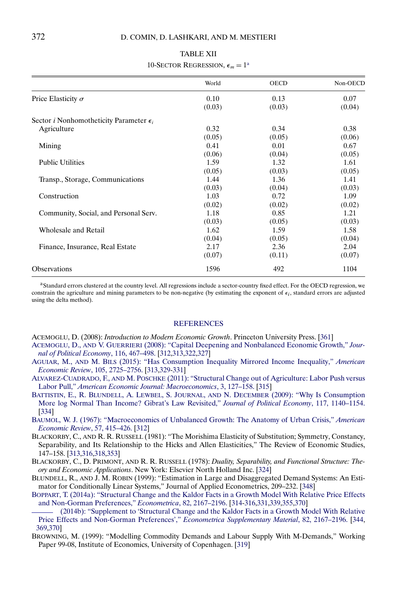<span id="page-61-0"></span>

|                                                         | World  | <b>OECD</b> | Non-OECD |
|---------------------------------------------------------|--------|-------------|----------|
| Price Elasticity $\sigma$                               | 0.10   | 0.13        | 0.07     |
|                                                         | (0.03) | (0.03)      | (0.04)   |
| Sector <i>i</i> Nonhomotheticity Parameter $\epsilon_i$ |        |             |          |
| Agriculture                                             | 0.32   | 0.34        | 0.38     |
|                                                         | (0.05) | (0.05)      | (0.06)   |
| Mining                                                  | 0.41   | 0.01        | 0.67     |
|                                                         | (0.06) | (0.04)      | (0.05)   |
| <b>Public Utilities</b>                                 | 1.59   | 1.32        | 1.61     |
|                                                         | (0.05) | (0.03)      | (0.05)   |
| Transp., Storage, Communications                        | 1.44   | 1.36        | 1.41     |
| Construction                                            | (0.03) | (0.04)      | (0.03)   |
|                                                         | 1.03   | 0.72        | 1.09     |
| Community, Social, and Personal Serv.                   | (0.02) | (0.02)      | (0.02)   |
|                                                         | 1.18   | 0.85        | 1.21     |
|                                                         | (0.03) | (0.05)      | (0.03)   |
| <b>Wholesale and Retail</b>                             | 1.62   | 1.59        | 1.58     |
|                                                         | (0.04) | (0.05)      | (0.04)   |
| Finance, Insurance, Real Estate                         | 2.17   | 2.36        | 2.04     |
|                                                         | (0.07) | (0.11)      | (0.07)   |
| <b>Observations</b>                                     | 1596   | 492         | 1104     |

## TABLE XII 10-SECTOR REGRESSION,  $\epsilon_m = 1^a$

aStandard errors clustered at the country level. All regressions include a sector-country fixed effect. For the OECD regression, we constrain the agriculture and mining parameters to be non-negative (by estimating the exponent of  $\epsilon_i$ , standard errors are adjusted using the delta method).

#### **[REFERENCES](http://www.e-publications.org/srv/ecta/linkserver/setprefs?rfe_id=urn:sici%2F0012-9682%282021%2989%3A1%3C311%3ASCWLRI%3E2.0.CO%3B2-8)**

- ACEMOGLU, D. (2008): *Introduction to Modern Economic Growth*. Princeton University Press. [\[361\]](#page-50-0)
- ACEMOGLU, D., AND V. GUERRIERI [\(2008\): "Capital Deepening and Nonbalanced Economic Growth,"](http://www.e-publications.org/srv/ecta/linkserver/openurl?rft_dat=bib:2/ag08&rfe_id=urn:sici%2F0012-9682%282021%2989%3A1%3C311%3ASCWLRI%3E2.0.CO%3B2-8) *Jour[nal of Political Economy](http://www.e-publications.org/srv/ecta/linkserver/openurl?rft_dat=bib:2/ag08&rfe_id=urn:sici%2F0012-9682%282021%2989%3A1%3C311%3ASCWLRI%3E2.0.CO%3B2-8)*, 116, 467–498. [\[312,](#page-1-0)[313,](#page-2-0)[322,](#page-11-0)[327\]](#page-16-0)
- AGUIAR, M., AND M. BILS [\(2015\): "Has Consumption Inequality Mirrored Income Inequality,"](http://www.e-publications.org/srv/ecta/linkserver/openurl?rft_dat=bib:3/ab15&rfe_id=urn:sici%2F0012-9682%282021%2989%3A1%3C311%3ASCWLRI%3E2.0.CO%3B2-8) *American [Economic Review](http://www.e-publications.org/srv/ecta/linkserver/openurl?rft_dat=bib:3/ab15&rfe_id=urn:sici%2F0012-9682%282021%2989%3A1%3C311%3ASCWLRI%3E2.0.CO%3B2-8)*, 105, 2725–2756. [\[313,](#page-2-0)[329-](#page-18-0)[331\]](#page-20-0)
- ALVAREZ-CUADRADO, F., AND M. POSCHKE [\(2011\): "Structural Change out of Agriculture: Labor Push versus](http://www.e-publications.org/srv/ecta/linkserver/openurl?rft_dat=bib:4/acp11&rfe_id=urn:sici%2F0012-9682%282021%2989%3A1%3C311%3ASCWLRI%3E2.0.CO%3B2-8) Labor Pull," *[American Economic Journal: Macroeconomics](http://www.e-publications.org/srv/ecta/linkserver/openurl?rft_dat=bib:4/acp11&rfe_id=urn:sici%2F0012-9682%282021%2989%3A1%3C311%3ASCWLRI%3E2.0.CO%3B2-8)*, 3, 127–158. [\[315\]](#page-4-0)
- [BATTISTIN, E., R. BLUNDELL, A. LEWBEL, S. JOURNAL,](http://www.e-publications.org/srv/ecta/linkserver/openurl?rft_dat=bib:5/Battistin2013&rfe_id=urn:sici%2F0012-9682%282021%2989%3A1%3C311%3ASCWLRI%3E2.0.CO%3B2-8) AND N. DECEMBER (2009): "Why Is Consumption [More log Normal Than Income? Gibrat's Law Revisited,"](http://www.e-publications.org/srv/ecta/linkserver/openurl?rft_dat=bib:5/Battistin2013&rfe_id=urn:sici%2F0012-9682%282021%2989%3A1%3C311%3ASCWLRI%3E2.0.CO%3B2-8) *Journal of Political Economy*, 117, 1140–1154. [\[334\]](#page-23-0)
- [BAUMOL, W. J. \(1967\): "Macroeconomics of Unbalanced Growth: The Anatomy of Urban Crisis,"](http://www.e-publications.org/srv/ecta/linkserver/openurl?rft_dat=bib:6/b67&rfe_id=urn:sici%2F0012-9682%282021%2989%3A1%3C311%3ASCWLRI%3E2.0.CO%3B2-8) *American [Economic Review](http://www.e-publications.org/srv/ecta/linkserver/openurl?rft_dat=bib:6/b67&rfe_id=urn:sici%2F0012-9682%282021%2989%3A1%3C311%3ASCWLRI%3E2.0.CO%3B2-8)*, 57, 415–426. [\[312\]](#page-1-0)
- BLACKORBY, C., AND R. R. RUSSELL (1981): "The Morishima Elasticity of Substitution; Symmetry, Constancy, Separability, and Its Relationship to the Hicks and Allen Elasticities," The Review of Economic Studies, 147–158. [\[313,](#page-2-0)[316,](#page-5-0)[318,](#page-7-0)[353\]](#page-42-0)
- BLACKORBY, C., D. PRIMONT, AND R. R. RUSSELL (1978): *Duality, Separability, and Functional Structure: Theory and Economic Applications*. New York: Elsevier North Holland Inc. [\[324\]](#page-13-0)
- BLUNDELL, R., AND J. M. ROBIN (1999): "Estimation in Large and Disaggregated Demand Systems: An Estimator for Conditionally Linear Systems," Journal of Applied Econometrics, 209–232. [\[348\]](#page-37-0)
- [BOPPART, T. \(2014a\): "Structural Change and the Kaldor Facts in a Growth Model With Relative Price Effects](http://www.e-publications.org/srv/ecta/linkserver/openurl?rft_dat=bib:10/b13&rfe_id=urn:sici%2F0012-9682%282021%2989%3A1%3C311%3ASCWLRI%3E2.0.CO%3B2-8) [and Non-Gorman Preferences,"](http://www.e-publications.org/srv/ecta/linkserver/openurl?rft_dat=bib:10/b13&rfe_id=urn:sici%2F0012-9682%282021%2989%3A1%3C311%3ASCWLRI%3E2.0.CO%3B2-8) *Econometrica*, 82, 2167–2196. [\[314](#page-3-0)[-316](#page-5-0)[,331](#page-20-0)[,339,](#page-28-0)[355,](#page-44-0)[370\]](#page-59-0)
- [\(2014b\): "Supplement to 'Structural Change and the Kaldor Facts in a Growth Model With Relative](http://www.e-publications.org/srv/ecta/linkserver/openurl?rft_dat=bib:11/b13a&rfe_id=urn:sici%2F0012-9682%282021%2989%3A1%3C311%3ASCWLRI%3E2.0.CO%3B2-8) [Price Effects and Non-Gorman Preferences',"](http://www.e-publications.org/srv/ecta/linkserver/openurl?rft_dat=bib:11/b13a&rfe_id=urn:sici%2F0012-9682%282021%2989%3A1%3C311%3ASCWLRI%3E2.0.CO%3B2-8) *Econometrica Supplementary Material*, 82, 2167–2196. [\[344,](#page-33-0) [369,](#page-58-0)[370\]](#page-59-0)
- BROWNING, M. (1999): "Modelling Commodity Demands and Labour Supply With M-Demands," Working Paper 99-08, Institute of Economics, University of Copenhagen. [\[319\]](#page-8-0)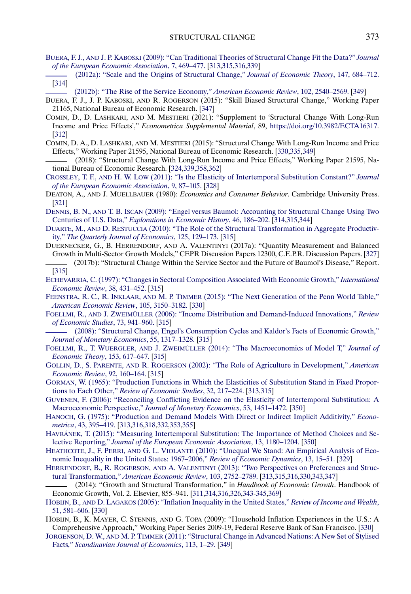- <span id="page-62-0"></span>BUERA, F. J., AND J. P. KABOSKI [\(2009\): "Can Traditional Theories of Structural Change Fit the Data?"](http://www.e-publications.org/srv/ecta/linkserver/openurl?rft_dat=bib:13/bk09&rfe_id=urn:sici%2F0012-9682%282021%2989%3A1%3C311%3ASCWLRI%3E2.0.CO%3B2-8) *Journal [of the European Economic Association](http://www.e-publications.org/srv/ecta/linkserver/openurl?rft_dat=bib:13/bk09&rfe_id=urn:sici%2F0012-9682%282021%2989%3A1%3C311%3ASCWLRI%3E2.0.CO%3B2-8)*, 7, 469–477. [\[313,](#page-2-0)[315,](#page-4-0)[316](#page-5-0)[,339\]](#page-28-0)
- [\(2012a\): "Scale and the Origins of Structural Change,"](http://www.e-publications.org/srv/ecta/linkserver/openurl?rft_dat=bib:14/bk12&rfe_id=urn:sici%2F0012-9682%282021%2989%3A1%3C311%3ASCWLRI%3E2.0.CO%3B2-8) *Journal of Economic Theory*, 147, 684–712. [\[314\]](#page-3-0)
	- [\(2012b\): "The Rise of the Service Economy,"](http://www.e-publications.org/srv/ecta/linkserver/openurl?rft_dat=bib:15/bk12b&rfe_id=urn:sici%2F0012-9682%282021%2989%3A1%3C311%3ASCWLRI%3E2.0.CO%3B2-8) *American Economic Review*, 102, 2540–2569. [\[349\]](#page-38-0)
- BUERA, F. J., J. P. KABOSKI, AND R. ROGERSON (2015): "Skill Biased Structural Change," Working Paper 21165, National Bureau of Economic Research. [\[347\]](#page-36-0)
- COMIN, D., D. LASHKARI, AND M. MESTIERI (2021): "Supplement to 'Structural Change With Long-Run Income and Price Effects'," *Econometrica Supplemental Material*, 89, <https://doi.org/10.3982/ECTA16317>. [\[312\]](#page-1-0)
- COMIN, D. A., D. LASHKARI, AND M. MESTIERI (2015): "Structural Change With Long-Run Income and Price Effects," Working Paper 21595, National Bureau of Economic Research. [\[330](#page-19-0)[,335,](#page-24-0)[349\]](#page-38-0)
- (2018): "Structural Change With Long-Run Income and Price Effects," Working Paper 21595, National Bureau of Economic Research. [\[324](#page-13-0)[,339,](#page-28-0)[358,](#page-47-0)[362\]](#page-51-0)
- CROSSLEY, T. F., AND H. W. LOW [\(2011\): "Is the Elasticity of Intertemporal Substitution Constant?"](http://www.e-publications.org/srv/ecta/linkserver/openurl?rft_dat=bib:20/Crossley2011&rfe_id=urn:sici%2F0012-9682%282021%2989%3A1%3C311%3ASCWLRI%3E2.0.CO%3B2-8) *Journal [of the European Economic Association](http://www.e-publications.org/srv/ecta/linkserver/openurl?rft_dat=bib:20/Crossley2011&rfe_id=urn:sici%2F0012-9682%282021%2989%3A1%3C311%3ASCWLRI%3E2.0.CO%3B2-8)*, 9, 87–105. [\[328\]](#page-17-0)
- DEATON, A., AND J. MUELLBAUER (1980): *Economics and Consumer Behavior*. Cambridge University Press. [\[321\]](#page-10-0)
- DENNIS, B. N., AND T. B. ISCAN [\(2009\): "Engel versus Baumol: Accounting for Structural Change Using Two](http://www.e-publications.org/srv/ecta/linkserver/openurl?rft_dat=bib:22/di09&rfe_id=urn:sici%2F0012-9682%282021%2989%3A1%3C311%3ASCWLRI%3E2.0.CO%3B2-8) Centuries of U.S. Data," *[Explorations in Economic History](http://www.e-publications.org/srv/ecta/linkserver/openurl?rft_dat=bib:22/di09&rfe_id=urn:sici%2F0012-9682%282021%2989%3A1%3C311%3ASCWLRI%3E2.0.CO%3B2-8)*, 46, 186–202. [\[314](#page-3-0)[,315,](#page-4-0)[344\]](#page-33-0)
- DUARTE, M., AND D. RESTUCCIA [\(2010\): "The Role of the Structural Transformation in Aggregate Productiv](http://www.e-publications.org/srv/ecta/linkserver/openurl?rft_dat=bib:23/dr10&rfe_id=urn:sici%2F0012-9682%282021%2989%3A1%3C311%3ASCWLRI%3E2.0.CO%3B2-8)ity," *[The Quarterly Journal of Economics](http://www.e-publications.org/srv/ecta/linkserver/openurl?rft_dat=bib:23/dr10&rfe_id=urn:sici%2F0012-9682%282021%2989%3A1%3C311%3ASCWLRI%3E2.0.CO%3B2-8)*, 125, 129–173. [\[315\]](#page-4-0)
- DUERNECKER, G., B. HERRENDORF, AND A. VALENTINYI (2017a): "Quantity Measurement and Balanced Growth in Multi-Sector Growth Models," CEPR Discussion Papers 12300, C.E.P.R. Discussion Papers. [\[327\]](#page-16-0) (2017b): "Structural Change Within the Service Sector and the Future of Baumol's Disease," Report. [\[315\]](#page-4-0)
- [ECHEVARRIA, C. \(1997\): "Changes in Sectoral Composition Associated With Economic Growth,"](http://www.e-publications.org/srv/ecta/linkserver/openurl?rft_dat=bib:26/e97&rfe_id=urn:sici%2F0012-9682%282021%2989%3A1%3C311%3ASCWLRI%3E2.0.CO%3B2-8) *International [Economic Review](http://www.e-publications.org/srv/ecta/linkserver/openurl?rft_dat=bib:26/e97&rfe_id=urn:sici%2F0012-9682%282021%2989%3A1%3C311%3ASCWLRI%3E2.0.CO%3B2-8)*, 38, 431–452. [\[315\]](#page-4-0)
- FEENSTRA, R. C., R. INKLAAR, AND M. P. TIMMER [\(2015\): "The Next Generation of the Penn World Table,"](http://www.e-publications.org/srv/ecta/linkserver/openurl?rft_dat=bib:27/fit15&rfe_id=urn:sici%2F0012-9682%282021%2989%3A1%3C311%3ASCWLRI%3E2.0.CO%3B2-8) *[American Economic Review](http://www.e-publications.org/srv/ecta/linkserver/openurl?rft_dat=bib:27/fit15&rfe_id=urn:sici%2F0012-9682%282021%2989%3A1%3C311%3ASCWLRI%3E2.0.CO%3B2-8)*, 105, 3150–3182. [\[330\]](#page-19-0)
- FOELLMI, R., AND J. ZWEIMÜLLER [\(2006\): "Income Distribution and Demand-Induced Innovations,"](http://www.e-publications.org/srv/ecta/linkserver/openurl?rft_dat=bib:28/fz06&rfe_id=urn:sici%2F0012-9682%282021%2989%3A1%3C311%3ASCWLRI%3E2.0.CO%3B2-8) *Review [of Economic Studies](http://www.e-publications.org/srv/ecta/linkserver/openurl?rft_dat=bib:28/fz06&rfe_id=urn:sici%2F0012-9682%282021%2989%3A1%3C311%3ASCWLRI%3E2.0.CO%3B2-8)*, 73, 941–960. [\[315\]](#page-4-0)
- [\(2008\): "Structural Change, Engel's Consumption Cycles and Kaldor's Facts of Economic Growth,"](http://www.e-publications.org/srv/ecta/linkserver/openurl?rft_dat=bib:29/fz08&rfe_id=urn:sici%2F0012-9682%282021%2989%3A1%3C311%3ASCWLRI%3E2.0.CO%3B2-8) *[Journal of Monetary Economics](http://www.e-publications.org/srv/ecta/linkserver/openurl?rft_dat=bib:29/fz08&rfe_id=urn:sici%2F0012-9682%282021%2989%3A1%3C311%3ASCWLRI%3E2.0.CO%3B2-8)*, 55, 1317–1328. [\[315\]](#page-4-0)
- FOELLMI, R., T. WUERGLER, AND J. ZWEIMÜLLER [\(2014\): "The Macroeconomics of Model T,"](http://www.e-publications.org/srv/ecta/linkserver/openurl?rft_dat=bib:30/fwz14&rfe_id=urn:sici%2F0012-9682%282021%2989%3A1%3C311%3ASCWLRI%3E2.0.CO%3B2-8) *Journal of [Economic Theory](http://www.e-publications.org/srv/ecta/linkserver/openurl?rft_dat=bib:30/fwz14&rfe_id=urn:sici%2F0012-9682%282021%2989%3A1%3C311%3ASCWLRI%3E2.0.CO%3B2-8)*, 153, 617–647. [\[315\]](#page-4-0)
- GOLLIN, D., S. PARENTE, AND R. ROGERSON [\(2002\): "The Role of Agriculture in Development,"](http://www.e-publications.org/srv/ecta/linkserver/openurl?rft_dat=bib:31/gpr02&rfe_id=urn:sici%2F0012-9682%282021%2989%3A1%3C311%3ASCWLRI%3E2.0.CO%3B2-8) *American [Economic Review](http://www.e-publications.org/srv/ecta/linkserver/openurl?rft_dat=bib:31/gpr02&rfe_id=urn:sici%2F0012-9682%282021%2989%3A1%3C311%3ASCWLRI%3E2.0.CO%3B2-8)*, 92, 160–164. [\[315\]](#page-4-0)
- [GORMAN, W. \(1965\): "Production Functions in Which the Elasticities of Substitution Stand in Fixed Propor](http://www.e-publications.org/srv/ecta/linkserver/openurl?rft_dat=bib:32/g65&rfe_id=urn:sici%2F0012-9682%282021%2989%3A1%3C311%3ASCWLRI%3E2.0.CO%3B2-8)tions to Each Other," *[Review of Economic Studies](http://www.e-publications.org/srv/ecta/linkserver/openurl?rft_dat=bib:32/g65&rfe_id=urn:sici%2F0012-9682%282021%2989%3A1%3C311%3ASCWLRI%3E2.0.CO%3B2-8)*, 32, 217–224. [\[313,](#page-2-0)[315\]](#page-4-0)
- [GUVENEN, F. \(2006\): "Reconciling Conflicting Evidence on the Elasticity of Intertemporal Substitution: A](http://www.e-publications.org/srv/ecta/linkserver/openurl?rft_dat=bib:33/Guvenen2006&rfe_id=urn:sici%2F0012-9682%282021%2989%3A1%3C311%3ASCWLRI%3E2.0.CO%3B2-8) Macroeconomic Perspective," *[Journal of Monetary Economics](http://www.e-publications.org/srv/ecta/linkserver/openurl?rft_dat=bib:33/Guvenen2006&rfe_id=urn:sici%2F0012-9682%282021%2989%3A1%3C311%3ASCWLRI%3E2.0.CO%3B2-8)*, 53, 1451–1472. [\[350\]](#page-39-0)
- [HANOCH, G. \(1975\): "Production and Demand Models With Direct or Indirect Implicit Additivity,"](http://www.e-publications.org/srv/ecta/linkserver/openurl?rft_dat=bib:34/h75&rfe_id=urn:sici%2F0012-9682%282021%2989%3A1%3C311%3ASCWLRI%3E2.0.CO%3B2-8) *Econometrica*[, 43, 395–419.](http://www.e-publications.org/srv/ecta/linkserver/openurl?rft_dat=bib:34/h75&rfe_id=urn:sici%2F0012-9682%282021%2989%3A1%3C311%3ASCWLRI%3E2.0.CO%3B2-8) [\[313](#page-2-0)[,316](#page-5-0)[,318](#page-7-0)[,332,](#page-21-0)[353,](#page-42-0)[355\]](#page-44-0)
- [HAVRÁNEK, T. \(2015\): "Measuring Intertemporal Substitution: The Importance of Method Choices and Se](http://www.e-publications.org/srv/ecta/linkserver/openurl?rft_dat=bib:35/Havranek2015&rfe_id=urn:sici%2F0012-9682%282021%2989%3A1%3C311%3ASCWLRI%3E2.0.CO%3B2-8)lective Reporting," *[Journal of the European Economic Association](http://www.e-publications.org/srv/ecta/linkserver/openurl?rft_dat=bib:35/Havranek2015&rfe_id=urn:sici%2F0012-9682%282021%2989%3A1%3C311%3ASCWLRI%3E2.0.CO%3B2-8)*, 13, 1180–1204. [\[350\]](#page-39-0)
- HEATHCOTE, J., F. PERRI, AND G. L. VIOLANTE [\(2010\): "Unequal We Stand: An Empirical Analysis of Eco](http://www.e-publications.org/srv/ecta/linkserver/openurl?rft_dat=bib:36/hpv10&rfe_id=urn:sici%2F0012-9682%282021%2989%3A1%3C311%3ASCWLRI%3E2.0.CO%3B2-8)[nomic Inequality in the United States: 1967–2006,"](http://www.e-publications.org/srv/ecta/linkserver/openurl?rft_dat=bib:36/hpv10&rfe_id=urn:sici%2F0012-9682%282021%2989%3A1%3C311%3ASCWLRI%3E2.0.CO%3B2-8) *Review of Economic Dynamics*, 13, 15–51. [\[329\]](#page-18-0)
- HERRENDORF, B., R. ROGERSON, AND A. VALENTINYI [\(2013\): "Two Perspectives on Preferences and Struc](http://www.e-publications.org/srv/ecta/linkserver/openurl?rft_dat=bib:37/hrv13&rfe_id=urn:sici%2F0012-9682%282021%2989%3A1%3C311%3ASCWLRI%3E2.0.CO%3B2-8)tural Transformation," *[American Economic Review](http://www.e-publications.org/srv/ecta/linkserver/openurl?rft_dat=bib:37/hrv13&rfe_id=urn:sici%2F0012-9682%282021%2989%3A1%3C311%3ASCWLRI%3E2.0.CO%3B2-8)*, 103, 2752–2789. [\[313,](#page-2-0)[315,](#page-4-0)[316](#page-5-0)[,330](#page-19-0)[,343](#page-32-0)[,347\]](#page-36-0)
- (2014): "Growth and Structural Transformation," in *Handbook of Economic Growth*. Handbook of Economic Growth, Vol. 2. Elsevier, 855–941. [\[311,](#page-0-0)[314,](#page-3-0)[316](#page-5-0)[,326](#page-15-0)[,343-](#page-32-0)[345,](#page-34-0)[369\]](#page-58-0)
- HOBIJN, B., AND D. LAGAKOS [\(2005\): "Inflation Inequality in the United States,"](http://www.e-publications.org/srv/ecta/linkserver/openurl?rft_dat=bib:39/hl05&rfe_id=urn:sici%2F0012-9682%282021%2989%3A1%3C311%3ASCWLRI%3E2.0.CO%3B2-8) *Review of Income and Wealth*, [51, 581–606.](http://www.e-publications.org/srv/ecta/linkserver/openurl?rft_dat=bib:39/hl05&rfe_id=urn:sici%2F0012-9682%282021%2989%3A1%3C311%3ASCWLRI%3E2.0.CO%3B2-8) [\[330\]](#page-19-0)
- HOBIJN, B., K. MAYER, C. STENNIS, AND G. TOPA (2009): "Household Inflation Experiences in the U.S.: A Comprehensive Approach," Working Paper Series 2009-19, Federal Reserve Bank of San Francisco. [\[330\]](#page-19-0)
- JORGENSON, D. W., AND M. P. TIMMER [\(2011\): "Structural Change in Advanced Nations: A New Set of Stylised](http://www.e-publications.org/srv/ecta/linkserver/openurl?rft_dat=bib:41/jt11&rfe_id=urn:sici%2F0012-9682%282021%2989%3A1%3C311%3ASCWLRI%3E2.0.CO%3B2-8) Facts," *[Scandinavian Journal of Economics](http://www.e-publications.org/srv/ecta/linkserver/openurl?rft_dat=bib:41/jt11&rfe_id=urn:sici%2F0012-9682%282021%2989%3A1%3C311%3ASCWLRI%3E2.0.CO%3B2-8)*, 113, 1–29. [\[349\]](#page-38-0)